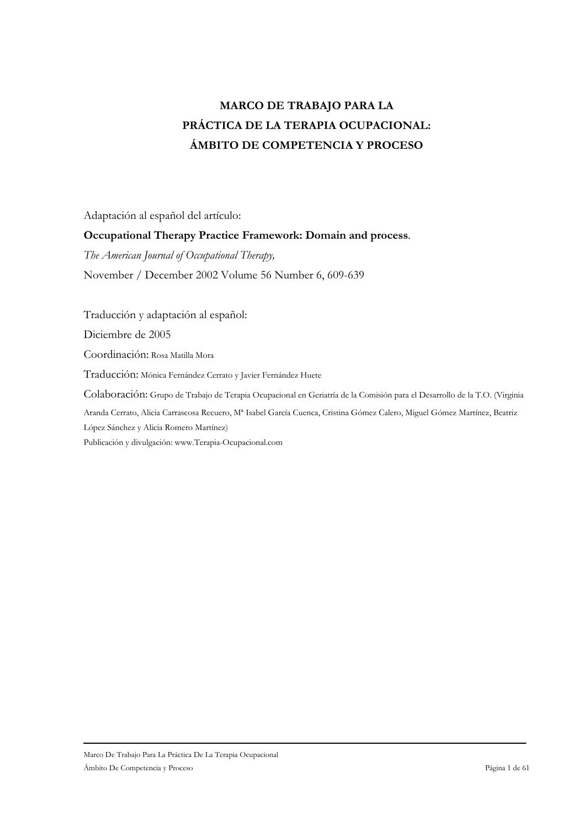# **MARCO DE TRABAJO PARA LA** PRÁCTICA DE LA TERAPIA OCUPACIONAL: ÁMBITO DE COMPETENCIA Y PROCESO

Adaptación al español del artículo:

# Occupational Therapy Practice Framework: Domain and process.

The American Journal of Occupational Therapy,

November / December 2002 Volume 56 Number 6, 609-639

Traducción y adaptación al español:

Diciembre de 2005

Coordinación: Rosa Matilla Mora

Traducción: Mónica Fernández Cerrato y Javier Fernández Huete

Colaboración: Grupo de Trabajo de Terapia Ocupacional en Geriatría de la Comisión para el Desarrollo de la T.O. (Virginia

Aranda Cerrato, Alicia Carrascosa Recuero, Mª Isabel García Cuenca, Cristina Gómez Calero, Miguel Gómez Martínez, Beatriz López Sánchez y Alicia Romero Martínez)

Publicación y divulgación: www.Terapia-Ocupacional.com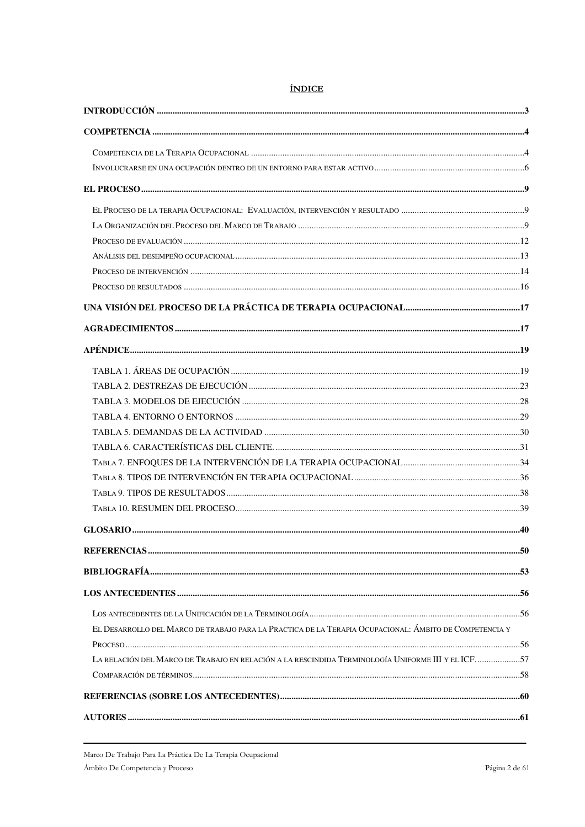| EL DESARROLLO DEL MARCO DE TRABAJO PARA LA PRACTICA DE LA TERAPIA OCUPACIONAL: ÁMBITO DE COMPETENCIA Y |  |
|--------------------------------------------------------------------------------------------------------|--|
|                                                                                                        |  |
| LA RELACIÓN DEL MARCO DE TRABAJO EN RELACIÓN A LA RESCINDIDA TERMINOLOGÍA UNIFORME III Y EL ICF57      |  |
|                                                                                                        |  |
|                                                                                                        |  |
|                                                                                                        |  |

# **ÍNDICE**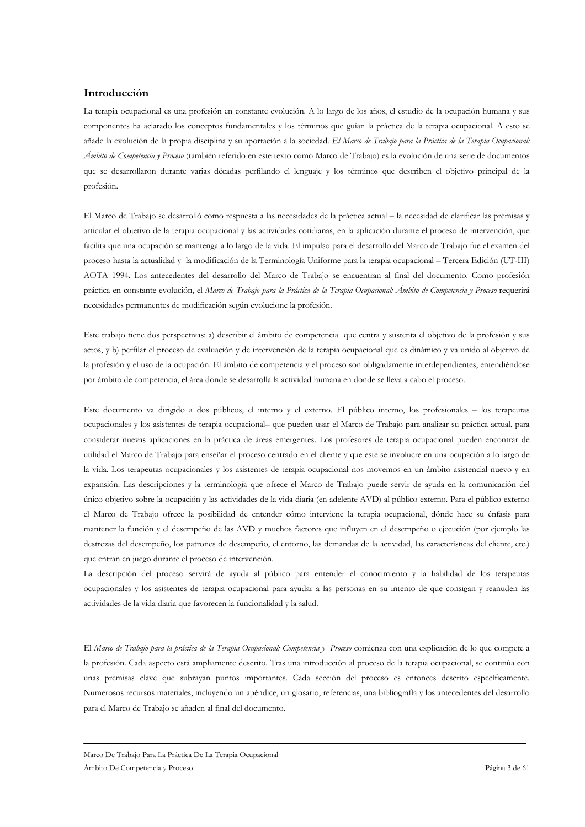# Introducción

La terapia ocupacional es una profesión en constante evolución. A lo largo de los años, el estudio de la ocupación humana y sus componentes ha aclarado los conceptos fundamentales y los términos que guían la práctica de la terapia ocupacional. A esto se añade la evolución de la propia disciplina y su aportación a la sociedad. El Marco de Trabajo para la Práctica de la Terapia Ocupacional: Ámbito de Competencia y Proceso (también referido en este texto como Marco de Trabajo) es la evolución de una serie de documentos que se desarrollaron durante varias décadas perfilando el lenguaje y los términos que describen el objetivo principal de la profesión.

El Marco de Trabajo se desarrolló como respuesta a las necesidades de la práctica actual - la necesidad de clarificar las premisas y articular el objetivo de la terapia ocupacional y las actividades cotidianas, en la aplicación durante el proceso de intervención, que facilita que una ocupación se mantenga a lo largo de la vida. El impulso para el desarrollo del Marco de Trabajo fue el examen del proceso hasta la actualidad y la modificación de la Terminología Uniforme para la terapia ocupacional - Tercera Edición (UT-III) AOTA 1994. Los antecedentes del desarrollo del Marco de Trabajo se encuentran al final del documento. Como profesión práctica en constante evolución, el Marco de Trabajo para la Práctica de la Terapia Ocupacional: Ámbito de Competencia y Proceso requerirá necesidades permanentes de modificación según evolucione la profesión.

Este trabajo tiene dos perspectivas: a) describir el ámbito de competencia que centra y sustenta el objetivo de la profesión y sus actos, y b) perfilar el proceso de evaluación y de intervención de la terapia ocupacional que es dinámico y va unido al objetivo de la profesión y el uso de la ocupación. El ámbito de competencia y el proceso son obligadamente interdependientes, entendiéndose por ámbito de competencia, el área donde se desarrolla la actividad humana en donde se lleva a cabo el proceso.

Este documento va dirigido a dos públicos, el interno y el externo. El público interno, los profesionales - los terapeutas ocupacionales y los asistentes de terapia ocupacional- que pueden usar el Marco de Trabajo para analizar su práctica actual, para considerar nuevas aplicaciones en la práctica de áreas emergentes. Los profesores de terapia ocupacional pueden encontrar de utilidad el Marco de Trabajo para enseñar el proceso centrado en el cliente y que este se involucre en una ocupación a lo largo de la vida. Los terapeutas ocupacionales y los asistentes de terapia ocupacional nos movemos en un ámbito asistencial nuevo y en expansión. Las descripciones y la terminología que ofrece el Marco de Trabajo puede servir de ayuda en la comunicación del único objetivo sobre la ocupación y las actividades de la vida diaria (en adelente AVD) al público externo. Para el público externo el Marco de Trabajo ofrece la posibilidad de entender cómo interviene la terapia ocupacional, dónde hace su énfasis para mantener la función y el desempeño de las AVD y muchos factores que influyen en el desempeño o ejecución (por ejemplo las destrezas del desempeño, los patrones de desempeño, el entorno, las demandas de la actividad, las características del cliente, etc.) que entran en juego durante el proceso de intervención.

La descripción del proceso servirá de ayuda al público para entender el conocimiento y la habilidad de los terapeutas ocupacionales y los asistentes de terapia ocupacional para ayudar a las personas en su intento de que consigan y reanuden las actividades de la vida diaria que favorecen la funcionalidad y la salud.

El Marco de Trabajo para la práctica de la Terapia Ocupacional: Competencia y Proceso comienza con una explicación de lo que compete a la profesión. Cada aspecto está ampliamente descrito. Tras una introducción al proceso de la terapia ocupacional, se continúa con unas premisas clave que subrayan puntos importantes. Cada sección del proceso es entonces descrito específicamente. Numerosos recursos materiales, incluyendo un apéndice, un glosario, referencias, una bibliografía y los antecedentes del desarrollo para el Marco de Trabajo se añaden al final del documento.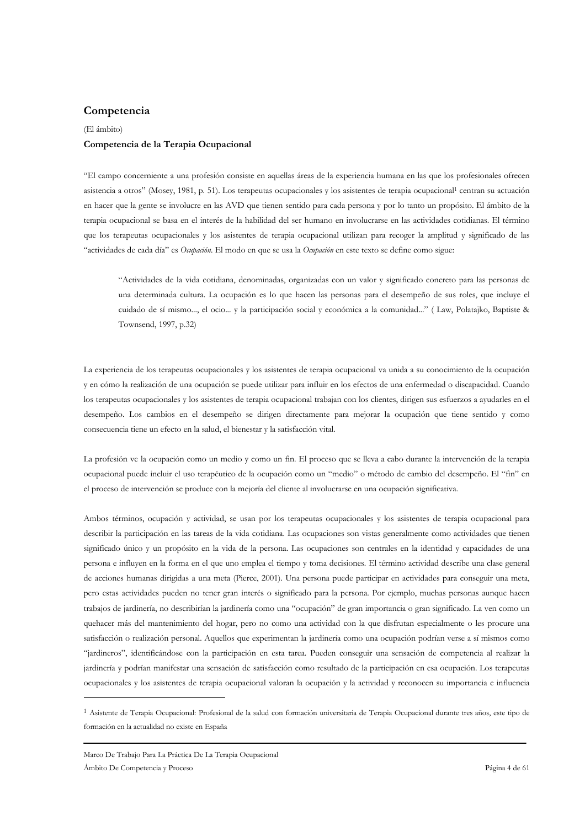### Competencia

# (El ámbito) Competencia de la Terapia Ocupacional

"El campo concerniente a una profesión consiste en aquellas áreas de la experiencia humana en las que los profesionales ofrecen asistencia a otros" (Mosey, 1981, p. 51). Los terapeutas ocupacionales y los asistentes de terapia ocupacional<sup>1</sup> centran su actuación en hacer que la gente se involucre en las AVD que tienen sentido para cada persona y por lo tanto un propósito. El ámbito de la terapia ocupacional se basa en el interés de la habilidad del ser humano en involucrarse en las actividades cotidianas. El término que los terapeutas ocupacionales y los asistentes de terapia ocupacional utilizan para recoger la amplitud y significado de las "actividades de cada día" es Ocupación. El modo en que se usa la Ocupación en este texto se define como sigue:

"Actividades de la vida cotidiana, denominadas, organizadas con un valor y significado concreto para las personas de una determinada cultura. La ocupación es lo que hacen las personas para el desempeño de sus roles, que incluye el cuidado de sí mismo..., el ocio... y la participación social y económica a la comunidad..." (Law, Polatajko, Baptiste & Townsend, 1997, p.32)

La experiencia de los terapeutas ocupacionales y los asistentes de terapia ocupacional va unida a su conocimiento de la ocupación y en cómo la realización de una ocupación se puede utilizar para influir en los efectos de una enfermedad o discapacidad. Cuando los terapeutas ocupacionales y los asistentes de terapia ocupacional trabajan con los clientes, dirigen sus esfuerzos a ayudarles en el desempeño. Los cambios en el desempeño se dirigen directamente para mejorar la ocupación que tiene sentido y como consecuencia tiene un efecto en la salud, el bienestar y la satisfacción vital.

La profesión ve la ocupación como un medio y como un fin. El proceso que se lleva a cabo durante la intervención de la terapia ocupacional puede incluir el uso terapéutico de la ocupación como un "medio" o método de cambio del desempeño. El "fin" en el proceso de intervención se produce con la mejoría del cliente al involucrarse en una ocupación significativa.

Ambos términos, ocupación y actividad, se usan por los terapeutas ocupacionales y los asistentes de terapia ocupacional para describir la participación en las tareas de la vida cotidiana. Las ocupaciones son vistas generalmente como actividades que tienen significado único y un propósito en la vida de la persona. Las ocupaciones son centrales en la identidad y capacidades de una persona e influyen en la forma en el que uno emplea el tiempo y toma decisiones. El término actividad describe una clase general de acciones humanas dirigidas a una meta (Pierce, 2001). Una persona puede participar en actividades para conseguir una meta, pero estas actividades pueden no tener gran interés o significado para la persona. Por ejemplo, muchas personas aunque hacen trabajos de jardinería, no describirían la jardinería como una "ocupación" de gran importancia o gran significado. La ven como un quehacer más del mantenimiento del hogar, pero no como una actividad con la que disfrutan especialmente o les procure una satisfacción o realización personal. Aquellos que experimentan la jardinería como una ocupación podrían verse a sí mismos como "jardineros", identificándose con la participación en esta tarea. Pueden conseguir una sensación de competencia al realizar la jardinería y podrían manifestar una sensación de satisfacción como resultado de la participación en esa ocupación. Los terapeutas ocupacionales y los asistentes de terapia ocupacional valoran la ocupación y la actividad y reconocen su importancia e influencia

<u> 1989 - Johann Barn, mars ann an t-Amhain Aonaich ann an t-Aonaich ann an t-Aonaich ann an t-Aonaich ann an t-</u>

<sup>&</sup>lt;sup>1</sup> Asistente de Terapia Ocupacional: Profesional de la salud con formación universitaria de Terapia Ocupacional durante tres años, este tipo de formación en la actualidad no existe en España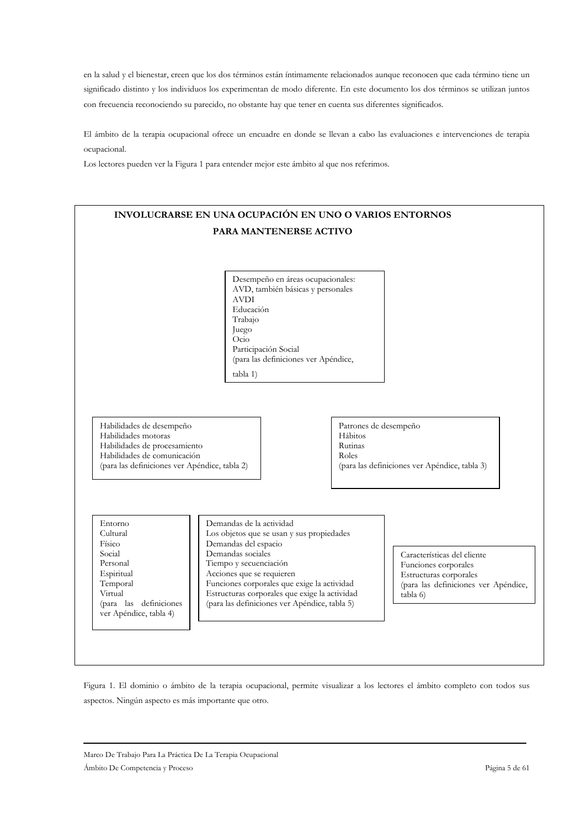en la salud y el bienestar, creen que los dos términos están íntimamente relacionados aunque reconocen que cada término tiene un significado distinto y los individuos los experimentan de modo diferente. En este documento los dos términos se utilizan juntos con frecuencia reconociendo su parecido, no obstante hay que tener en cuenta sus diferentes significados.

El ámbito de la terapia ocupacional ofrece un encuadre en donde se llevan a cabo las evaluaciones e intervenciones de terapia ocupacional.

Los lectores pueden ver la Figura 1 para entender mejor este ámbito al que nos referimos.



Figura 1. El dominio o ámbito de la terapia ocupacional, permite visualizar a los lectores el ámbito completo con todos sus aspectos. Ningún aspecto es más importante que otro.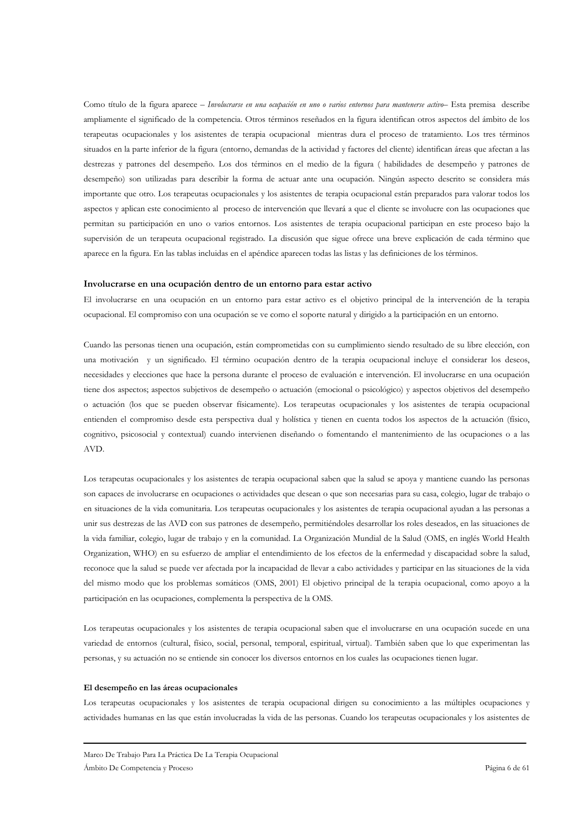Como título de la figura aparece - Involucrarse en una ocupación en uno o varios entornos para mantenerse activo- Esta premisa describe ampliamente el significado de la competencia. Otros términos reseñados en la figura identifican otros aspectos del ámbito de los terapeutas ocupacionales y los asistentes de terapia ocupacional mientras dura el proceso de tratamiento. Los tres términos situados en la parte inferior de la figura (entorno, demandas de la actividad y factores del cliente) identifican áreas que afectan a las destrezas y patrones del desempeño. Los dos términos en el medio de la figura (habilidades de desempeño y patrones de desempeño) son utilizadas para describir la forma de actuar ante una ocupación. Ningún aspecto descrito se considera más importante que otro. Los terapeutas ocupacionales y los asistentes de terapia ocupacional están preparados para valorar todos los aspectos y aplican este conocimiento al proceso de intervención que llevará a que el cliente se involucre con las ocupaciones que permitan su participación en uno o varios entornos. Los asistentes de terapia ocupacional participan en este proceso bajo la supervisión de un terapeuta ocupacional registrado. La discusión que sigue ofrece una breve explicación de cada término que aparece en la figura. En las tablas incluidas en el apéndice aparecen todas las listas y las definiciones de los términos.

#### Involucrarse en una ocupación dentro de un entorno para estar activo

El involucrarse en una ocupación en un entorno para estar activo es el objetivo principal de la intervención de la terapia ocupacional. El compromiso con una ocupación se ve como el soporte natural y dirigido a la participación en un entorno.

Cuando las personas tienen una ocupación, están comprometidas con su cumplimiento siendo resultado de su libre elección, con una motivación y un significado. El término ocupación dentro de la terapia ocupacional incluye el considerar los deseos, necesidades y elecciones que hace la persona durante el proceso de evaluación e intervención. El involucrarse en una ocupación tiene dos aspectos; aspectos subjetivos de desempeño o actuación (emocional o psicológico) y aspectos objetivos del desempeño o actuación (los que se pueden observar físicamente). Los terapeutas ocupacionales y los asistentes de terapia ocupacional entienden el compromiso desde esta perspectiva dual y holística y tienen en cuenta todos los aspectos de la actuación (físico, cognitivo, psicosocial y contextual) cuando intervienen diseñando o fomentando el mantenimiento de las ocupaciones o a las AVD.

Los terapeutas ocupacionales y los asistentes de terapia ocupacional saben que la salud se apoya y mantiene cuando las personas son capaces de involucrarse en ocupaciones o actividades que desean o que son necesarias para su casa, colegio, lugar de trabajo o en situaciones de la vida comunitaria. Los terapeutas ocupacionales y los asistentes de terapia ocupacional ayudan a las personas a unir sus destrezas de las AVD con sus patrones de desempeño, permitiéndoles desarrollar los roles deseados, en las situaciones de la vida familiar, colegio, lugar de trabajo y en la comunidad. La Organización Mundial de la Salud (OMS, en inglés World Health Organization, WHO) en su esfuerzo de ampliar el entendimiento de los efectos de la enfermedad y discapacidad sobre la salud, reconoce que la salud se puede ver afectada por la incapacidad de llevar a cabo actividades y participar en las situaciones de la vida del mismo modo que los problemas somáticos (OMS, 2001) El objetivo principal de la terapia ocupacional, como apoyo a la participación en las ocupaciones, complementa la perspectiva de la OMS.

Los terapeutas ocupacionales y los asistentes de terapia ocupacional saben que el involucrarse en una ocupación sucede en una variedad de entornos (cultural, físico, social, personal, temporal, espiritual, virtual). También saben que lo que experimentan las personas, y su actuación no se entiende sin conocer los diversos entornos en los cuales las ocupaciones tienen lugar.

#### El desempeño en las áreas ocupacionales

Los terapeutas ocupacionales y los asistentes de terapia ocupacional dirigen su conocimiento a las múltiples ocupaciones y actividades humanas en las que están involucradas la vida de las personas. Cuando los terapeutas ocupacionales y los asistentes de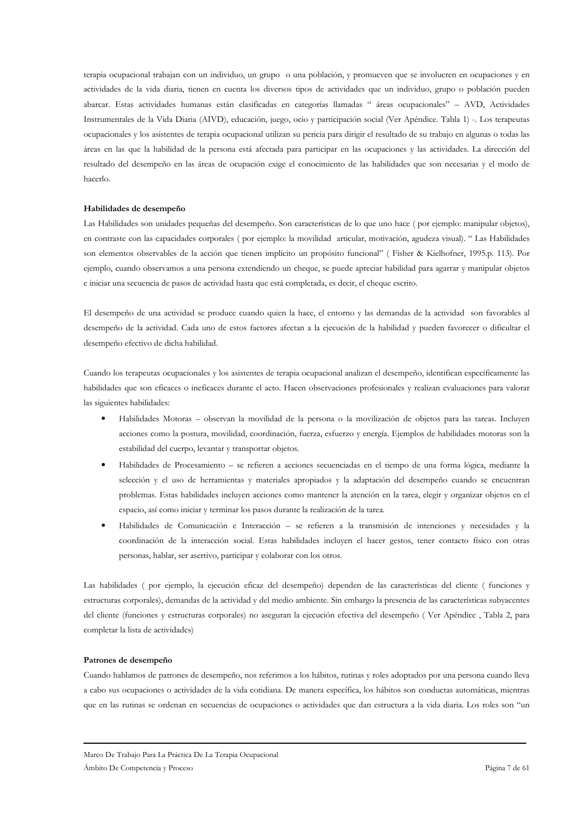terapia ocupacional trabajan con un individuo, un grupo o una población, y promueven que se involucren en ocupaciones y en actividades de la vida diaria, tienen en cuenta los diversos tipos de actividades que un individuo, grupo o población pueden abarcar. Estas actividades humanas están clasificadas en categorías llamadas "áreas ocupacionales" - AVD, Actividades Instrumentales de la Vida Diaria (AIVD), educación, juego, ocio y participación social (Ver Apéndice. Tabla 1) -. Los terapeutas ocupacionales y los asistentes de terapia ocupacional utilizan su pericia para dirigir el resultado de su trabajo en algunas o todas las áreas en las que la habilidad de la persona está afectada para participar en las ocupaciones y las actividades. La dirección del resultado del desempeño en las áreas de ocupación exige el conocimiento de las habilidades que son necesarias y el modo de hacerlo.

#### Habilidades de desempeño

Las Habilidades son unidades pequeñas del desempeño. Son características de lo que uno hace (por ejemplo: manipular objetos), en contraste con las capacidades corporales (por ejemplo: la movilidad articular, motivación, agudeza visual). "Las Habilidades son elementos observables de la acción que tienen implícito un propósito funcional" (Fisher & Kielhofner, 1995.p. 113). Por ejemplo, cuando observamos a una persona extendiendo un cheque, se puede apreciar habilidad para agarrar y manipular objetos e iniciar una secuencia de pasos de actividad hasta que está completada, es decir, el cheque escrito.

El desempeño de una actividad se produce cuando quien la hace, el entorno y las demandas de la actividad son favorables al desempeño de la actividad. Cada uno de estos factores afectan a la ejecución de la habilidad y pueden favorecer o dificultar el desempeño efectivo de dicha habilidad.

Cuando los terapeutas ocupacionales y los asistentes de terapia ocupacional analizan el desempeño, identifican específicamente las habilidades que son eficaces o ineficaces durante el acto. Hacen observaciones profesionales y realizan evaluaciones para valorar las siguientes habilidades:

- Habilidades Motoras observan la movilidad de la persona o la movilización de objetos para las tareas. Incluyen acciones como la postura, movilidad, coordinación, fuerza, esfuerzo y energía. Ejemplos de habilidades motoras son la estabilidad del cuerpo, levantar y transportar objetos.
- Habilidades de Procesamiento se refieren a acciones secuenciadas en el tiempo de una forma lógica, mediante la selección y el uso de herramientas y materiales apropiados y la adaptación del desempeño cuando se encuentran problemas. Estas habilidades incluyen acciones como mantener la atención en la tarea, elegir y organizar objetos en el espacio, así como iniciar y terminar los pasos durante la realización de la tarea.
- Habilidades de Comunicación e Interacción se refieren a la transmisión de intenciones y necesidades y la coordinación de la interacción social. Estas habilidades incluyen el hacer gestos, tener contacto físico con otras personas, hablar, ser asertivo, participar y colaborar con los otros.

Las habilidades (por ejemplo, la ejecución eficaz del desempeño) dependen de las características del cliente (funciones y estructuras corporales), demandas de la actividad y del medio ambiente. Sin embargo la presencia de las características subyacentes del cliente (funciones y estructuras corporales) no aseguran la ejecución efectiva del desempeño (Ver Apéndice, Tabla 2, para completar la lista de actividades)

#### Patrones de desempeño

Cuando hablamos de patrones de desempeño, nos referimos a los hábitos, rutinas y roles adoptados por una persona cuando lleva a cabo sus ocupaciones o actividades de la vida cotidiana. De manera específica, los hábitos son conductas automáticas, mientras que en las rutinas se ordenan en secuencias de ocupaciones o actividades que dan estructura a la vida diaria. Los roles son "un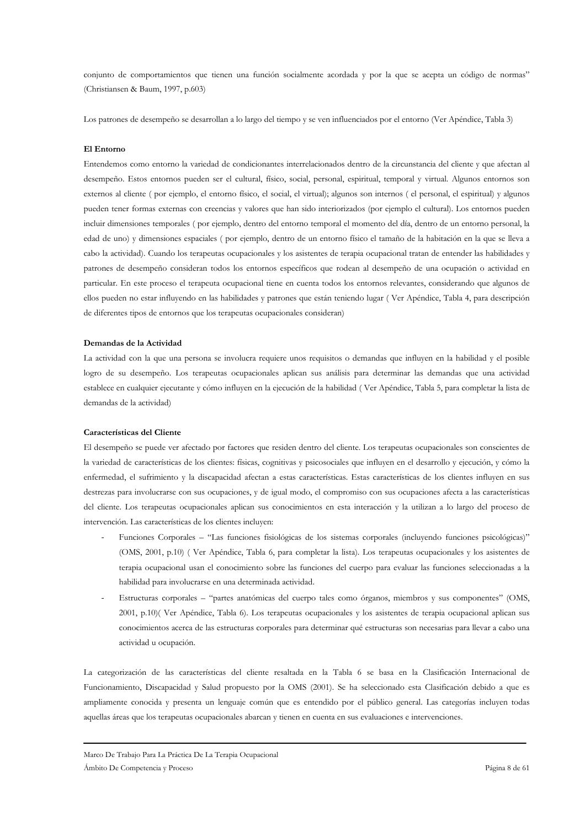conjunto de comportamientos que tienen una función socialmente acordada y por la que se acepta un código de normas" (Christiansen & Baum, 1997, p.603)

Los patrones de desempeño se desarrollan a lo largo del tiempo y se ven influenciados por el entorno (Ver Apéndice, Tabla 3)

#### El Entorno

Entendemos como entorno la variedad de condicionantes interrelacionados dentro de la circunstancia del cliente y que afectan al desempeño. Estos entornos pueden ser el cultural, físico, social, personal, espiritual, temporal y virtual. Algunos entornos son externos al cliente (por ejemplo, el entorno físico, el social, el virtual); algunos son internos (el personal, el espiritual) y algunos pueden tener formas externas con creencias y valores que han sido interiorizados (por ejemplo el cultural). Los entornos pueden incluir dimensiones temporales (por ejemplo, dentro del entorno temporal el momento del día, dentro de un entorno personal, la edad de uno) y dimensiones espaciales (por ejemplo, dentro de un entorno físico el tamaño de la habitación en la que se lleva a cabo la actividad). Cuando los terapeutas ocupacionales y los asistentes de terapia ocupacional tratan de entender las habilidades y patrones de desempeño consideran todos los entornos específicos que rodean al desempeño de una ocupación o actividad en particular. En este proceso el terapeuta ocupacional tiene en cuenta todos los entornos relevantes, considerando que algunos de ellos pueden no estar influyendo en las habilidades y patrones que están teniendo lugar (Ver Apéndice, Tabla 4, para descripción de diferentes tipos de entornos que los terapeutas ocupacionales consideran)

#### Demandas de la Actividad

La actividad con la que una persona se involucra requiere unos requisitos o demandas que influyen en la habilidad y el posible logro de su desempeño. Los terapeutas ocupacionales aplican sus análisis para determinar las demandas que una actividad establece en cualquier ejecutante y cómo influyen en la ejecución de la habilidad (Ver Apéndice, Tabla 5, para completar la lista de demandas de la actividad)

#### Características del Cliente

El desempeño se puede ver afectado por factores que residen dentro del cliente. Los terapeutas ocupacionales son conscientes de la variedad de características de los clientes: físicas, cognitivas y psicosociales que influyen en el desarrollo y ejecución, y cómo la enfermedad, el sufrimiento y la discapacidad afectan a estas características. Estas características de los clientes influyen en sus destrezas para involucrarse con sus ocupaciones, y de igual modo, el compromiso con sus ocupaciones afecta a las características del cliente. Los terapeutas ocupacionales aplican sus conocimientos en esta interacción y la utilizan a lo largo del proceso de intervención. Las características de los clientes incluyen:

- Funciones Corporales "Las funciones fisiológicas de los sistemas corporales (incluyendo funciones psicológicas)" (OMS, 2001, p.10) (Ver Apéndice, Tabla 6, para completar la lista). Los terapeutas ocupacionales y los asistentes de terapia ocupacional usan el conocimiento sobre las funciones del cuerpo para evaluar las funciones seleccionadas a la habilidad para involucrarse en una determinada actividad.
- Estructuras corporales "partes anatómicas del cuerpo tales como órganos, miembros y sus componentes" (OMS, 2001, p.10) (Ver Apéndice, Tabla 6). Los terapeutas ocupacionales y los asistentes de terapia ocupacional aplican sus conocimientos acerca de las estructuras corporales para determinar qué estructuras son necesarias para llevar a cabo una actividad u ocupación.

La categorización de las características del cliente resaltada en la Tabla 6 se basa en la Clasificación Internacional de Funcionamiento, Discapacidad y Salud propuesto por la OMS (2001). Se ha seleccionado esta Clasificación debido a que es ampliamente conocida y presenta un lenguaje común que es entendido por el público general. Las categorías incluyen todas aquellas áreas que los terapeutas ocupacionales abarcan y tienen en cuenta en sus evaluaciones e intervenciones.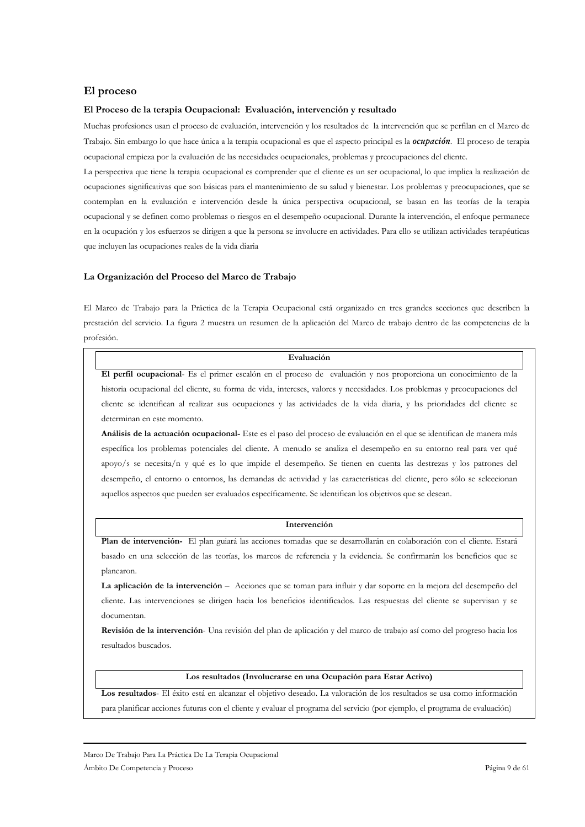### El proceso

#### El Proceso de la terapia Ocupacional: Evaluación, intervención y resultado

Muchas profesiones usan el proceso de evaluación, intervención y los resultados de la intervención que se perfilan en el Marco de Trabajo. Sin embargo lo que hace única a la terapia ocupacional es que el aspecto principal es la *ocupación*. El proceso de terapia ocupacional empieza por la evaluación de las necesidades ocupacionales, problemas y preocupaciones del cliente.

La perspectiva que tiene la terapia ocupacional es comprender que el cliente es un ser ocupacional, lo que implica la realización de ocupaciones significativas que son básicas para el mantenimiento de su salud y bienestar. Los problemas y preocupaciones, que se contemplan en la evaluación e intervención desde la única perspectiva ocupacional, se basan en las teorías de la terapia ocupacional y se definen como problemas o riesgos en el desempeño ocupacional. Durante la intervención, el enfoque permanece en la ocupación y los esfuerzos se dirigen a que la persona se involucre en actividades. Para ello se utilizan actividades terapéuticas que incluyen las ocupaciones reales de la vida diaria

#### La Organización del Proceso del Marco de Trabajo

El Marco de Trabajo para la Práctica de la Terapia Ocupacional está organizado en tres grandes secciones que describen la prestación del servicio. La figura 2 muestra un resumen de la aplicación del Marco de trabajo dentro de las competencias de la profesión.

#### Evaluación

El perfil ocupacional- Es el primer escalón en el proceso de evaluación y nos proporciona un conocimiento de la historia ocupacional del cliente, su forma de vida, intereses, valores y necesidades. Los problemas y preocupaciones del cliente se identifican al realizar sus ocupaciones y las actividades de la vida diaria, y las prioridades del cliente se determinan en este momento.

Análisis de la actuación ocupacional- Este es el paso del proceso de evaluación en el que se identifican de manera más específica los problemas potenciales del cliente. A menudo se analiza el desempeño en su entorno real para ver qué apovo/s se necesita/n y qué es lo que impide el desempeño. Se tienen en cuenta las destrezas y los patrones del desempeño, el entorno o entornos, las demandas de actividad y las características del cliente, pero sólo se seleccionan aquellos aspectos que pueden ser evaluados específicamente. Se identifican los objetivos que se desean.

#### Intervención

Plan de intervención- El plan guiará las acciones tomadas que se desarrollarán en colaboración con el cliente. Estará basado en una selección de las teorías, los marcos de referencia y la evidencia. Se confirmarán los beneficios que se planearon.

La aplicación de la intervención - Acciones que se toman para influir y dar soporte en la mejora del desempeño del cliente. Las intervenciones se dirigen hacia los beneficios identificados. Las respuestas del cliente se supervisan y se documentan

Revisión de la intervención- Una revisión del plan de aplicación y del marco de trabajo así como del progreso hacia los resultados buscados.

#### Los resultados (Involucrarse en una Ocupación para Estar Activo)

Los resultados- El éxito está en alcanzar el objetivo deseado. La valoración de los resultados se usa como información para planificar acciones futuras con el cliente y evaluar el programa del servicio (por ejemplo, el programa de evaluación)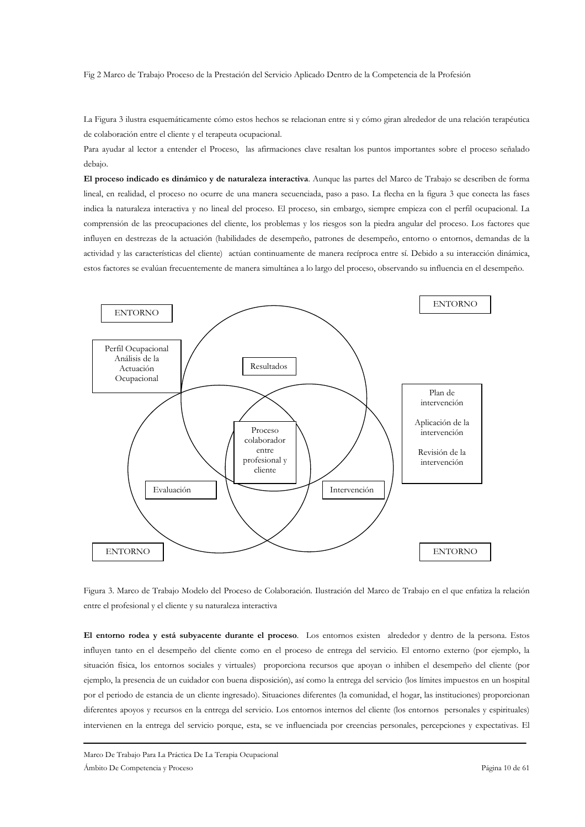Fig 2 Marco de Trabajo Proceso de la Prestación del Servicio Aplicado Dentro de la Competencia de la Profesión

La Figura 3 ilustra esquemáticamente cómo estos hechos se relacionan entre si y cómo giran alrededor de una relación terapéutica de colaboración entre el cliente y el terapeuta ocupacional.

Para avudar al lector a entender el Proceso, las afirmaciones clave resaltan los puntos importantes sobre el proceso señalado debajo.

El proceso indicado es dinámico y de naturaleza interactiva. Aunque las partes del Marco de Trabajo se describen de forma lineal, en realidad, el proceso no ocurre de una manera secuenciada, paso a paso. La flecha en la figura 3 que conecta las fases indica la naturaleza interactiva y no lineal del proceso. El proceso, sin embargo, siempre empieza con el perfil ocupacional. La comprensión de las preocupaciones del cliente, los problemas y los riesgos son la piedra angular del proceso. Los factores que influyen en destrezas de la actuación (habilidades de desempeño, patrones de desempeño, entorno o entornos, demandas de la actividad y las características del cliente) actúan continuamente de manera recíproca entre sí. Debido a su interacción dinámica, estos factores se evalúan frecuentemente de manera simultánea a lo largo del proceso, observando su influencia en el desempeño.



Figura 3. Marco de Trabajo Modelo del Proceso de Colaboración. Ilustración del Marco de Trabajo en el que enfatiza la relación entre el profesional y el cliente y su naturaleza interactiva

El entorno rodea y está subyacente durante el proceso. Los entornos existen alrededor y dentro de la persona. Estos influyen tanto en el desempeño del cliente como en el proceso de entrega del servicio. El entorno externo (por ejemplo, la situación física, los entornos sociales y virtuales) proporciona recursos que apoyan o inhiben el desempeño del cliente (por ejemplo, la presencia de un cuidador con buena disposición), así como la entrega del servicio (los límites impuestos en un hospital por el periodo de estancia de un cliente ingresado). Situaciones diferentes (la comunidad, el hogar, las instituciones) proporcionan diferentes apoyos y recursos en la entrega del servicio. Los entornos internos del cliente (los entornos personales y espirituales) intervienen en la entrega del servicio porque, esta, se ve influenciada por creencias personales, percepciones y expectativas. El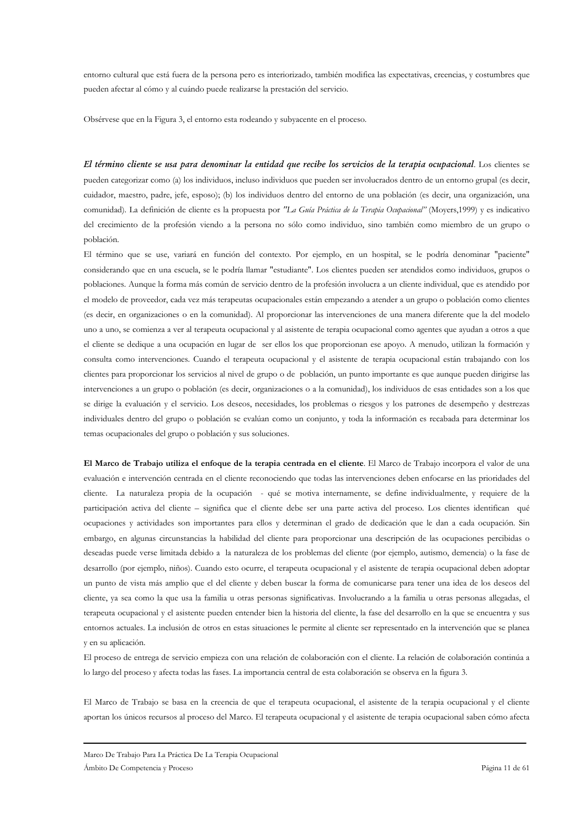entorno cultural que está fuera de la persona pero es interiorizado, también modifica las expectativas, creencias, y costumbres que pueden afectar al cómo y al cuándo puede realizarse la prestación del servicio.

Obsérvese que en la Figura 3, el entorno esta rodeando y subyacente en el proceso.

El término cliente se usa para denominar la entidad que recibe los servicios de la terapia ocupacional. Los clientes se pueden categorizar como (a) los individuos, incluso individuos que pueden ser involucrados dentro de un entorno grupal (es decir, cuidador, maestro, padre, jefe, esposo); (b) los individuos dentro del entorno de una población (es decir, una organización, una comunidad). La definición de cliente es la propuesta por "La Guía Práctica de la Terapia Ocupacional" (Moyers, 1999) y es indicativo del crecimiento de la profesión viendo a la persona no sólo como individuo, sino también como miembro de un grupo o población.

El término que se use, variará en función del contexto. Por ejemplo, en un hospital, se le podría denominar "paciente" considerando que en una escuela, se le podría llamar "estudiante". Los clientes pueden ser atendidos como individuos, grupos o poblaciones. Aunque la forma más común de servicio dentro de la profesión involucra a un cliente individual, que es atendido por el modelo de proveedor, cada vez más terapeutas ocupacionales están empezando a atender a un grupo o población como clientes (es decir, en organizaciones o en la comunidad). Al proporcionar las intervenciones de una manera diferente que la del modelo uno a uno, se comienza a ver al terapeuta ocupacional y al asistente de terapia ocupacional como agentes que ayudan a otros a que el cliente se dedique a una ocupación en lugar de ser ellos los que proporcionan ese apoyo. A menudo, utilizan la formación y consulta como intervenciones. Cuando el terapeuta ocupacional y el asistente de terapia ocupacional están trabajando con los clientes para proporcionar los servicios al nivel de grupo o de población, un punto importante es que aunque pueden dirigirse las intervenciones a un grupo o población (es decir, organizaciones o a la comunidad), los individuos de esas entidades son a los que se dirige la evaluación y el servicio. Los deseos, necesidades, los problemas o riesgos y los patrones de desempeño y destrezas individuales dentro del grupo o población se evalúan como un conjunto, y toda la información es recabada para determinar los temas ocupacionales del grupo o población y sus soluciones.

El Marco de Trabajo utiliza el enfoque de la terapia centrada en el cliente. El Marco de Trabajo incorpora el valor de una evaluación e intervención centrada en el cliente reconociendo que todas las intervenciones deben enfocarse en las prioridades del cliente. La naturaleza propia de la ocupación - qué se motiva internamente, se define individualmente, y requiere de la participación activa del cliente - significa que el cliente debe ser una parte activa del proceso. Los clientes identifican qué ocupaciones y actividades son importantes para ellos y determinan el grado de dedicación que le dan a cada ocupación. Sin embargo, en algunas circunstancias la habilidad del cliente para proporcionar una descripción de las ocupaciones percibidas o deseadas puede verse limitada debido a la naturaleza de los problemas del cliente (por ejemplo, autismo, demencia) o la fase de desarrollo (por ejemplo, niños). Cuando esto ocurre, el terapeuta ocupacional y el asistente de terapia ocupacional deben adoptar un punto de vista más amplio que el del cliente y deben buscar la forma de comunicarse para tener una idea de los deseos del cliente, ya sea como la que usa la familia u otras personas significativas. Involucrando a la familia u otras personas allegadas, el terapeuta ocupacional y el asistente pueden entender bien la historia del cliente, la fase del desarrollo en la que se encuentra y sus entornos actuales. La inclusión de otros en estas situaciones le permite al cliente ser representado en la intervención que se planea v en su aplicación.

El proceso de entrega de servicio empieza con una relación de colaboración con el cliente. La relación de colaboración continúa a lo largo del proceso y afecta todas las fases. La importancia central de esta colaboración se observa en la figura 3.

El Marco de Trabajo se basa en la creencia de que el terapeuta ocupacional, el asistente de la terapia ocupacional y el cliente aportan los únicos recursos al proceso del Marco. El terapeuta ocupacional y el asistente de terapia ocupacional saben cómo afecta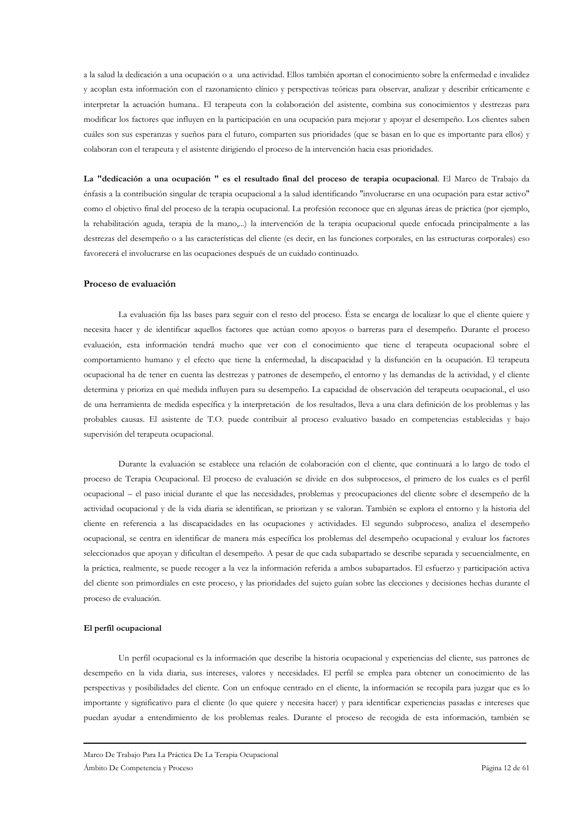a la salud la dedicación a una ocupación o a una actividad. Ellos también aportan el conocimiento sobre la enfermedad e invalidez y acoplan esta información con el razonamiento clínico y perspectivas teóricas para observar, analizar y describir críticamente e interpretar la actuación humana. El terapeuta con la colaboración del asistente, combina sus conocimientos y destrezas para modificar los factores que influyen en la participación en una ocupación para mejorar y apoyar el desempeño. Los clientes saben cuáles son sus esperanzas y sueños para el futuro, comparten sus prioridades (que se basan en lo que es importante para ellos) y colaboran con el terapeuta y el asistente dirigiendo el proceso de la intervención hacia esas prioridades.

La "dedicación a una ocupación " es el resultado final del proceso de terapia ocupacional. El Marco de Trabajo da énfasis a la contribución singular de terapia ocupacional a la salud identificando "involucrarse en una ocupación para estar activo" como el objetivo final del proceso de la terapia ocupacional. La profesión reconoce que en algunas áreas de práctica (por ejemplo, la rehabilitación aguda, terapia de la mano,...) la intervención de la terapia ocupacional quede enfocada principalmente a las destrezas del desempeño o a las características del cliente (es decir, en las funciones corporales, en las estructuras corporales) eso favorecerá el involucrarse en las ocupaciones después de un cuidado continuado.

### Proceso de evaluación

La evaluación fija las bases para seguir con el resto del proceso. Ésta se encarga de localizar lo que el cliente quiere y necesita hacer y de identificar aquellos factores que actúan como apoyos o barreras para el desempeño. Durante el proceso evaluación, esta información tendrá mucho que ver con el conocimiento que tiene el terapeuta ocupacional sobre el comportamiento humano y el efecto que tiene la enfermedad, la discapacidad y la disfunción en la ocupación. El terapeuta ocupacional ha de tener en cuenta las destrezas y patrones de desempeño, el entorno y las demandas de la actividad, y el cliente determina y prioriza en qué medida influyen para su desempeño. La capacidad de observación del terapeuta ocupacional, el uso de una herramienta de medida específica y la interpretación de los resultados, lleva a una clara definición de los problemas y las probables causas. El asistente de T.O. puede contribuir al proceso evaluativo basado en competencias establecidas y bajo supervisión del terapeuta ocupacional.

Durante la evaluación se establece una relación de colaboración con el cliente, que continuará a lo largo de todo el proceso de Terapia Ocupacional. El proceso de evaluación se divide en dos subprocesos, el primero de los cuales es el perfil ocupacional – el paso inicial durante el que las necesidades, problemas y preocupaciones del cliente sobre el desempeño de la actividad ocupacional y de la vida diaria se identifican, se priorizan y se valoran. También se explora el entorno y la historia del cliente en referencia a las discapacidades en las ocupaciones y actividades. El segundo subproceso, analiza el desempeño ocupacional, se centra en identificar de manera más específica los problemas del desempeño ocupacional y evaluar los factores seleccionados que apoyan y dificultan el desempeño. A pesar de que cada subapartado se describe separada y secuencialmente, en la práctica, realmente, se puede recoger a la vez la información referida a ambos subapartados. El esfuerzo y participación activa del cliente son primordiales en este proceso, y las prioridades del sujeto guían sobre las elecciones y decisiones hechas durante el proceso de evaluación.

#### El perfil ocupacional

Un perfil ocupacional es la información que describe la historia ocupacional y experiencias del cliente, sus patrones de desempeño en la vida diaria, sus intereses, valores y necesidades. El perfil se emplea para obtener un conocimiento de las perspectivas y posibilidades del cliente. Con un enfoque centrado en el cliente, la información se recopila para juzgar que es lo importante y significativo para el cliente (lo que quiere y necesita hacer) y para identificar experiencias pasadas e intereses que puedan ayudar a entendimiento de los problemas reales. Durante el proceso de recogida de esta información, también se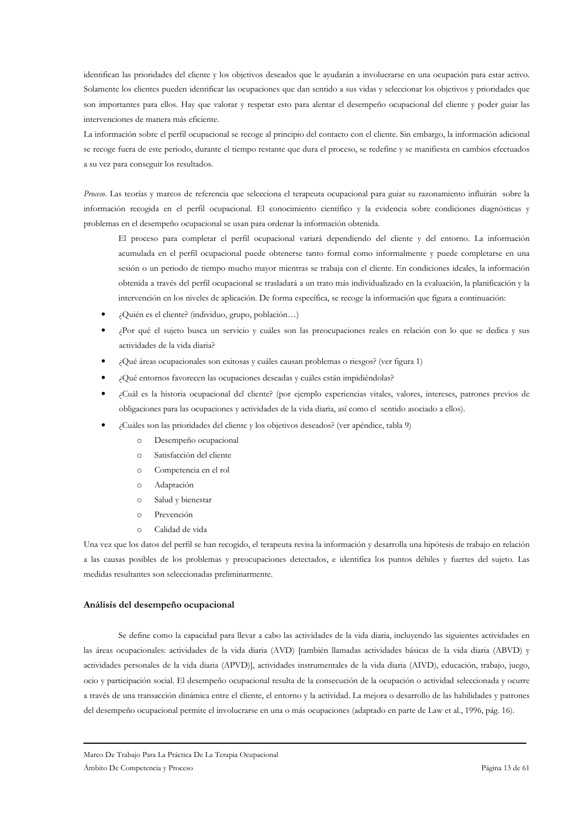identifican las prioridades del cliente y los objetivos deseados que le avudarán a involucrarse en una ocupación para estar activo. Solamente los clientes pueden identificar las ocupaciones que dan sentido a sus vidas y seleccionar los objetivos y prioridades que son importantes para ellos. Hay que valorar y respetar esto para alentar el desempeño ocupacional del cliente y poder guiar las intervenciones de manera más eficiente.

La información sobre el perfil ocupacional se recoge al principio del contacto con el cliente. Sin embargo, la información adicional se recoge fuera de este periodo, durante el tiempo restante que dura el proceso, se redefine y se manifiesta en cambios efectuados a su vez para conseguir los resultados.

Proceso. Las teorías y marcos de referencia que selecciona el terapeuta ocupacional para guiar su razonamiento influirán sobre la información recogida en el perfil ocupacional. El conocimiento científico y la evidencia sobre condiciones diagnósticas y problemas en el desempeño ocupacional se usan para ordenar la información obtenida.

El proceso para completar el perfil ocupacional variará dependiendo del cliente y del entorno. La información acumulada en el perfil ocupacional puede obtenerse tanto formal como informalmente y puede completarse en una sesión o un periodo de tiempo mucho mayor mientras se trabaja con el cliente. En condiciones ideales, la información obtenida a través del perfil ocupacional se trasladará a un trato más individualizado en la evaluación, la planificación y la intervención en los niveles de aplicación. De forma específica, se recoge la información que figura a continuación:

- ¿Quién es el cliente? (individuo, grupo, población...)
- Por qué el sujeto busca un servicio y cuáles son las preocupaciones reales en relación con lo que se dedica y sus actividades de la vida diaria?
- ¿Qué áreas ocupacionales son exitosas y cuáles causan problemas o riesgos? (ver figura 1)
- ¿Qué entornos favorecen las ocupaciones deseadas y cuáles están impidiéndolas?
- Cuál es la historia ocupacional del cliente? (por ejemplo experiencias vitales, valores, intereses, patrones previos de obligaciones para las ocupaciones y actividades de la vida diaria, así como el sentido asociado a ellos).
- ¿Cuáles son las prioridades del cliente y los objetivos deseados? (ver apéndice, tabla 9)
	- Desempeño ocupacional  $\circ$
	- $\circ$ Satisfacción del cliente
	- $\Omega$ Competencia en el rol
	- $\circ$ Adaptación
	- Salud v bienestar  $\circ$
	- Prevención  $\circ$
	- $\circ$ Calidad de vida

Una vez que los datos del perfil se han recogido, el terapeuta revisa la información y desarrolla una hipótesis de trabajo en relación a las causas posibles de los problemas y preocupaciones detectados, e identifica los puntos débiles y fuertes del sujeto. Las medidas resultantes son seleccionadas preliminarmente.

#### Análisis del desempeño ocupacional

Se define como la capacidad para llevar a cabo las actividades de la vida diaria, incluyendo las siguientes actividades en las áreas ocupacionales: actividades de la vida diaria (AVD) [también llamadas actividades básicas de la vida diaria (ABVD) y actividades personales de la vida diaria (APVD)], actividades instrumentales de la vida diaria (AIVD), educación, trabajo, juego, ocio y participación social. El desempeño ocupacional resulta de la consecución de la ocupación o actividad seleccionada y ocurre a través de una transacción dinámica entre el cliente, el entorno y la actividad. La mejora o desarrollo de las habilidades y patrones del desempeño ocupacional permite el involucrarse en una o más ocupaciones (adaptado en parte de Law et al., 1996, pág. 16).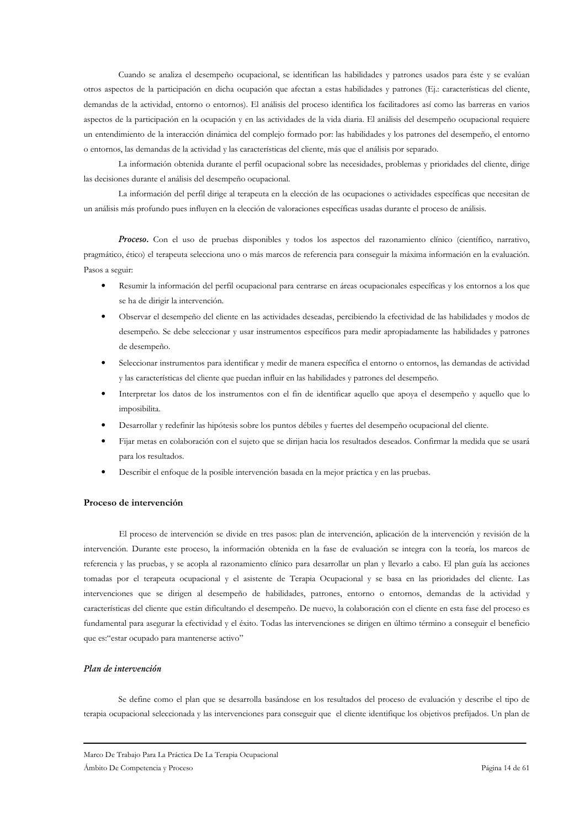Cuando se analiza el desempeño ocupacional, se identifican las habilidades y patrones usados para éste y se evalúan otros aspectos de la participación en dicha ocupación que afectan a estas habilidades y patrones (Ej.: características del cliente, demandas de la actividad, entorno o entornos). El análisis del proceso identifica los facilitadores así como las barreras en varios aspectos de la participación en la ocupación y en las actividades de la vida diaria. El análisis del desempeño ocupacional requiere un entendimiento de la interacción dinámica del complejo formado por: las habilidades y los patrones del desempeño, el entorno o entornos, las demandas de la actividad y las características del cliente, más que el análisis por separado.

La información obtenida durante el perfil ocupacional sobre las necesidades, problemas y prioridades del cliente, dirige las decisiones durante el análisis del desempeño ocupacional.

La información del perfil dirige al terapeuta en la elección de las ocupaciones o actividades específicas que necesitan de un análisis más profundo pues influyen en la elección de valoraciones específicas usadas durante el proceso de análisis.

Proceso. Con el uso de pruebas disponibles y todos los aspectos del razonamiento clínico (científico, narrativo, pragmático, ético) el terapeuta selecciona uno o más marcos de referencia para conseguir la máxima información en la evaluación. Pasos a seguir:

- Resumir la información del perfil ocupacional para centrarse en áreas ocupacionales específicas y los entornos a los que se ha de dirigir la intervención.
- Observar el desempeño del cliente en las actividades deseadas, percibiendo la efectividad de las habilidades y modos de desempeño. Se debe seleccionar y usar instrumentos específicos para medir apropiadamente las habilidades y patrones de desempeño.
- Seleccionar instrumentos para identificar y medir de manera específica el entorno o entornos, las demandas de actividad y las características del cliente que puedan influir en las habilidades y patrones del desempeño.
- Interpretar los datos de los instrumentos con el fin de identificar aquello que apoya el desempeño y aquello que lo imposibilita.
- Desarrollar y redefinir las hipótesis sobre los puntos débiles y fuertes del desempeño ocupacional del cliente.
- Fijar metas en colaboración con el sujeto que se dirijan hacia los resultados deseados. Confirmar la medida que se usará para los resultados.
- Describir el enfoque de la posible intervención basada en la mejor práctica y en las pruebas.

#### Proceso de intervención

El proceso de intervención se divide en tres pasos: plan de intervención, aplicación de la intervención y revisión de la intervención. Durante este proceso, la información obtenida en la fase de evaluación se integra con la teoría, los marcos de referencia y las pruebas, y se acopla al razonamiento clínico para desarrollar un plan y llevarlo a cabo. El plan guía las acciones tomadas por el terapeuta ocupacional y el asistente de Terapia Ocupacional y se basa en las prioridades del cliente. Las intervenciones que se dirigen al desempeño de habilidades, patrones, entorno o entornos, demandas de la actividad y características del cliente que están dificultando el desempeño. De nuevo, la colaboración con el cliente en esta fase del proceso es fundamental para asegurar la efectividad y el éxito. Todas las intervenciones se dirigen en último término a conseguir el beneficio que es:"estar ocupado para mantenerse activo"

### Plan de intervención

Se define como el plan que se desarrolla basándose en los resultados del proceso de evaluación y describe el tipo de terapia ocupacional seleccionada y las intervenciones para conseguir que el cliente identifique los objetivos prefijados. Un plan de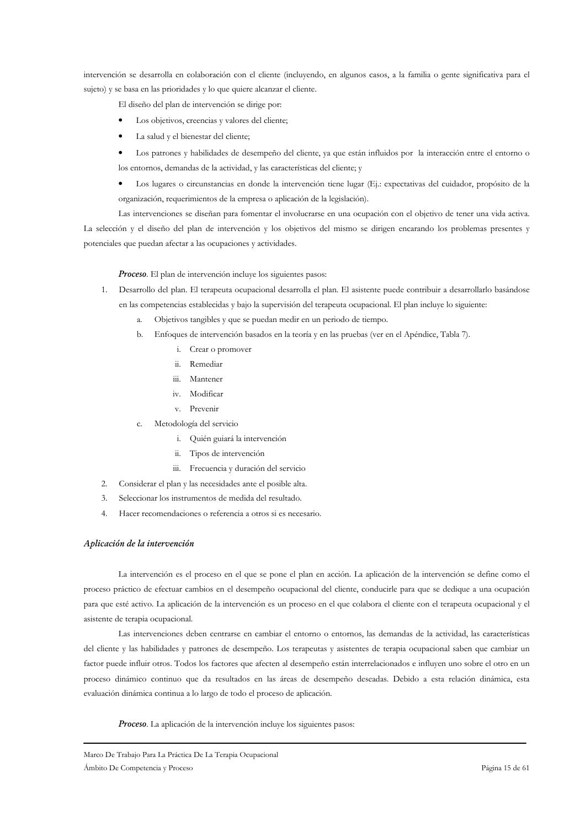intervención se desarrolla en colaboración con el cliente (incluyendo, en algunos casos, a la familia o gente significativa para el sujeto) y se basa en las prioridades y lo que quiere alcanzar el cliente.

El diseño del plan de intervención se dirige por:

- Los objetivos, creencias y valores del cliente;
- La salud y el bienestar del cliente;

· Los patrones y habilidades de desempeño del cliente, ya que están influidos por la interacción entre el entorno o los entornos, demandas de la actividad, y las características del cliente; y

• Los lugares o circunstancias en donde la intervención tiene lugar (Ej.: expectativas del cuidador, propósito de la organización, requerimientos de la empresa o aplicación de la legislación).

Las intervenciones se diseñan para fomentar el involucrarse en una ocupación con el objetivo de tener una vida activa. La selección y el diseño del plan de intervención y los objetivos del mismo se dirigen encarando los problemas presentes y potenciales que puedan afectar a las ocupaciones y actividades.

### Proceso. El plan de intervención incluye los siguientes pasos:

- 1. Desarrollo del plan. El terapeuta ocupacional desarrolla el plan. El asistente puede contribuir a desarrollarlo basándose en las competencias establecidas y bajo la supervisión del terapeuta ocupacional. El plan incluye lo siguiente:
	- a. Objetivos tangibles y que se puedan medir en un periodo de tiempo.
	- b. Enfoques de intervención basados en la teoría y en las pruebas (ver en el Apéndice, Tabla 7).
		- i. Crear o promover
		- ii. Remediar
		- iii. Mantener
		- iv. Modificar
		- v. Prevenir
	- c. Metodología del servicio
		- i. Quién guiará la intervención
		- ii. Tipos de intervención
		- iii. Frecuencia y duración del servicio
- 2. Considerar el plan y las necesidades ante el posible alta.
- 3. Seleccionar los instrumentos de medida del resultado.
- 4. Hacer recomendaciones o referencia a otros si es necesario.

### Aplicación de la intervención

La intervención es el proceso en el que se pone el plan en acción. La aplicación de la intervención se define como el proceso práctico de efectuar cambios en el desempeño ocupacional del cliente, conducirle para que se dedique a una ocupación para que esté activo. La aplicación de la intervención es un proceso en el que colabora el cliente con el terapeuta ocupacional y el asistente de terapia ocupacional.

Las intervenciones deben centrarse en cambiar el entorno o entornos, las demandas de la actividad, las características del cliente y las habilidades y patrones de desempeño. Los terapeutas y asistentes de terapia ocupacional saben que cambiar un factor puede influir otros. Todos los factores que afecten al desempeño están interrelacionados e influyen uno sobre el otro en un proceso dinámico continuo que da resultados en las áreas de desempeño deseadas. Debido a esta relación dinámica, esta evaluación dinámica continua a lo largo de todo el proceso de aplicación.

Proceso. La aplicación de la intervención incluye los siguientes pasos: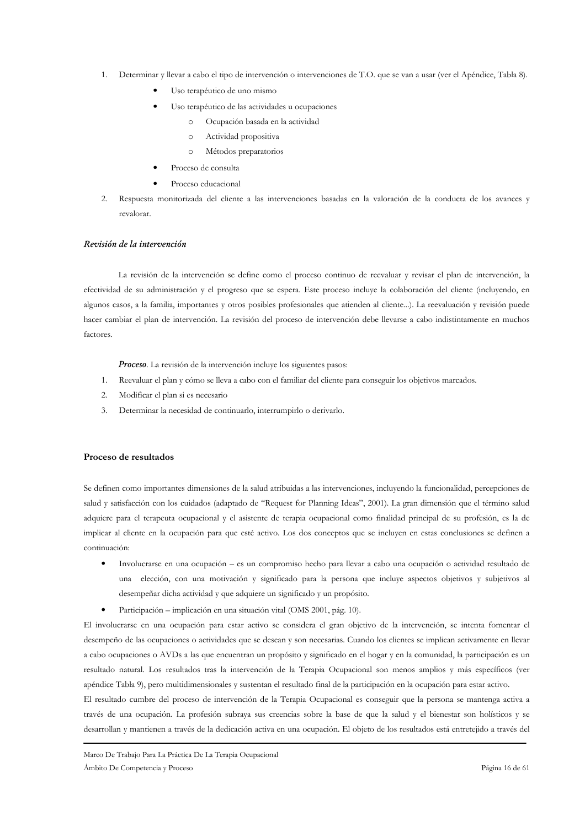- Determinar y llevar a cabo el tipo de intervención o intervenciones de T.O. que se van a usar (ver el Apéndice, Tabla 8).
	- Uso terapéutico de uno mismo
	- Uso terapéutico de las actividades u ocupaciones
		- $\circ$ Ocupación basada en la actividad
		- Actividad propositiva  $\circ$
		- Métodos preparatorios  $\circ$
	- Proceso de consulta
	- Proceso educacional
- 2. Respuesta monitorizada del cliente a las intervenciones basadas en la valoración de la conducta de los avances y revalorar

### Revisión de la intervención

La revisión de la intervención se define como el proceso continuo de reevaluar y revisar el plan de intervención, la efectividad de su administración y el progreso que se espera. Este proceso incluye la colaboración del cliente (incluyendo, en algunos casos, a la familia, importantes y otros posibles profesionales que atienden al cliente...). La reevaluación y revisión puede hacer cambiar el plan de intervención. La revisión del proceso de intervención debe llevarse a cabo indistintamente en muchos factores.

Proceso. La revisión de la intervención incluye los siguientes pasos:

- 1. Reevaluar el plan y cómo se lleva a cabo con el familiar del cliente para conseguir los objetivos marcados.
- Modificar el plan si es necesario  $\mathcal{D}$
- Determinar la necesidad de continuarlo, interrumpirlo o derivarlo.  $\mathfrak{Z}$ .

### Proceso de resultados

Se definen como importantes dimensiones de la salud atribuidas a las intervenciones, incluyendo la funcionalidad, percepciones de salud y satisfacción con los cuidados (adaptado de "Request for Planning Ideas", 2001). La gran dimensión que el término salud adquiere para el terapeuta ocupacional y el asistente de terapia ocupacional como finalidad principal de su profesión, es la de implicar al cliente en la ocupación para que esté activo. Los dos conceptos que se incluyen en estas conclusiones se definen a continuación:

- Involucrarse en una ocupación es un compromiso hecho para llevar a cabo una ocupación o actividad resultado de  $\bullet$ una elección, con una motivación y significado para la persona que incluye aspectos objetivos y subjetivos al desempeñar dicha actividad y que adquiere un significado y un propósito.
- Participación implicación en una situación vital (OMS 2001, pág. 10).

El involucrarse en una ocupación para estar activo se considera el gran objetivo de la intervención, se intenta fomentar el desempeño de las ocupaciones o actividades que se desean y son necesarias. Cuando los clientes se implican activamente en llevar a cabo ocupaciones o AVDs a las que encuentran un propósito y significado en el hogar y en la comunidad, la participación es un resultado natural. Los resultados tras la intervención de la Terapia Ocupacional son menos amplios y más específicos (ver apéndice Tabla 9), pero multidimensionales y sustentan el resultado final de la participación en la ocupación para estar activo.

El resultado cumbre del proceso de intervención de la Terapia Ocupacional es conseguir que la persona se mantenga activa a través de una ocupación. La profesión subraya sus creencias sobre la base de que la salud y el bienestar son holísticos y se desarrollan y mantienen a través de la dedicación activa en una ocupación. El objeto de los resultados está entretejido a través del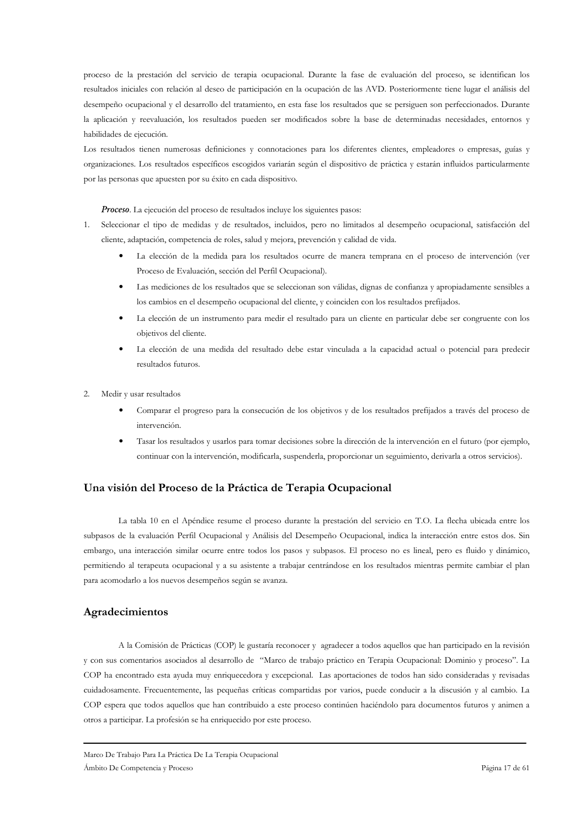proceso de la prestación del servicio de terapia ocupacional. Durante la fase de evaluación del proceso, se identifican los resultados iniciales con relación al deseo de participación en la ocupación de las AVD. Posteriormente tiene lugar el análisis del desempeño ocupacional y el desarrollo del tratamiento, en esta fase los resultados que se persiguen son perfeccionados. Durante la aplicación y reevaluación, los resultados pueden ser modificados sobre la base de determinadas necesidades, entornos y habilidades de ejecución.

Los resultados tienen numerosas definiciones y connotaciones para los diferentes clientes, empleadores o empresas, guías y organizaciones. Los resultados específicos escogidos variarán según el dispositivo de práctica y estarán influidos particularmente por las personas que apuesten por su éxito en cada dispositivo.

Proceso. La ejecución del proceso de resultados incluye los siguientes pasos:

- 1. Seleccionar el tipo de medidas y de resultados, incluidos, pero no limitados al desempeño ocupacional, satisfacción del cliente, adaptación, competencia de roles, salud y mejora, prevención y calidad de vida.
	- $\bullet$ La elección de la medida para los resultados ocurre de manera temprana en el proceso de intervención (ver Proceso de Evaluación, sección del Perfil Ocupacional).
	- Las mediciones de los resultados que se seleccionan son válidas, dignas de confianza y apropiadamente sensibles a los cambios en el desempeño ocupacional del cliente, y coinciden con los resultados prefijados.
	- La elección de un instrumento para medir el resultado para un cliente en particular debe ser congruente con los  $\bullet$ objetivos del cliente.
	- La elección de una medida del resultado debe estar vinculada a la capacidad actual o potencial para predecir resultados futuros
- Medir y usar resultados  $\overline{2}$ .
	- Comparar el progreso para la consecución de los objetivos y de los resultados prefijados a través del proceso de intervención.
	- Tasar los resultados y usarlos para tomar decisiones sobre la dirección de la intervención en el futuro (por ejemplo, continuar con la intervención, modificarla, suspenderla, proporcionar un seguimiento, derivarla a otros servicios).

# Una visión del Proceso de la Práctica de Terapia Ocupacional

La tabla 10 en el Apéndice resume el proceso durante la prestación del servicio en T.O. La flecha ubicada entre los subpasos de la evaluación Perfil Ocupacional y Análisis del Desempeño Ocupacional, indica la interacción entre estos dos. Sin embargo, una interacción similar ocurre entre todos los pasos y subpasos. El proceso no es lineal, pero es fluido y dinámico, permitiendo al terapeuta ocupacional y a su asistente a trabajar centrándose en los resultados mientras permite cambiar el plan para acomodarlo a los nuevos desempeños según se avanza.

# Agradecimientos

A la Comisión de Prácticas (COP) le gustaría reconocer y agradecer a todos aquellos que han participado en la revisión y con sus comentarios asociados al desarrollo de "Marco de trabajo práctico en Terapia Ocupacional: Dominio y proceso". La COP ha encontrado esta ayuda muy enriquecedora y excepcional. Las aportaciones de todos han sido consideradas y revisadas cuidadosamente. Frecuentemente, las pequeñas críticas compartidas por varios, puede conducir a la discusión y al cambio. La COP espera que todos aquellos que han contribuido a este proceso continúen haciéndolo para documentos futuros y animen a otros a participar. La profesión se ha enriquecido por este proceso.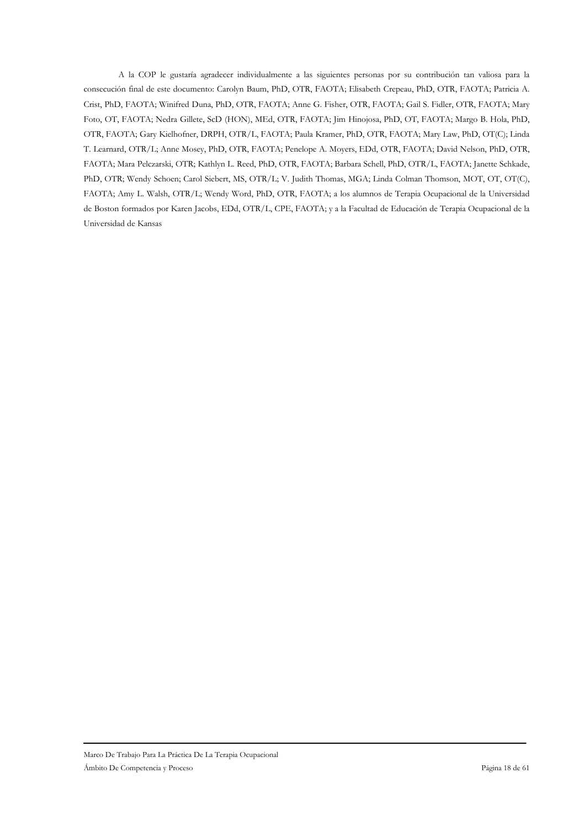A la COP le gustaría agradecer individualmente a las siguientes personas por su contribución tan valiosa para la consecución final de este documento: Carolyn Baum, PhD, OTR, FAOTA; Elisabeth Crepeau, PhD, OTR, FAOTA; Patricia A. Crist, PhD, FAOTA; Winifred Duna, PhD, OTR, FAOTA; Anne G. Fisher, OTR, FAOTA; Gail S. Fidler, OTR, FAOTA; Mary Foto, OT, FAOTA; Nedra Gillete, ScD (HON), MEd, OTR, FAOTA; Jim Hinojosa, PhD, OT, FAOTA; Margo B. Hola, PhD, OTR, FAOTA; Gary Kielhofner, DRPH, OTR/L, FAOTA; Paula Kramer, PhD, OTR, FAOTA; Mary Law, PhD, OT(C); Linda T. Learnard, OTR/L; Anne Mosey, PhD, OTR, FAOTA; Penelope A. Moyers, EDd, OTR, FAOTA; David Nelson, PhD, OTR, FAOTA; Mara Pelczarski, OTR; Kathlyn L. Reed, PhD, OTR, FAOTA; Barbara Schell, PhD, OTR/L, FAOTA; Janette Schkade, PhD, OTR; Wendy Schoen; Carol Siebert, MS, OTR/L; V. Judith Thomas, MGA; Linda Colman Thomson, MOT, OT, OT(C), FAOTA; Amy L. Walsh, OTR/L; Wendy Word, PhD, OTR, FAOTA; a los alumnos de Terapia Ocupacional de la Universidad de Boston formados por Karen Jacobs, EDd, OTR/L, CPE, FAOTA; y a la Facultad de Educación de Terapia Ocupacional de la Universidad de Kansas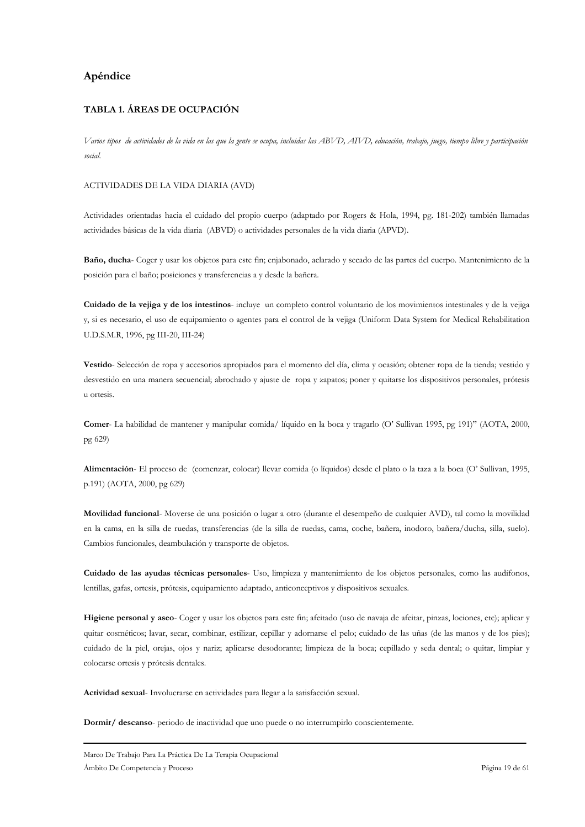# Apéndice

# **TABLA 1. ÁREAS DE OCUPACIÓN**

Varios tipos de actividades de la vida en las que la gente se ocupa, incluidas las ABVD, AIVD, educación, trabajo, juego, tiempo libre y participación social

### ACTIVIDADES DE LA VIDA DIARIA (AVD)

Actividades orientadas hacia el cuidado del propio cuerpo (adaptado por Rogers & Hola, 1994, pg. 181-202) también llamadas actividades básicas de la vida diaria (ABVD) o actividades personales de la vida diaria (APVD).

Baño, ducha- Coger y usar los objetos para este fin; enjabonado, aclarado y secado de las partes del cuerpo. Mantenimiento de la posición para el baño; posiciones y transferencias a y desde la bañera.

Cuidado de la vejiga y de los intestinos- incluye un completo control voluntario de los movimientos intestinales y de la vejiga y, si es necesario, el uso de equipamiento o agentes para el control de la vejiga (Uniform Data System for Medical Rehabilitation U.D.S.M.R, 1996, pg III-20, III-24)

Vestido-Selección de ropa y accesorios apropiados para el momento del día, clima y ocasión; obtener ropa de la tienda; vestido y desvestido en una manera secuencial; abrochado y ajuste de ropa y zapatos; poner y quitarse los dispositivos personales, prótesis u ortesis.

Comer- La habilidad de mantener y manipular comida/ líquido en la boca y tragarlo (O' Sullivan 1995, pg 191)" (AOTA, 2000, pg 629)

Alimentación- El proceso de (comenzar, colocar) llevar comida (o líquidos) desde el plato o la taza a la boca (O' Sullivan, 1995, p.191) (AOTA, 2000, pg 629)

Movilidad funcional- Moverse de una posición o lugar a otro (durante el desempeño de cualquier AVD), tal como la movilidad en la cama, en la silla de ruedas, transferencias (de la silla de ruedas, cama, coche, bañera, inodoro, bañera/ducha, silla, suelo). Cambios funcionales, deambulación y transporte de objetos.

Cuidado de las ayudas técnicas personales- Uso, limpieza y mantenimiento de los objetos personales, como las audífonos, lentillas, gafas, ortesis, prótesis, equipamiento adaptado, anticonceptivos y dispositivos sexuales.

Higiene personal y aseo- Coger y usar los objetos para este fin; afeitado (uso de navaja de afeitar, pinzas, lociones, etc); aplicar y quitar cosméticos; lavar, secar, combinar, estilizar, cepillar y adornarse el pelo; cuidado de las uñas (de las manos y de los pies); cuidado de la piel, orejas, ojos y nariz; aplicarse desodorante; limpieza de la boca; cepillado y seda dental; o quitar, limpiar y colocarse ortesis y prótesis dentales.

Actividad sexual- Involucrarse en actividades para llegar a la satisfacción sexual.

Dormir/ descanso- periodo de inactividad que uno puede o no interrumpirlo conscientemente.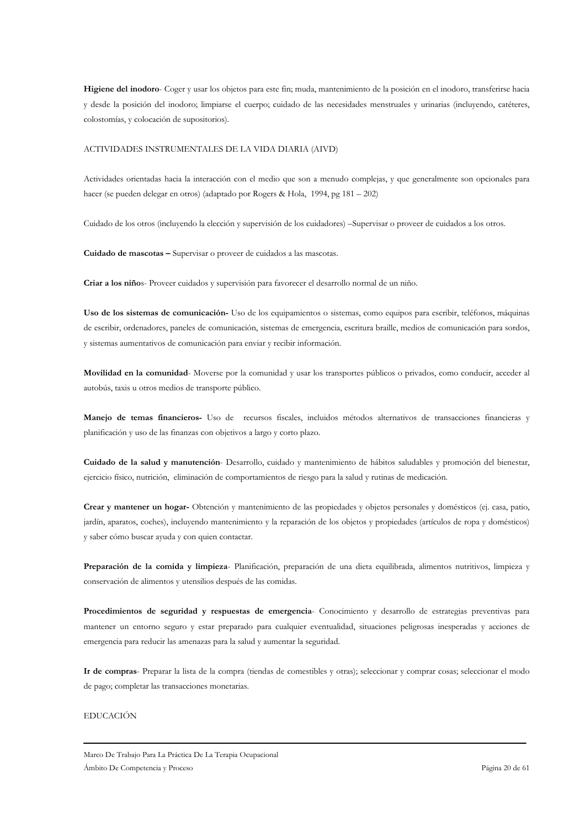Higiene del inodoro- Coger y usar los objetos para este fin; muda, mantenimiento de la posición en el inodoro, transferirse hacia y desde la posición del inodoro; limpiarse el cuerpo; cuidado de las necesidades menstruales y urinarias (incluyendo, catéteres, colostomías, y colocación de supositorios).

#### ACTIVIDADES INSTRUMENTALES DE LA VIDA DIARIA (AIVD)

Actividades orientadas hacia la interacción con el medio que son a menudo complejas, y que generalmente son opcionales para hacer (se pueden delegar en otros) (adaptado por Rogers & Hola, 1994, pg 181 - 202)

Cuidado de los otros (incluvendo la elección y supervisión de los cuidadores) –Supervisar o proveer de cuidados a los otros.

Cuidado de mascotas - Supervisar o proveer de cuidados a las mascotas.

Criar a los niños- Proveer cuidados y supervisión para favorecer el desarrollo normal de un niño.

Uso de los sistemas de comunicación- Uso de los equipamientos o sistemas, como equipos para escribir, teléfonos, máquinas de escribir, ordenadores, paneles de comunicación, sistemas de emergencia, escritura braille, medios de comunicación para sordos, y sistemas aumentativos de comunicación para enviar y recibir información.

Movilidad en la comunidad-Moverse por la comunidad y usar los transportes públicos o privados, como conducir, acceder al autobús, taxis u otros medios de transporte público.

Manejo de temas financieros- Uso de recursos fiscales, incluidos métodos alternativos de transacciones financieras y planificación y uso de las finanzas con objetivos a largo y corto plazo.

Cuidado de la salud y manutención- Desarrollo, cuidado y mantenimiento de hábitos saludables y promoción del bienestar, ejercicio físico, nutrición, eliminación de comportamientos de riesgo para la salud y rutinas de medicación.

Crear y mantener un hogar-Obtención y mantenimiento de las propiedades y objetos personales y domésticos (ej. casa, patio, jardín, aparatos, coches), incluyendo mantenimiento y la reparación de los objetos y propiedades (artículos de ropa y domésticos) y saber cómo buscar ayuda y con quien contactar.

Preparación de la comida y limpieza- Planificación, preparación de una dieta equilibrada, alimentos nutritivos, limpieza y conservación de alimentos y utensilios después de las comidas.

Procedimientos de seguridad y respuestas de emergencia- Conocimiento y desarrollo de estrategias preventivas para mantener un entorno seguro y estar preparado para cualquier eventualidad, situaciones peligrosas inesperadas y acciones de emergencia para reducir las amenazas para la salud y aumentar la seguridad.

Ir de compras- Preparar la lista de la compra (tiendas de comestibles y otras); seleccionar y comprar cosas; seleccionar el modo de pago; completar las transacciones monetarias.

### **EDUCACIÓN**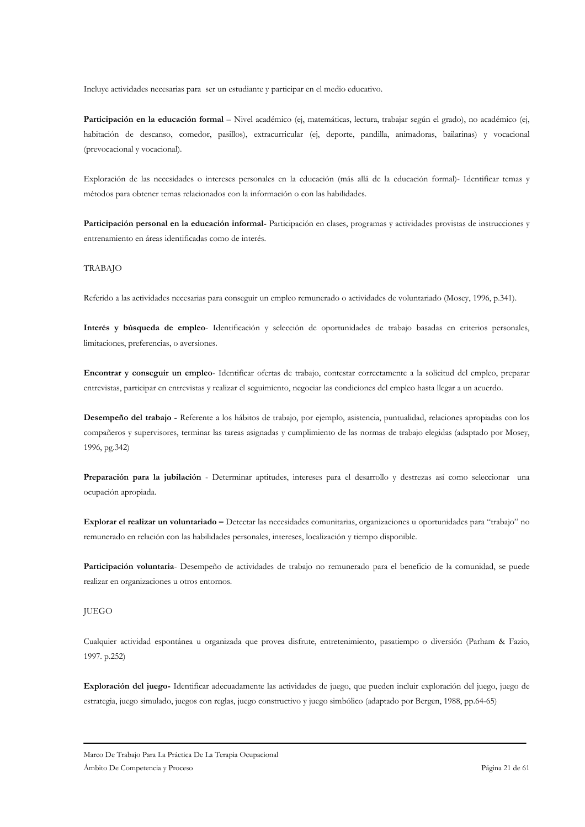Incluye actividades necesarias para ser un estudiante y participar en el medio educativo.

Participación en la educación formal - Nivel académico (ej, matemáticas, lectura, trabajar según el grado), no académico (ej, habitación de descanso, comedor, pasillos), extracurricular (ej, deporte, pandilla, animadoras, bailarinas) y vocacional (prevocacional y vocacional).

Exploración de las necesidades o intereses personales en la educación (más allá de la educación formal)- Identificar temas y métodos para obtener temas relacionados con la información o con las habilidades.

Participación personal en la educación informal- Participación en clases, programas y actividades provistas de instrucciones y entrenamiento en áreas identificadas como de interés.

### **TRABAJO**

Referido a las actividades necesarias para conseguir un empleo remunerado o actividades de voluntariado (Mosey, 1996, p.341).

Interés y búsqueda de empleo- Identificación y selección de oportunidades de trabajo basadas en criterios personales, limitaciones, preferencias, o aversiones.

Encontrar y conseguir un empleo- Identificar ofertas de trabajo, contestar correctamente a la solicitud del empleo, preparar entrevistas, participar en entrevistas y realizar el seguimiento, negociar las condiciones del empleo hasta llegar a un acuerdo.

Desempeño del trabajo - Referente a los hábitos de trabajo, por ejemplo, asistencia, puntualidad, relaciones apropiadas con los compañeros y supervisores, terminar las tareas asignadas y cumplimiento de las normas de trabajo elegidas (adaptado por Mosey, 1996, pg.342)

Preparación para la jubilación - Determinar aptitudes, intereses para el desarrollo y destrezas así como seleccionar una ocupación apropiada.

Explorar el realizar un voluntariado - Detectar las necesidades comunitarias, organizaciones u oportunidades para "trabajo" no remunerado en relación con las habilidades personales, intereses, localización y tiempo disponible.

Participación voluntaria- Desempeño de actividades de trabajo no remunerado para el beneficio de la comunidad, se puede realizar en organizaciones u otros entornos.

### **IUEGO**

Cualquier actividad espontánea u organizada que provea disfrute, entretenimiento, pasatiempo o diversión (Parham & Fazio, 1997. p.252)

Exploración del juego- Identificar adecuadamente las actividades de juego, que pueden incluir exploración del juego, juego de estrategia, juego simulado, juegos con reglas, juego constructivo y juego simbólico (adaptado por Bergen, 1988, pp.64-65)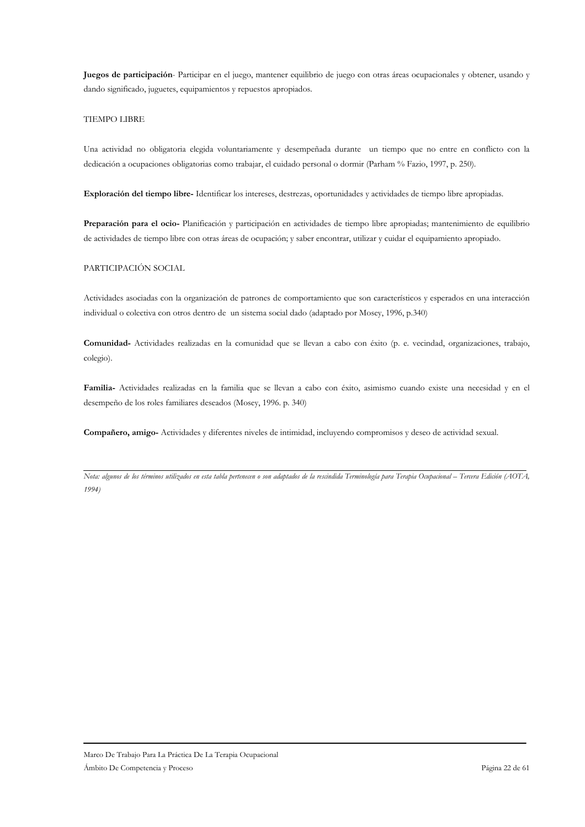Juegos de participación- Participar en el juego, mantener equilibrio de juego con otras áreas ocupacionales y obtener, usando y dando significado, juguetes, equipamientos y repuestos apropiados.

### **TIEMPO LIBRE**

Una actividad no obligatoria elegida voluntariamente y desempeñada durante un tiempo que no entre en conflicto con la dedicación a ocupaciones obligatorias como trabajar, el cuidado personal o dormir (Parham % Fazio, 1997, p. 250).

Exploración del tiempo libre-Identificar los intereses, destrezas, oportunidades y actividades de tiempo libre apropiadas.

Preparación para el ocio- Planificación y participación en actividades de tiempo libre apropiadas; mantenimiento de equilibrio de actividades de tiempo libre con otras áreas de ocupación; y saber encontrar, utilizar y cuidar el equipamiento apropiado.

### PARTICIPACIÓN SOCIAL

Actividades asociadas con la organización de patrones de comportamiento que son característicos y esperados en una interacción individual o colectiva con otros dentro de un sistema social dado (adaptado por Mosey, 1996, p.340)

Comunidad-Actividades realizadas en la comunidad que se llevan a cabo con éxito (p. e. vecindad, organizaciones, trabajo, colegio).

Familia- Actividades realizadas en la familia que se llevan a cabo con éxito, asimismo cuando existe una necesidad y en el desempeño de los roles familiares deseados (Mosey, 1996. p. 340)

Compañero, amigo- Actividades y diferentes niveles de intimidad, incluyendo compromisos y deseo de actividad sexual.

Nota: algunos de los términos utilizados en esta tabla pertenecen o son adaptados de la rescindida Terminología para Terapia Ocupacional - Tercera Edición (AOTA, 1994)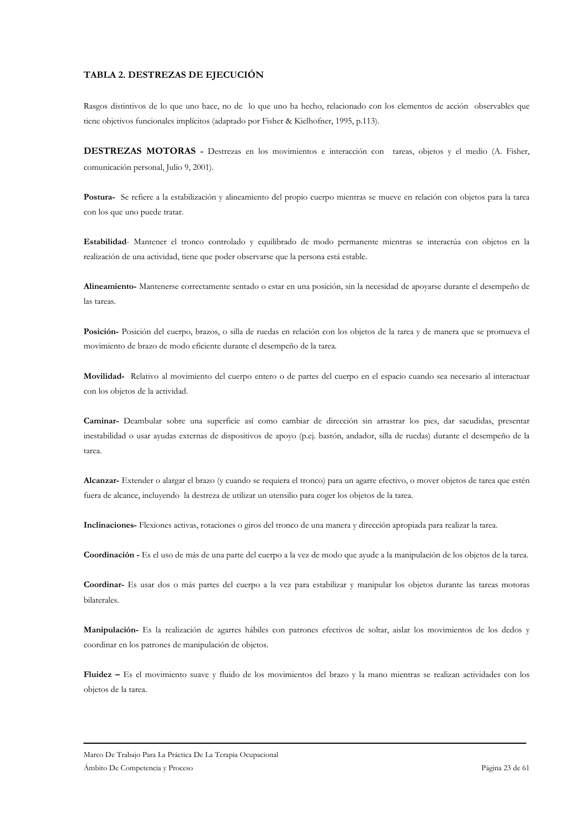### TABLA 2. DESTREZAS DE EJECUCIÓN

Rasgos distintivos de lo que uno hace, no de lo que uno ha hecho, relacionado con los elementos de acción observables que tiene objetivos funcionales implícitos (adaptado por Fisher & Kielhofner, 1995, p.113).

DESTREZAS MOTORAS - Destrezas en los movimientos e interacción con tareas, objetos y el medio (A. Fisher, comunicación personal, Julio 9, 2001).

Postura- Se refiere a la estabilización y alineamiento del propio cuerpo mientras se mueve en relación con objetos para la tarea con los que uno puede tratar.

Estabilidad-Mantener el tronco controlado y equilibrado de modo permanente mientras se interactúa con objetos en la realización de una actividad, tiene que poder observarse que la persona está estable.

Alineamiento-Mantenerse correctamente sentado o estar en una posición, sin la necesidad de apoyarse durante el desempeño de las tareas

Posición-Posición del cuerpo, brazos, o silla de ruedas en relación con los objetos de la tarea y de manera que se promueva el movimiento de brazo de modo eficiente durante el desempeño de la tarea.

Movilidad- Relativo al movimiento del cuerpo entero o de partes del cuerpo en el espacio cuando sea necesario al interactuar con los objetos de la actividad.

Caminar- Deambular sobre una superficie así como cambiar de dirección sin arrastrar los pies, dar sacudidas, presentar inestabilidad o usar ayudas externas de dispositivos de apoyo (p.ej. bastón, andador, silla de ruedas) durante el desempeño de la tarea.

Alcanzar- Extender o alargar el brazo (y cuando se requiera el tronco) para un agarre efectivo, o mover objetos de tarea que estén fuera de alcance, incluyendo la destreza de utilizar un utensilio para coger los objetos de la tarea.

Inclinaciones- Flexiones activas, rotaciones o giros del tronco de una manera y dirección apropiada para realizar la tarea.

Coordinación - Es el uso de más de una parte del cuerpo a la vez de modo que ayude a la manipulación de los objetos de la tarea.

Coordinar- Es usar dos o más partes del cuerpo a la vez para estabilizar y manipular los objetos durante las tareas motoras bilaterales.

Manipulación- Es la realización de agarres hábiles con patrones efectivos de soltar, aislar los movimientos de los dedos y coordinar en los patrones de manipulación de objetos.

Fluidez - Es el movimiento suave y fluido de los movimientos del brazo y la mano mientras se realizan actividades con los objetos de la tarea.

Marco De Trabajo Para La Práctica De La Terapia Ocupacional Ámbito De Competencia y Proceso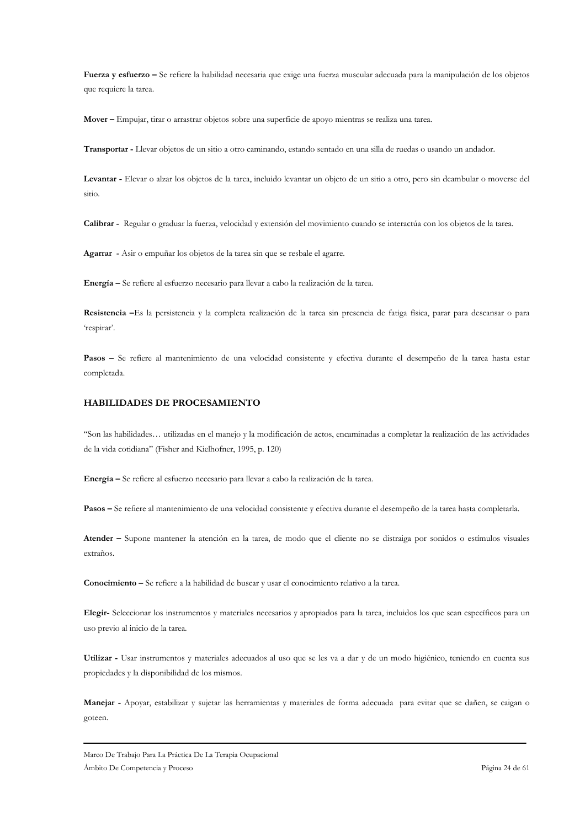Fuerza y esfuerzo - Se refiere la habilidad necesaria que exige una fuerza muscular adecuada para la manipulación de los objetos que requiere la tarea.

Mover - Empujar, tirar o arrastrar objetos sobre una superficie de apoyo mientras se realiza una tarea.

Transportar - Llevar objetos de un sitio a otro caminando, estando sentado en una silla de ruedas o usando un andador.

Levantar - Elevar o alzar los objetos de la tarea, incluido levantar un objeto de un sitio a otro, pero sin deambular o moverse del sitio.

Calibrar - Regular o graduar la fuerza, velocidad y extensión del movimiento cuando se interactúa con los objetos de la tarea.

Agarrar - Asir o empuñar los objetos de la tarea sin que se resbale el agarre.

Energía - Se refiere al esfuerzo necesario para llevar a cabo la realización de la tarea.

Resistencia -Es la persistencia y la completa realización de la tarea sin presencia de fatiga física, parar para descansar o para 'respirar'.

Pasos - Se refiere al mantenimiento de una velocidad consistente y efectiva durante el desempeño de la tarea hasta estar completada.

# HABILIDADES DE PROCESAMIENTO

"Son las habilidades... utilizadas en el manejo y la modificación de actos, encaminadas a completar la realización de las actividades de la vida cotidiana" (Fisher and Kielhofner, 1995, p. 120)

Energía - Se refiere al esfuerzo necesario para llevar a cabo la realización de la tarea.

Pasos - Se refiere al mantenimiento de una velocidad consistente y efectiva durante el desempeño de la tarea hasta completarla.

Atender - Supone mantener la atención en la tarea, de modo que el cliente no se distraiga por sonidos o estímulos visuales extraños.

Conocimiento - Se refiere a la habilidad de buscar y usar el conocimiento relativo a la tarea.

Elegir-Seleccionar los instrumentos y materiales necesarios y apropiados para la tarea, incluidos los que sean específicos para un uso previo al inicio de la tarea.

Utilizar - Usar instrumentos y materiales adecuados al uso que se les va a dar y de un modo higiénico, teniendo en cuenta sus propiedades y la disponibilidad de los mismos.

Manejar - Apoyar, estabilizar y sujetar las herramientas y materiales de forma adecuada para evitar que se dañen, se caigan o goteen.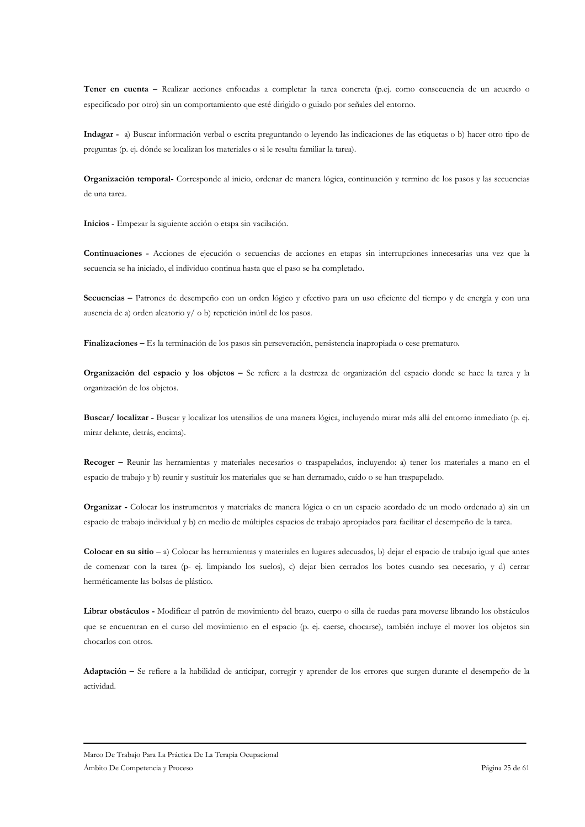Tener en cuenta - Realizar acciones enfocadas a completar la tarea concreta (p.ej. como consecuencia de un acuerdo o especificado por otro) sin un comportamiento que esté dirigido o guiado por señales del entorno.

Indagar - a) Buscar información verbal o escrita preguntando o leyendo las indicaciones de las etiquetas o b) hacer otro tipo de preguntas (p. ej. dónde se localizan los materiales o si le resulta familiar la tarea).

Organización temporal- Corresponde al inicio, ordenar de manera lógica, continuación y termino de los pasos y las secuencias de una tarea.

Inicios - Empezar la siguiente acción o etapa sin vacilación.

Continuaciones - Acciones de ejecución o secuencias de acciones en etapas sin interrupciones innecesarias una vez que la secuencia se ha iniciado, el individuo continua hasta que el paso se ha completado.

Secuencias - Patrones de desempeño con un orden lógico y efectivo para un uso eficiente del tiempo y de energía y con una ausencia de a) orden aleatorio  $y/$  o b) repetición inútil de los pasos.

Finalizaciones – Es la terminación de los pasos sin perseveración, persistencia inapropiada o cese prematuro.

Organización del espacio y los objetos - Se refiere a la destreza de organización del espacio donde se hace la tarea y la organización de los objetos.

Buscar/ localizar - Buscar y localizar los utensilios de una manera lógica, incluyendo mirar más allá del entorno inmediato (p. ej. mirar delante, detrás, encima).

Recoger - Reunir las herramientas y materiales necesarios o traspapelados, incluyendo: a) tener los materiales a mano en el espacio de trabajo y b) reunir y sustituir los materiales que se han derramado, caído o se han traspapelado.

Organizar - Colocar los instrumentos y materiales de manera lógica o en un espacio acordado de un modo ordenado a) sin un espacio de trabajo individual y b) en medio de múltiples espacios de trabajo apropiados para facilitar el desempeño de la tarea.

Colocar en su sitio  $-$ a) Colocar las herramientas y materiales en lugares adecuados, b) dejar el espacio de trabajo igual que antes de comenzar con la tarea (p- ej. limpiando los suelos), c) dejar bien cerrados los botes cuando sea necesario, y d) cerrar herméticamente las bolsas de plástico.

Librar obstáculos - Modificar el patrón de movimiento del brazo, cuerpo o silla de ruedas para moverse librando los obstáculos que se encuentran en el curso del movimiento en el espacio (p. ej. caerse, chocarse), también incluye el mover los objetos sin chocarlos con otros.

Adaptación - Se refiere a la habilidad de anticipar, corregir y aprender de los errores que surgen durante el desempeño de la actividad.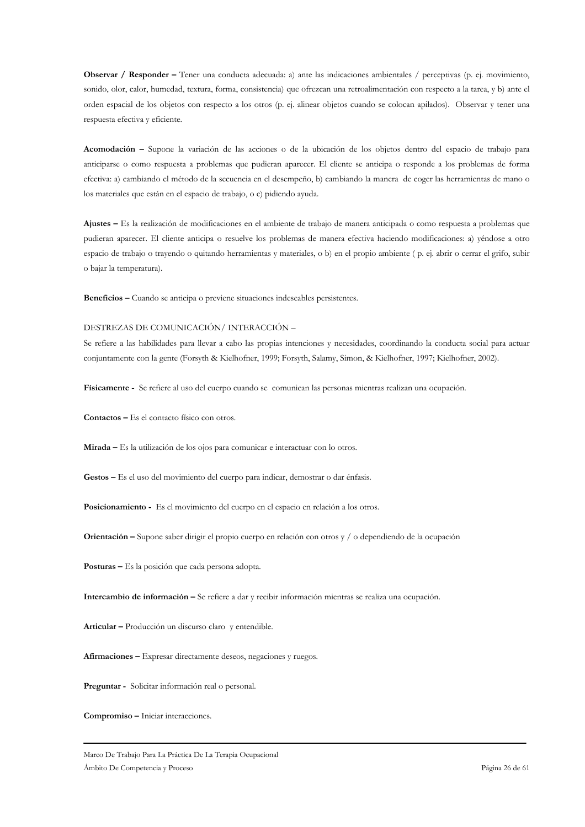Observar / Responder – Tener una conducta adecuada: a) ante las indicaciones ambientales / perceptivas (p. ej. movimiento, sonido, olor, calor, humedad, textura, forma, consistencia) que ofrezcan una retroalimentación con respecto a la tarea, y b) ante el orden espacial de los objetos con respecto a los otros (p. ej. alinear objetos cuando se colocan apilados). Observar y tener una respuesta efectiva y eficiente.

Acomodación - Supone la variación de las acciones o de la ubicación de los objetos dentro del espacio de trabajo para anticiparse o como respuesta a problemas que pudieran aparecer. El cliente se anticipa o responde a los problemas de forma efectiva: a) cambiando el método de la secuencia en el desempeño, b) cambiando la manera de coger las herramientas de mano o los materiales que están en el espacio de trabajo, o c) pidiendo ayuda.

Ajustes - Es la realización de modificaciones en el ambiente de trabajo de manera anticipada o como respuesta a problemas que pudieran aparecer. El cliente anticipa o resuelve los problemas de manera efectiva haciendo modificaciones: a) yéndose a otro espacio de trabajo o trayendo o quitando herramientas y materiales, o b) en el propio ambiente (p. ej. abrir o cerrar el grifo, subir o bajar la temperatura).

Beneficios - Cuando se anticipa o previene situaciones indeseables persistentes.

#### DESTREZAS DE COMUNICACIÓN/INTERACCIÓN -

Se refiere a las habilidades para llevar a cabo las propias intenciones y necesidades, coordinando la conducta social para actuar conjuntamente con la gente (Forsyth & Kielhofner, 1999; Forsyth, Salamy, Simon, & Kielhofner, 1997; Kielhofner, 2002).

Físicamente - Se refiere al uso del cuerpo cuando se comunican las personas mientras realizan una ocupación.

**Contactos** – Es el contacto físico con otros.

Mirada - Es la utilización de los ojos para comunicar e interactuar con lo otros.

Gestos - Es el uso del movimiento del cuerpo para indicar, demostrar o dar énfasis.

Posicionamiento - Es el movimiento del cuerpo en el espacio en relación a los otros.

Orientación – Supone saber dirigir el propio cuerpo en relación con otros y / o dependiendo de la ocupación

Posturas - Es la posición que cada persona adopta.

Intercambio de información - Se refiere a dar y recibir información mientras se realiza una ocupación.

Articular - Producción un discurso claro y entendible.

Afirmaciones - Expresar directamente deseos, negaciones y ruegos.

Preguntar - Solicitar información real o personal.

Compromiso - Iniciar interacciones.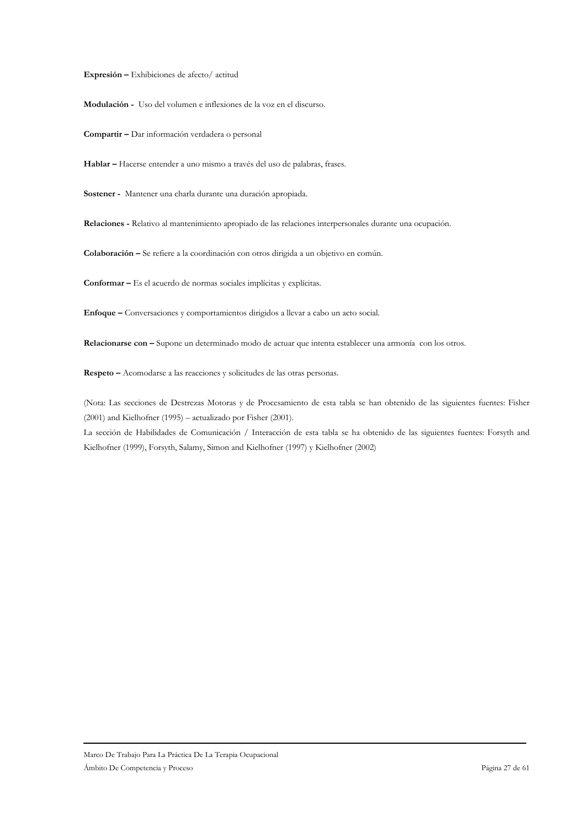Expresión - Exhibiciones de afecto/actitud

Modulación - Uso del volumen e inflexiones de la voz en el discurso.

Compartir - Dar información verdadera o personal

Hablar - Hacerse entender a uno mismo a través del uso de palabras, frases.

Sostener - Mantener una charla durante una duración apropiada.

Relaciones - Relativo al mantenimiento apropiado de las relaciones interpersonales durante una ocupación.

Colaboración - Se refiere a la coordinación con otros dirigida a un objetivo en común.

Conformar - Es el acuerdo de normas sociales implícitas y explícitas.

Enfoque - Conversaciones y comportamientos dirigidos a llevar a cabo un acto social.

Relacionarse con - Supone un determinado modo de actuar que intenta establecer una armonía con los otros.

Respeto - Acomodarse a las reacciones y solicitudes de las otras personas.

(Nota: Las secciones de Destrezas Motoras y de Procesamiento de esta tabla se han obtenido de las siguientes fuentes: Fisher (2001) and Kielhofner (1995) - actualizado por Fisher (2001).

La sección de Habilidades de Comunicación / Interacción de esta tabla se ha obtenido de las siguientes fuentes: Forsyth and Kielhofner (1999), Forsyth, Salamy, Simon and Kielhofner (1997) y Kielhofner (2002)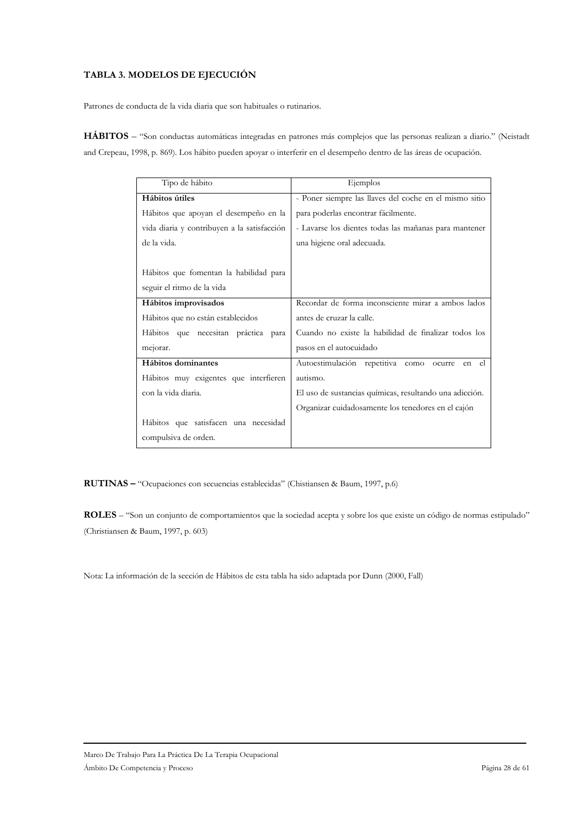# TABLA 3. MODELOS DE EJECUCIÓN

Patrones de conducta de la vida diaria que son habituales o rutinarios.

HÁBITOS - "Son conductas automáticas integradas en patrones más complejos que las personas realizan a diario." (Neistadt and Crepeau, 1998, p. 869). Los hábito pueden apoyar o interferir en el desempeño dentro de las áreas de ocupación.

| Tipo de hábito                              | Ejemplos                                                |
|---------------------------------------------|---------------------------------------------------------|
| Hábitos útiles                              | - Poner siempre las llaves del coche en el mismo sitio  |
| Hábitos que apoyan el desempeño en la       | para poderlas encontrar fácilmente.                     |
| vida diaria y contribuyen a la satisfacción | - Lavarse los dientes todas las mañanas para mantener   |
| de la vida.                                 | una higiene oral adecuada.                              |
|                                             |                                                         |
| Hábitos que fomentan la habilidad para      |                                                         |
| seguir el ritmo de la vida                  |                                                         |
| Hábitos improvisados                        | Recordar de forma inconsciente mirar a ambos lados      |
| Hábitos que no están establecidos           | antes de cruzar la calle.                               |
| Hábitos que necesitan práctica para         | Cuando no existe la habilidad de finalizar todos los    |
| mejorar.                                    | pasos en el autocuidado                                 |
| Hábitos dominantes                          | Autoestimulación repetitiva como ocurre<br>en el        |
| Hábitos muy exigentes que interfieren       | autismo.                                                |
| con la vida diaria.                         | El uso de sustancias químicas, resultando una adicción. |
|                                             | Organizar cuidadosamente los tenedores en el cajón      |
| Hábitos que satisfacen una necesidad        |                                                         |
| compulsiva de orden.                        |                                                         |

RUTINAS - "Ocupaciones con secuencias establecidas" (Chistiansen & Baum, 1997, p.6)

ROLES - "Son un conjunto de comportamientos que la sociedad acepta y sobre los que existe un código de normas estipulado" (Christiansen & Baum, 1997, p. 603)

Nota: La información de la sección de Hábitos de esta tabla ha sido adaptada por Dunn (2000, Fall)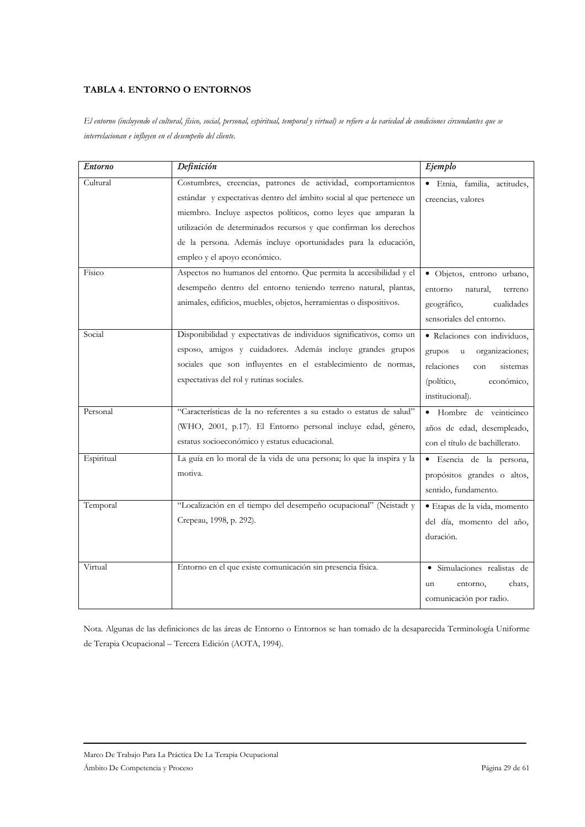# TABLA 4. ENTORNO O ENTORNOS

El entorno (incluyendo el cultural, físico, social, personal, espiritual, temporal y virtual) se refiere a la variedad de condiciones circundantes que se interrelacionan e influyen en el desempeño del cliente.

| Entorno    | Definición                                                                                                                                                                                                                                                                                                                                                                     | Ejemplo                                                                                                                                                  |
|------------|--------------------------------------------------------------------------------------------------------------------------------------------------------------------------------------------------------------------------------------------------------------------------------------------------------------------------------------------------------------------------------|----------------------------------------------------------------------------------------------------------------------------------------------------------|
| Cultural   | Costumbres, creencias, patrones de actividad, comportamientos<br>estándar y expectativas dentro del ámbito social al que pertenece un<br>miembro. Incluye aspectos políticos, como leyes que amparan la<br>utilización de determinados recursos y que confirman los derechos<br>de la persona. Además incluye oportunidades para la educación,<br>empleo y el apoyo económico. | Etnia, familia,<br>actitudes,<br>$\bullet$<br>creencias, valores                                                                                         |
| Físico     | Aspectos no humanos del entorno. Que permita la accesibilidad y el<br>desempeño dentro del entorno teniendo terreno natural, plantas,<br>animales, edificios, muebles, objetos, herramientas o dispositivos.                                                                                                                                                                   | · Objetos, entrono urbano,<br>entorno<br>natural.<br>terreno<br>geográfico,<br>cualidades<br>sensoriales del entorno.                                    |
| Social     | Disponibilidad y expectativas de individuos significativos, como un<br>esposo, amigos y cuidadores. Además incluye grandes grupos<br>sociales que son influyentes en el establecimiento de normas,<br>expectativas del rol y rutinas sociales.                                                                                                                                 | · Relaciones con individuos,<br>grupos<br>organizaciones;<br>$\mathbf u$<br>relaciones<br>sistemas<br>con<br>(político,<br>económico,<br>institucional). |
| Personal   | "Características de la no referentes a su estado o estatus de salud"<br>(WHO, 2001, p.17). El Entorno personal incluye edad, género,<br>estatus socioeconómico y estatus educacional.                                                                                                                                                                                          | Hombre de veinticinco<br>$\bullet$<br>años de edad, desempleado,<br>con el título de bachillerato.                                                       |
| Espiritual | La guía en lo moral de la vida de una persona; lo que la inspira y la<br>motiva.                                                                                                                                                                                                                                                                                               | · Esencia de la persona,<br>propósitos grandes o altos,<br>sentido, fundamento.                                                                          |
| Temporal   | "Localización en el tiempo del desempeño ocupacional" (Neistadt y<br>Crepeau, 1998, p. 292).                                                                                                                                                                                                                                                                                   | · Etapas de la vida, momento<br>del día, momento del año,<br>duración.                                                                                   |
| Virtual    | Entorno en el que existe comunicación sin presencia física.                                                                                                                                                                                                                                                                                                                    | · Simulaciones realistas de<br>chats,<br>entorno,<br>un<br>comunicación por radio.                                                                       |

Nota. Algunas de las definiciones de las áreas de Entorno o Entornos se han tomado de la desaparecida Terminología Uniforme de Terapia Ocupacional - Tercera Edición (AOTA, 1994).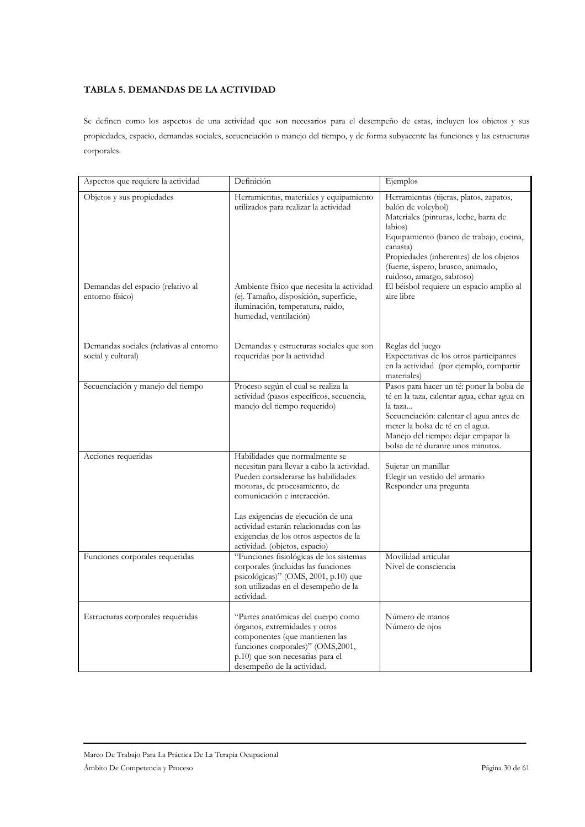# TABLA 5. DEMANDAS DE LA ACTIVIDAD

Se definen como los aspectos de una actividad que son necesarios para el desempeño de estas, incluyen los objetos y sus propiedades, espacio, demandas sociales, secuenciación o manejo del tiempo, y de forma subyacente las funciones y las estructuras corporales.

| Aspectos que requiere la actividad                                                | Definición                                                                                                                                                                                                                                                                                                                                     | Ejemplos                                                                                                                                                                                                                                                                                                                                        |
|-----------------------------------------------------------------------------------|------------------------------------------------------------------------------------------------------------------------------------------------------------------------------------------------------------------------------------------------------------------------------------------------------------------------------------------------|-------------------------------------------------------------------------------------------------------------------------------------------------------------------------------------------------------------------------------------------------------------------------------------------------------------------------------------------------|
| Objetos y sus propiedades<br>Demandas del espacio (relativo al<br>entorno físico) | Herramientas, materiales y equipamiento<br>utilizados para realizar la actividad<br>Ambiente físico que necesita la actividad<br>(ej. Tamaño, disposición, superficie,<br>iluminación, temperatura, ruido,<br>humedad, ventilación)                                                                                                            | Herramientas (tijeras, platos, zapatos,<br>balón de voleybol)<br>Materiales (pinturas, leche, barra de<br>labios)<br>Equipamiento (banco de trabajo, cocina,<br>canasta)<br>Propiedades (inherentes) de los objetos<br>(fuerte, áspero, brusco, animado,<br>ruidoso, amargo, sabroso)<br>El béisbol requiere un espacio amplio al<br>aire libre |
| Demandas sociales (relativas al entorno<br>social y cultural)                     | Demandas y estructuras sociales que son<br>requeridas por la actividad                                                                                                                                                                                                                                                                         | Reglas del juego<br>Expectativas de los otros participantes<br>en la actividad (por ejemplo, compartir<br>materiales)                                                                                                                                                                                                                           |
| Secuenciación y manejo del tiempo                                                 | Proceso según el cual se realiza la<br>actividad (pasos específicos, secuencia,<br>manejo del tiempo requerido)                                                                                                                                                                                                                                | Pasos para hacer un té: poner la bolsa de<br>té en la taza, calentar agua, echar agua en<br>la taza<br>Secuenciación: calentar el agua antes de<br>meter la bolsa de té en el agua.<br>Manejo del tiempo: dejar empapar la<br>bolsa de té durante unos minutos.                                                                                 |
| Acciones requeridas                                                               | Habilidades que normalmente se<br>necesitan para llevar a cabo la actividad.<br>Pueden considerarse las habilidades<br>motoras, de procesamiento, de<br>comunicación e interacción.<br>Las exigencias de ejecución de una<br>actividad estarán relacionadas con las<br>exigencias de los otros aspectos de la<br>actividad. (objetos, espacio) | Sujetar un manillar<br>Elegir un vestido del armario<br>Responder una pregunta                                                                                                                                                                                                                                                                  |
| Funciones corporales requeridas                                                   | "Funciones fisiológicas de los sistemas<br>corporales (incluidas las funciones<br>psicológicas)" (OMS, 2001, p.10) que<br>son utilizadas en el desempeño de la<br>actividad.                                                                                                                                                                   | Movilidad articular<br>Nivel de consciencia                                                                                                                                                                                                                                                                                                     |
| Estructuras corporales requeridas                                                 | "Partes anatómicas del cuerpo como<br>órganos, extremidades y otros<br>componentes (que mantienen las<br>funciones corporales)" (OMS,2001,<br>p.10) que son necesarias para el<br>desempeño de la actividad.                                                                                                                                   | Número de manos<br>Número de ojos                                                                                                                                                                                                                                                                                                               |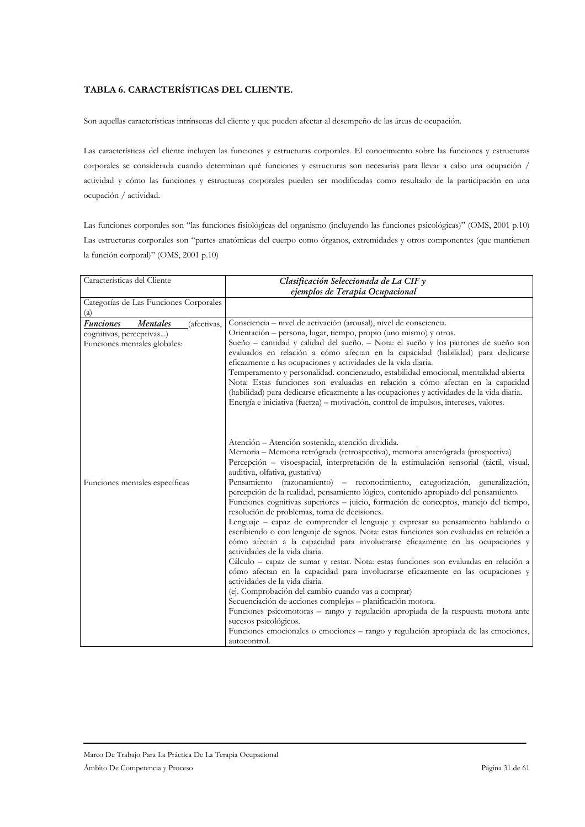# TABLA 6. CARACTERÍSTICAS DEL CLIENTE.

Son aquellas características intrínsecas del cliente y que pueden afectar al desempeño de las áreas de ocupación.

Las características del cliente incluyen las funciones y estructuras corporales. El conocimiento sobre las funciones y estructuras corporales se considerada cuando determinan qué funciones y estructuras son necesarias para llevar a cabo una ocupación / actividad y cómo las funciones y estructuras corporales pueden ser modificadas como resultado de la participación en una ocupación / actividad.

Las funciones corporales son "las funciones fisiológicas del organismo (incluyendo las funciones psicológicas)" (OMS, 2001 p.10) Las estructuras corporales son "partes anatómicas del cuerpo como órganos, extremidades y otros componentes (que mantienen la función corporal)" (OMS, 2001 p.10)

| Características del Cliente                                                                             | Clasificación Seleccionada de La CIF $\nu$                                                                                                                                                                                                                                                                                                                                                                                                                                                                                                                                                                                                                                                                                                                                                                                                                                                                                                                                                                                                                                                                                                                                                                                                                                                                                                                                                                                               |  |  |
|---------------------------------------------------------------------------------------------------------|------------------------------------------------------------------------------------------------------------------------------------------------------------------------------------------------------------------------------------------------------------------------------------------------------------------------------------------------------------------------------------------------------------------------------------------------------------------------------------------------------------------------------------------------------------------------------------------------------------------------------------------------------------------------------------------------------------------------------------------------------------------------------------------------------------------------------------------------------------------------------------------------------------------------------------------------------------------------------------------------------------------------------------------------------------------------------------------------------------------------------------------------------------------------------------------------------------------------------------------------------------------------------------------------------------------------------------------------------------------------------------------------------------------------------------------|--|--|
|                                                                                                         | ejemplos de Terapia Ocupacional                                                                                                                                                                                                                                                                                                                                                                                                                                                                                                                                                                                                                                                                                                                                                                                                                                                                                                                                                                                                                                                                                                                                                                                                                                                                                                                                                                                                          |  |  |
| Categorías de Las Funciones Corporales                                                                  |                                                                                                                                                                                                                                                                                                                                                                                                                                                                                                                                                                                                                                                                                                                                                                                                                                                                                                                                                                                                                                                                                                                                                                                                                                                                                                                                                                                                                                          |  |  |
| (a)                                                                                                     |                                                                                                                                                                                                                                                                                                                                                                                                                                                                                                                                                                                                                                                                                                                                                                                                                                                                                                                                                                                                                                                                                                                                                                                                                                                                                                                                                                                                                                          |  |  |
| <b>Funciones</b><br>Mentales<br>(afectivas,<br>cognitivas, perceptivas)<br>Funciones mentales globales: | Consciencia - nivel de activación (arousal), nivel de consciencia.<br>Orientación – persona, lugar, tiempo, propio (uno mismo) y otros.<br>Sueño – cantidad y calidad del sueño. – Nota: el sueño y los patrones de sueño son<br>evaluados en relación a cómo afectan en la capacidad (habilidad) para dedicarse<br>eficazmente a las ocupaciones y actividades de la vida diaria.<br>Temperamento y personalidad. concienzudo, estabilidad emocional, mentalidad abierta<br>Nota: Estas funciones son evaluadas en relación a cómo afectan en la capacidad<br>(habilidad) para dedicarse eficazmente a las ocupaciones y actividades de la vida diaria.<br>Energía e iniciativa (fuerza) – motivación, control de impulsos, intereses, valores.                                                                                                                                                                                                                                                                                                                                                                                                                                                                                                                                                                                                                                                                                         |  |  |
| Funciones mentales específicas                                                                          | Atención - Atención sostenida, atención dividida.<br>Memoria - Memoria retrógrada (retrospectiva), memoria anterógrada (prospectiva)<br>Percepción - visoespacial, interpretación de la estimulación sensorial (táctil, visual,<br>auditiva, olfativa, gustativa)<br>Pensamiento (razonamiento) - reconocimiento, categorización, generalización,<br>percepción de la realidad, pensamiento lógico, contenido apropiado del pensamiento.<br>Funciones cognitivas superiores – juicio, formación de conceptos, manejo del tiempo,<br>resolución de problemas, toma de decisiones.<br>Lenguaje – capaz de comprender el lenguaje y expresar su pensamiento hablando o<br>escribiendo o con lenguaje de signos. Nota: estas funciones son evaluadas en relación a<br>cómo afectan a la capacidad para involucrarse eficazmente en las ocupaciones y<br>actividades de la vida diaria.<br>Cálculo - capaz de sumar y restar. Nota: estas funciones son evaluadas en relación a<br>cómo afectan en la capacidad para involucrarse eficazmente en las ocupaciones y<br>actividades de la vida diaria.<br>(ej. Comprobación del cambio cuando vas a comprar)<br>Secuenciación de acciones complejas - planificación motora.<br>Funciones psicomotoras – rango y regulación apropiada de la respuesta motora ante<br>sucesos psicológicos.<br>Funciones emocionales o emociones – rango y regulación apropiada de las emociones,<br>autocontrol. |  |  |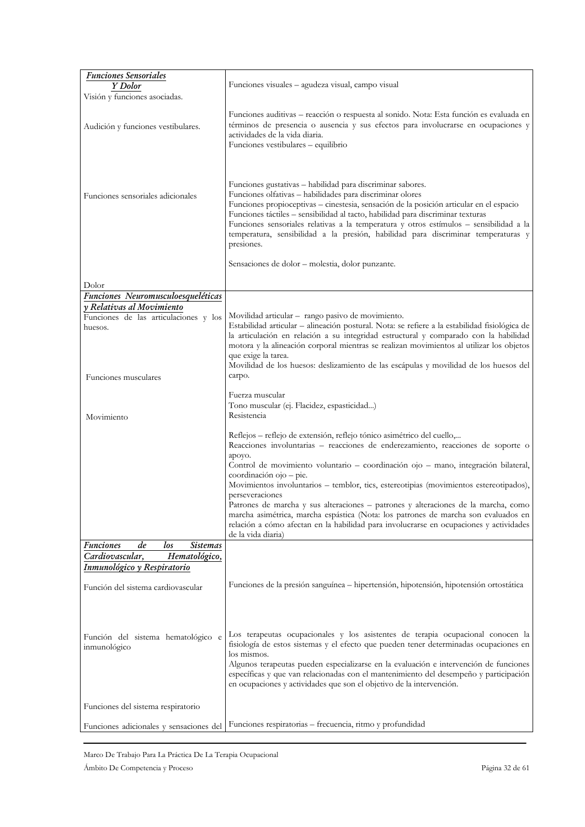| <b>Funciones Sensoriales</b>                       |                                                                                                                                                                                                                                                                                                                                                                                                                                                                                                                                                        |
|----------------------------------------------------|--------------------------------------------------------------------------------------------------------------------------------------------------------------------------------------------------------------------------------------------------------------------------------------------------------------------------------------------------------------------------------------------------------------------------------------------------------------------------------------------------------------------------------------------------------|
| Y Dolor                                            | Funciones visuales - agudeza visual, campo visual                                                                                                                                                                                                                                                                                                                                                                                                                                                                                                      |
|                                                    |                                                                                                                                                                                                                                                                                                                                                                                                                                                                                                                                                        |
| Visión y funciones asociadas.                      |                                                                                                                                                                                                                                                                                                                                                                                                                                                                                                                                                        |
| Audición y funciones vestibulares.                 | Funciones auditivas - reacción o respuesta al sonido. Nota: Esta función es evaluada en<br>términos de presencia o ausencia y sus efectos para involucrarse en ocupaciones y<br>actividades de la vida diaria.<br>Funciones vestibulares - equilibrio                                                                                                                                                                                                                                                                                                  |
| Funciones sensoriales adicionales                  | Funciones gustativas - habilidad para discriminar sabores.<br>Funciones olfativas - habilidades para discriminar olores<br>Funciones propioceptivas - cinestesia, sensación de la posición articular en el espacio<br>Funciones táctiles - sensibilidad al tacto, habilidad para discriminar texturas<br>Funciones sensoriales relativas a la temperatura y otros estímulos - sensibilidad a la<br>temperatura, sensibilidad a la presión, habilidad para discriminar temperaturas y<br>presiones.<br>Sensaciones de dolor - molestia, dolor punzante. |
|                                                    |                                                                                                                                                                                                                                                                                                                                                                                                                                                                                                                                                        |
| Dolor                                              |                                                                                                                                                                                                                                                                                                                                                                                                                                                                                                                                                        |
| Funciones Neuromusculoesqueléticas                 |                                                                                                                                                                                                                                                                                                                                                                                                                                                                                                                                                        |
| y Relativas al Movimiento                          |                                                                                                                                                                                                                                                                                                                                                                                                                                                                                                                                                        |
| Funciones de las articulaciones y los              | Movilidad articular - rango pasivo de movimiento.                                                                                                                                                                                                                                                                                                                                                                                                                                                                                                      |
| huesos.                                            | Estabilidad articular - alineación postural. Nota: se refiere a la estabilidad fisiológica de                                                                                                                                                                                                                                                                                                                                                                                                                                                          |
|                                                    | la articulación en relación a su integridad estructural y comparado con la habilidad                                                                                                                                                                                                                                                                                                                                                                                                                                                                   |
|                                                    | motora y la alineación corporal mientras se realizan movimientos al utilizar los objetos                                                                                                                                                                                                                                                                                                                                                                                                                                                               |
|                                                    | que exige la tarea.                                                                                                                                                                                                                                                                                                                                                                                                                                                                                                                                    |
|                                                    | Movilidad de los huesos: deslizamiento de las escápulas y movilidad de los huesos del                                                                                                                                                                                                                                                                                                                                                                                                                                                                  |
| Funciones musculares                               | carpo.                                                                                                                                                                                                                                                                                                                                                                                                                                                                                                                                                 |
|                                                    |                                                                                                                                                                                                                                                                                                                                                                                                                                                                                                                                                        |
|                                                    | Fuerza muscular                                                                                                                                                                                                                                                                                                                                                                                                                                                                                                                                        |
|                                                    | Tono muscular (ej. Flacidez, espasticidad)                                                                                                                                                                                                                                                                                                                                                                                                                                                                                                             |
| Movimiento                                         | Resistencia                                                                                                                                                                                                                                                                                                                                                                                                                                                                                                                                            |
|                                                    |                                                                                                                                                                                                                                                                                                                                                                                                                                                                                                                                                        |
|                                                    | Reflejos – reflejo de extensión, reflejo tónico asimétrico del cuello,                                                                                                                                                                                                                                                                                                                                                                                                                                                                                 |
|                                                    | Reacciones involuntarias – reacciones de enderezamiento, reacciones de soporte o                                                                                                                                                                                                                                                                                                                                                                                                                                                                       |
|                                                    | ароуо.                                                                                                                                                                                                                                                                                                                                                                                                                                                                                                                                                 |
|                                                    | Control de movimiento voluntario – coordinación ojo – mano, integración bilateral,                                                                                                                                                                                                                                                                                                                                                                                                                                                                     |
|                                                    | coordinación ojo - pie.                                                                                                                                                                                                                                                                                                                                                                                                                                                                                                                                |
|                                                    | Movimientos involuntarios - temblor, tics, estereotipias (movimientos estereotipados),                                                                                                                                                                                                                                                                                                                                                                                                                                                                 |
|                                                    | perseveraciones                                                                                                                                                                                                                                                                                                                                                                                                                                                                                                                                        |
|                                                    | Patrones de marcha y sus alteraciones – patrones y alteraciones de la marcha, como<br>marcha asimétrica, marcha espástica (Nota: los patrones de marcha son evaluados en<br>relación a cómo afectan en la habilidad para involucrarse en ocupaciones y actividades<br>de la vida diaria)                                                                                                                                                                                                                                                               |
| Funciones<br>de<br>los<br><b>Sistemas</b>          |                                                                                                                                                                                                                                                                                                                                                                                                                                                                                                                                                        |
| Cardiovascular,<br>Hematológico,                   |                                                                                                                                                                                                                                                                                                                                                                                                                                                                                                                                                        |
| Inmunológico y Respiratorio                        |                                                                                                                                                                                                                                                                                                                                                                                                                                                                                                                                                        |
|                                                    |                                                                                                                                                                                                                                                                                                                                                                                                                                                                                                                                                        |
| Función del sistema cardiovascular                 | Funciones de la presión sanguínea – hipertensión, hipotensión, hipotensión ortostática                                                                                                                                                                                                                                                                                                                                                                                                                                                                 |
|                                                    |                                                                                                                                                                                                                                                                                                                                                                                                                                                                                                                                                        |
|                                                    |                                                                                                                                                                                                                                                                                                                                                                                                                                                                                                                                                        |
|                                                    |                                                                                                                                                                                                                                                                                                                                                                                                                                                                                                                                                        |
| Función del sistema hematológico e<br>inmunológico | Los terapeutas ocupacionales y los asistentes de terapia ocupacional conocen la<br>fisiología de estos sistemas y el efecto que pueden tener determinadas ocupaciones en<br>los mismos.<br>Algunos terapeutas pueden especializarse en la evaluación e intervención de funciones<br>específicas y que van relacionadas con el mantenimiento del desempeño y participación<br>en ocupaciones y actividades que son el objetivo de la intervención.                                                                                                      |
| Funciones del sistema respiratorio                 |                                                                                                                                                                                                                                                                                                                                                                                                                                                                                                                                                        |
|                                                    |                                                                                                                                                                                                                                                                                                                                                                                                                                                                                                                                                        |
| Funciones adicionales y sensaciones del            | Funciones respiratorias - frecuencia, ritmo y profundidad                                                                                                                                                                                                                                                                                                                                                                                                                                                                                              |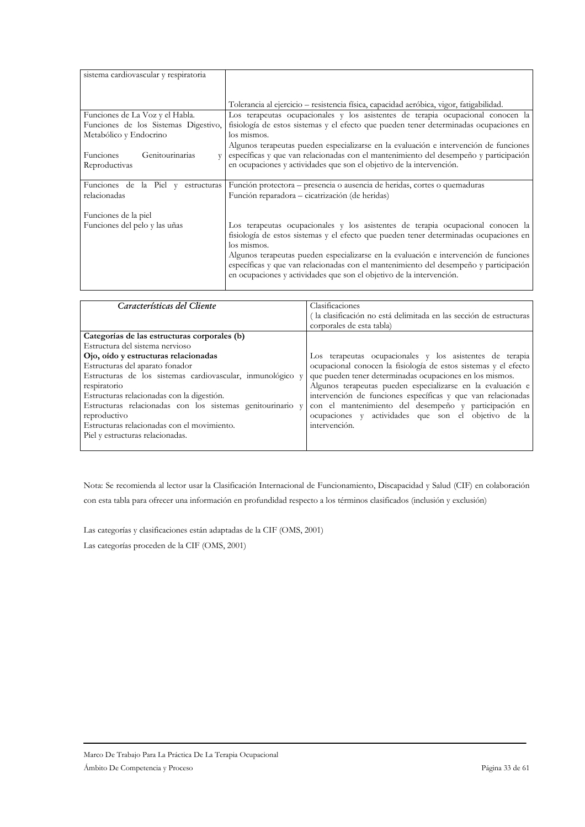| sistema cardiovascular y respiratoria                                                             |                                                                                                                                                                                                                                                                                                                                                                                                                                                   |
|---------------------------------------------------------------------------------------------------|---------------------------------------------------------------------------------------------------------------------------------------------------------------------------------------------------------------------------------------------------------------------------------------------------------------------------------------------------------------------------------------------------------------------------------------------------|
|                                                                                                   | Tolerancia al ejercicio – resistencia física, capacidad aeróbica, vigor, fatigabilidad.                                                                                                                                                                                                                                                                                                                                                           |
| Funciones de La Voz y el Habla.<br>Funciones de los Sistemas Digestivo,<br>Metabólico y Endocrino | Los terapeutas ocupacionales y los asistentes de terapia ocupacional conocen la<br>fisiología de estos sistemas y el efecto que pueden tener determinadas ocupaciones en<br>los mismos.<br>Algunos terapeutas pueden especializarse en la evaluación e intervención de funciones                                                                                                                                                                  |
| Funciones<br>Genitourinarias<br>Reproductivas                                                     | específicas y que van relacionadas con el mantenimiento del desempeño y participación<br>en ocupaciones y actividades que son el objetivo de la intervención.                                                                                                                                                                                                                                                                                     |
| Funciones de la Piel y estructuras<br>relacionadas                                                | Función protectora - presencia o ausencia de heridas, cortes o quemaduras<br>Función reparadora - cicatrización (de heridas)                                                                                                                                                                                                                                                                                                                      |
| Funciones de la piel<br>Funciones del pelo y las uñas                                             | Los terapeutas ocupacionales y los asistentes de terapia ocupacional conocen la<br>fisiología de estos sistemas y el efecto que pueden tener determinadas ocupaciones en<br>los mismos.<br>Algunos terapeutas pueden especializarse en la evaluación e intervención de funciones<br>específicas y que van relacionadas con el mantenimiento del desempeño y participación<br>en ocupaciones y actividades que son el objetivo de la intervención. |

| Características del Cliente                                | Clasificaciones                                                    |
|------------------------------------------------------------|--------------------------------------------------------------------|
|                                                            | (la clasificación no está delimitada en las sección de estructuras |
|                                                            | corporales de esta tabla)                                          |
| Categorías de las estructuras corporales (b)               |                                                                    |
| Estructura del sistema nervioso                            |                                                                    |
| Ojo, oído y estructuras relacionadas                       | Los terapeutas ocupacionales y los asistentes de terapia           |
| Estructuras del aparato fonador                            | ocupacional conocen la fisiología de estos sistemas y el efecto    |
| Estructuras de los sistemas cardiovascular, inmunológico y | que pueden tener determinadas ocupaciones en los mismos.           |
| respiratorio                                               | Algunos terapeutas pueden especializarse en la evaluación e        |
| Estructuras relacionadas con la digestión.                 | intervención de funciones específicas y que van relacionadas       |
| Estructuras relacionadas con los sistemas genitourinario y | con el mantenimiento del desempeño y participación en              |
| reproductivo                                               | ocupaciones y actividades que son el objetivo de la                |
| Estructuras relacionadas con el movimiento.                | intervención.                                                      |
| Piel y estructuras relacionadas.                           |                                                                    |
|                                                            |                                                                    |

Nota: Se recomienda al lector usar la Clasificación Internacional de Funcionamiento, Discapacidad y Salud (CIF) en colaboración con esta tabla para ofrecer una información en profundidad respecto a los términos clasificados (inclusión y exclusión)

Las categorías y clasificaciones están adaptadas de la CIF (OMS, 2001) Las categorías proceden de la CIF (OMS, 2001)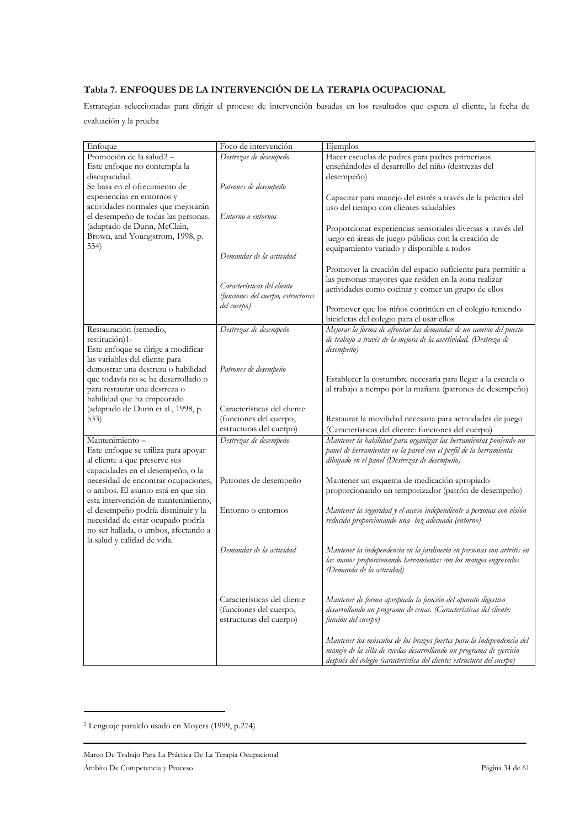# Tabla 7. ENFOQUES DE LA INTERVENCIÓN DE LA TERAPIA OCUPACIONAL

Estrategias seleccionadas para dirigir el proceso de intervención basadas en los resultados que espera el cliente, la fecha de evaluación y la prueba

| Enfoque                                                            | Foco de intervención               | Ejemplos                                                                                                                          |
|--------------------------------------------------------------------|------------------------------------|-----------------------------------------------------------------------------------------------------------------------------------|
| Promoción de la salud2-                                            | Destrezas de desempeño             | Hacer escuelas de padres para padres primerizos                                                                                   |
| Este enfoque no contempla la                                       |                                    | enseñándoles el desarrollo del niño (destrezas del                                                                                |
| discapacidad.                                                      |                                    | desempeño)                                                                                                                        |
| Se basa en el ofrecimiento de                                      | Patrones de desempeño              |                                                                                                                                   |
| experiencias en entornos y                                         |                                    | Capacitar para manejo del estrés a través de la práctica del                                                                      |
| actividades normales que mejorarán                                 |                                    | uso del tiempo con clientes saludables                                                                                            |
| el desempeño de todas las personas.<br>(adaptado de Dunn, McClain, | Entorno o entornos                 |                                                                                                                                   |
| Brown, and Youngstrom, 1998, p.                                    |                                    | Proporcionar experiencias sensoriales diversas a través del                                                                       |
| 534)                                                               |                                    | juego en áreas de juego públicas con la creación de                                                                               |
|                                                                    | Demandas de la actividad           | equipamiento variado y disponible a todos                                                                                         |
|                                                                    |                                    |                                                                                                                                   |
|                                                                    |                                    | Promover la creación del espacio suficiente para permitir a                                                                       |
|                                                                    | Características del cliente        | las personas mayores que residen en la zona realizar<br>actividades como cocinar y comer un grupo de ellos                        |
|                                                                    | (funciones del cuerpo, estructuras |                                                                                                                                   |
|                                                                    | del cuerpo)                        | Promover que los niños continúen en el colegio teniendo                                                                           |
|                                                                    |                                    | bicicletas del colegio para el usar ellos                                                                                         |
| Restauración (remedio,                                             | Destrezas de desempeño             | Mejorar la forma de afrontar las demandas de un cambio del puesto                                                                 |
| restitución)1-                                                     |                                    | de trabajo a través de la mejora de la asertividad. (Destreza de                                                                  |
| Este enfoque se dirige a modificar                                 |                                    | desempeño)                                                                                                                        |
| las variables del cliente para                                     |                                    |                                                                                                                                   |
| demostrar una destreza o habilidad                                 | Patrones de desempeño              |                                                                                                                                   |
| que todavía no se ha desarrollado o                                |                                    | Establecer la costumbre necesaria para llegar a la escuela o                                                                      |
| para restaurar una destreza o                                      |                                    | al trabajo a tiempo por la mañana (patrones de desempeño)                                                                         |
| habilidad que ha empeorado                                         |                                    |                                                                                                                                   |
| (adaptado de Dunn et al., 1998, p.                                 | Características del cliente        |                                                                                                                                   |
| 533)                                                               | (funciones del cuerpo,             | Restaurar la movilidad necesaria para actividades de juego                                                                        |
|                                                                    | estructuras del cuerpo)            | (Características del cliente: funciones del cuerpo)                                                                               |
| Mantenimiento -                                                    | Destrezas de desempeño             | Mantener la habilidad para organizar las herramientas poniendo un                                                                 |
| Este enfoque se utiliza para apoyar                                |                                    | panel de herramientas en la pared con el perfil de la herramienta                                                                 |
| al cliente a que preserve sus<br>capacidades en el desempeño, o la |                                    | dibujado en el panel (Destrezas de desempeño)                                                                                     |
| necesidad de encontrar ocupaciones,                                | Patrones de desempeño              | Mantener un esquema de medicación apropiado                                                                                       |
| o ambos. El asunto está en que sin                                 |                                    | proporcionando un temporizador (patrón de desempeño)                                                                              |
| esta intervención de mantenimiento,                                |                                    |                                                                                                                                   |
| el desempeño podría disminuir y la                                 | Entorno o entornos                 | Mantener la seguridad y el acceso independiente a personas con visión                                                             |
| necesidad de estar ocupado podría                                  |                                    | reducida proporcionando una luz adecuada (entorno)                                                                                |
| no ser hallada, o ambos, afectando a                               |                                    |                                                                                                                                   |
| la salud y calidad de vida.                                        |                                    |                                                                                                                                   |
|                                                                    | Demandas de la actividad           | Mantener la independencia en la jardinería en personas con artritis en                                                            |
|                                                                    |                                    | las manos proporcionando herramientas con los mangos engrosados                                                                   |
|                                                                    |                                    | (Demanda de la actividad)                                                                                                         |
|                                                                    |                                    |                                                                                                                                   |
|                                                                    | Características del cliente        |                                                                                                                                   |
|                                                                    | (funciones del cuerpo,             | Mantener de forma apropiada la función del aparato digestivo<br>desarrollando un programa de cenas. (Características del cliente: |
|                                                                    | estructuras del cuerpo)            | función del cuerpo)                                                                                                               |
|                                                                    |                                    |                                                                                                                                   |
|                                                                    |                                    | Mantener los músculos de los brazos fuertes para la independencia del                                                             |
|                                                                    |                                    | manejo de la silla de ruedas desarrollando un programa de ejercicio                                                               |
|                                                                    |                                    | después del colegio (característica del cliente: estructura del cuerpo)                                                           |

<sup>&</sup>lt;sup>2</sup> Lenguaje paralelo usado en Moyers (1999, p.274)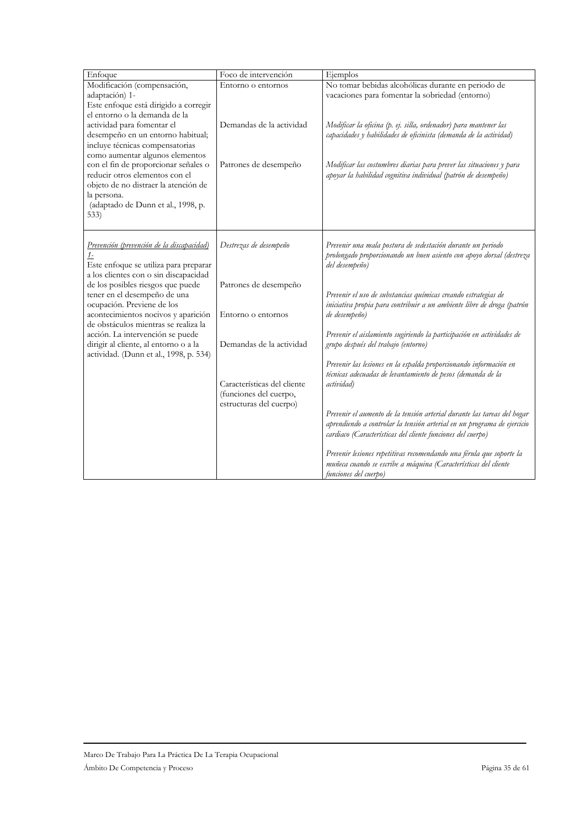| Enfoque                                                                                                                                                                                                                                                                                                                                                                                                                                       | Foco de intervención                                                                                                                                                                  | Ejemplos                                                                                                                                                                                                                                                                                                                                                                                                                                                                                                                                                                                                                                                                                                                                                                                                                                                                                                                                                                      |
|-----------------------------------------------------------------------------------------------------------------------------------------------------------------------------------------------------------------------------------------------------------------------------------------------------------------------------------------------------------------------------------------------------------------------------------------------|---------------------------------------------------------------------------------------------------------------------------------------------------------------------------------------|-------------------------------------------------------------------------------------------------------------------------------------------------------------------------------------------------------------------------------------------------------------------------------------------------------------------------------------------------------------------------------------------------------------------------------------------------------------------------------------------------------------------------------------------------------------------------------------------------------------------------------------------------------------------------------------------------------------------------------------------------------------------------------------------------------------------------------------------------------------------------------------------------------------------------------------------------------------------------------|
| Modificación (compensación,<br>adaptación) 1-<br>Este enfoque está dirigido a corregir<br>el entorno o la demanda de la<br>actividad para fomentar el<br>desempeño en un entorno habitual;<br>incluye técnicas compensatorias<br>como aumentar algunos elementos                                                                                                                                                                              | Entorno o entornos<br>Demandas de la actividad                                                                                                                                        | No tomar bebidas alcohólicas durante en periodo de<br>vacaciones para fomentar la sobriedad (entorno)<br>Modificar la oficina (p. ej. silla, ordenador) para mantener las<br>capacidades y habilidades de oficinista (demanda de la actividad)                                                                                                                                                                                                                                                                                                                                                                                                                                                                                                                                                                                                                                                                                                                                |
| con el fin de proporcionar señales o<br>reducir otros elementos con el<br>objeto de no distraer la atención de<br>la persona.<br>(adaptado de Dunn et al., 1998, p.<br>533)                                                                                                                                                                                                                                                                   | Patrones de desempeño                                                                                                                                                                 | Modificar las costumbres diarias para prever las situaciones y para<br>apoyar la habilidad cognitiva individual (patrón de desempeño)                                                                                                                                                                                                                                                                                                                                                                                                                                                                                                                                                                                                                                                                                                                                                                                                                                         |
| Prevención (prevención de la discapacidad)<br>$1-$<br>Este enfoque se utiliza para preparar<br>a los clientes con o sin discapacidad<br>de los posibles riesgos que puede<br>tener en el desempeño de una<br>ocupación. Previene de los<br>acontecimientos nocivos y aparición<br>de obstáculos mientras se realiza la<br>acción. La intervención se puede<br>dirigir al cliente, al entorno o a la<br>actividad. (Dunn et al., 1998, p. 534) | Destrezas de desempeño<br>Patrones de desempeño<br>Entorno o entornos<br>Demandas de la actividad<br>Características del cliente<br>(funciones del cuerpo,<br>estructuras del cuerpo) | Prevenir una mala postura de sedestación durante un periodo<br>prolongado proporcionando un buen asiento con apoyo dorsal (destreza<br>del desempeño)<br>Prevenir el uso de substancias químicas creando estrategias de<br>iniciativa propia para contribuir a un ambiente libre de droga (patrón<br>de desempeño)<br>Prevenir el aislamiento sugiriendo la participación en actividades de<br>grupo después del trabajo (entorno)<br>Prevenir las lesiones en la espalda proporcionando información en<br>técnicas adecuadas de levantamiento de pesos (demanda de la<br>actividad)<br>Prevenir el aumento de la tensión arterial durante las tareas del hogar<br>aprendiendo a controlar la tensión arterial en un programa de ejercicio<br>cardiaco (Características del cliente funciones del cuerpo)<br>Prevenir lesiones repetitivas recomendando una férula que soporte la<br>muñeca cuando se escribe a máquina (Características del cliente<br>funciones del cuerpo) |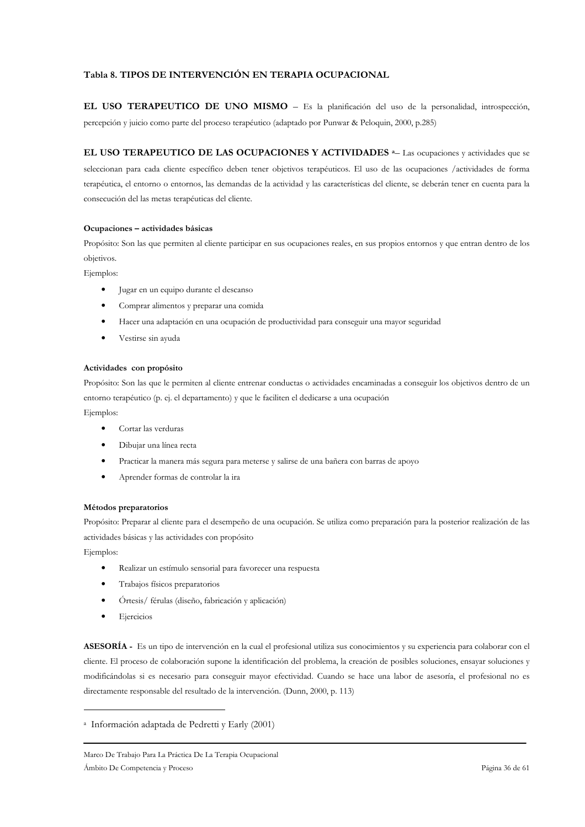# Tabla 8. TIPOS DE INTERVENCIÓN EN TERAPIA OCUPACIONAL

EL USO TERAPEUTICO DE UNO MISMO - Es la planificación del uso de la personalidad, introspección, percepción y juicio como parte del proceso terapéutico (adaptado por Punwar & Peloquin, 2000, p.285)

EL USO TERAPEUTICO DE LAS OCUPACIONES Y ACTIVIDADES <sup>a</sup> Las ocupaciones y actividades que se seleccionan para cada cliente específico deben tener objetivos terapéuticos. El uso de las ocupaciones /actividades de forma terapéutica, el entorno o entornos, las demandas de la actividad y las características del cliente, se deberán tener en cuenta para la consecución del las metas terapéuticas del cliente.

### Ocupaciones - actividades básicas

Propósito: Son las que permiten al cliente participar en sus ocupaciones reales, en sus propios entornos y que entran dentro de los objetivos.

Ejemplos:

- $\bullet$ Jugar en un equipo durante el descanso
- Comprar alimentos y preparar una comida  $\bullet$
- $\bullet$ Hacer una adaptación en una ocupación de productividad para conseguir una mayor seguridad
- $\bullet$ Vestirse sin ayuda

### Actividades con propósito

Propósito: Son las que le permiten al cliente entrenar conductas o actividades encaminadas a conseguir los objetivos dentro de un entorno terapéutico (p. ej. el departamento) y que le faciliten el dedicarse a una ocupación

Ejemplos:

- $\bullet$ Cortar las verduras
- Dibujar una línea recta
- Practicar la manera más segura para meterse y salirse de una bañera con barras de apoyo  $\bullet$
- Aprender formas de controlar la ira

### Métodos preparatorios

Propósito: Preparar al cliente para el desempeño de una ocupación. Se utiliza como preparación para la posterior realización de las actividades básicas y las actividades con propósito

Ejemplos:

- Realizar un estímulo sensorial para favorecer una respuesta
- Trabajos físicos preparatorios
- Órtesis/ férulas (diseño, fabricación y aplicación)  $\ddot{\phantom{1}}$
- Ejercicios

ASESORÍA - Es un tipo de intervención en la cual el profesional utiliza sus conocimientos y su experiencia para colaborar con el cliente. El proceso de colaboración supone la identificación del problema, la creación de posibles soluciones, ensayar soluciones y modificándolas si es necesario para conseguir mayor efectividad. Cuando se hace una labor de asesoría, el profesional no es directamente responsable del resultado de la intervención. (Dunn, 2000, p. 113)

<sup>&</sup>lt;sup>a</sup> Información adaptada de Pedretti y Early (2001)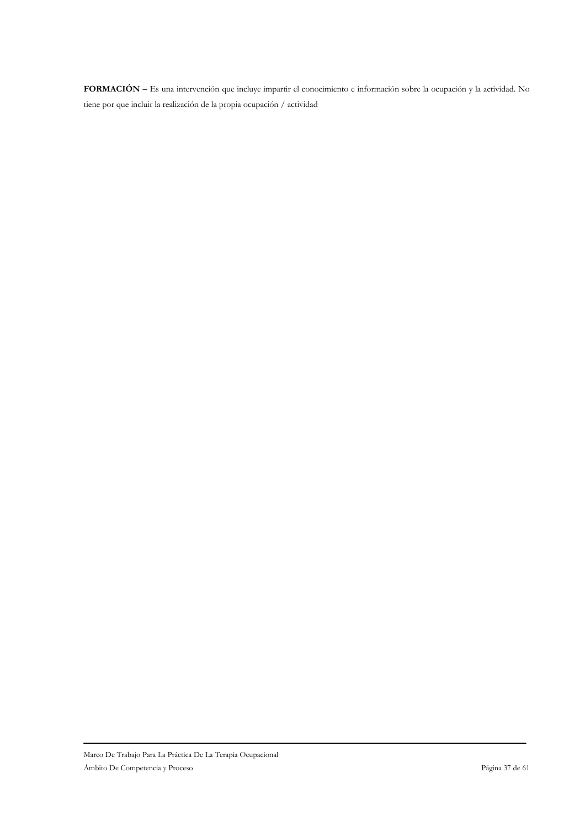FORMACIÓN - Es una intervención que incluye impartir el conocimiento e información sobre la ocupación y la actividad. No tiene por que incluir la realización de la propia ocupación / actividad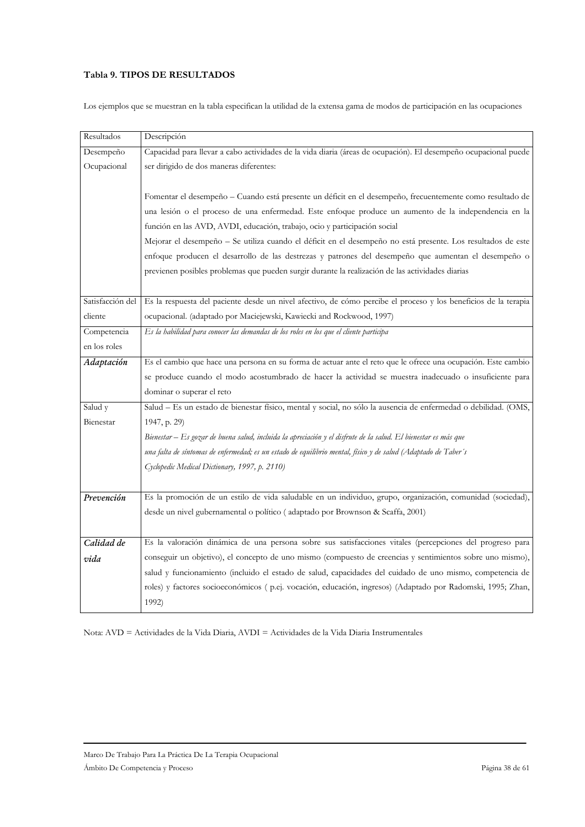# Tabla 9. TIPOS DE RESULTADOS

Los ejemplos que se muestran en la tabla especifican la utilidad de la extensa gama de modos de participación en las ocupaciones

| Resultados       | Descripción                                                                                                     |  |  |  |
|------------------|-----------------------------------------------------------------------------------------------------------------|--|--|--|
| Desempeño        | Capacidad para llevar a cabo actividades de la vida diaria (áreas de ocupación). El desempeño ocupacional puede |  |  |  |
| Ocupacional      | ser dirigido de dos maneras diferentes:                                                                         |  |  |  |
|                  |                                                                                                                 |  |  |  |
|                  | Fomentar el desempeño – Cuando está presente un déficit en el desempeño, frecuentemente como resultado de       |  |  |  |
|                  | una lesión o el proceso de una enfermedad. Este enfoque produce un aumento de la independencia en la            |  |  |  |
|                  | función en las AVD, AVDI, educación, trabajo, ocio y participación social                                       |  |  |  |
|                  | Mejorar el desempeño - Se utiliza cuando el déficit en el desempeño no está presente. Los resultados de este    |  |  |  |
|                  | enfoque producen el desarrollo de las destrezas y patrones del desempeño que aumentan el desempeño o            |  |  |  |
|                  | previenen posibles problemas que pueden surgir durante la realización de las actividades diarias                |  |  |  |
|                  |                                                                                                                 |  |  |  |
| Satisfacción del | Es la respuesta del paciente desde un nivel afectivo, de cómo percibe el proceso y los beneficios de la terapia |  |  |  |
| cliente          | ocupacional. (adaptado por Maciejewski, Kawiecki and Rockwood, 1997)                                            |  |  |  |
| Competencia      | Es la habilidad para conocer las demandas de los roles en los que el cliente participa                          |  |  |  |
| en los roles     |                                                                                                                 |  |  |  |
| Adaptación       | Es el cambio que hace una persona en su forma de actuar ante el reto que le ofrece una ocupación. Este cambio   |  |  |  |
|                  | se produce cuando el modo acostumbrado de hacer la actividad se muestra inadecuado o insuficiente para          |  |  |  |
|                  | dominar o superar el reto                                                                                       |  |  |  |
| Salud y          | Salud - Es un estado de bienestar físico, mental y social, no sólo la ausencia de enfermedad o debilidad. (OMS, |  |  |  |
| Bienestar        | 1947, p. 29)                                                                                                    |  |  |  |
|                  | Bienestar – Es gozar de buena salud, incluida la apreciación y el disfrute de la salud. El bienestar es más que |  |  |  |
|                  | una falta de síntomas de enfermedad; es un estado de equilibrio mental, físico y de salud (Adaptado de Taber's  |  |  |  |
|                  | Cyclopedic Medical Dictionary, 1997, p. 2110)                                                                   |  |  |  |
|                  |                                                                                                                 |  |  |  |
| Prevención       | Es la promoción de un estilo de vida saludable en un individuo, grupo, organización, comunidad (sociedad),      |  |  |  |
|                  | desde un nivel gubernamental o político (adaptado por Brownson & Scaffa, 2001)                                  |  |  |  |
|                  |                                                                                                                 |  |  |  |
| Calidad de       | Es la valoración dinámica de una persona sobre sus satisfacciones vitales (percepciones del progreso para       |  |  |  |
| vida             | conseguir un objetivo), el concepto de uno mismo (compuesto de creencias y sentimientos sobre uno mismo),       |  |  |  |
|                  | salud y funcionamiento (incluido el estado de salud, capacidades del cuidado de uno mismo, competencia de       |  |  |  |
|                  | roles) y factores socioeconómicos ( p.ej. vocación, educación, ingresos) (Adaptado por Radomski, 1995; Zhan,    |  |  |  |
|                  | 1992)                                                                                                           |  |  |  |

Nota: AVD = Actividades de la Vida Diaria, AVDI = Actividades de la Vida Diaria Instrumentales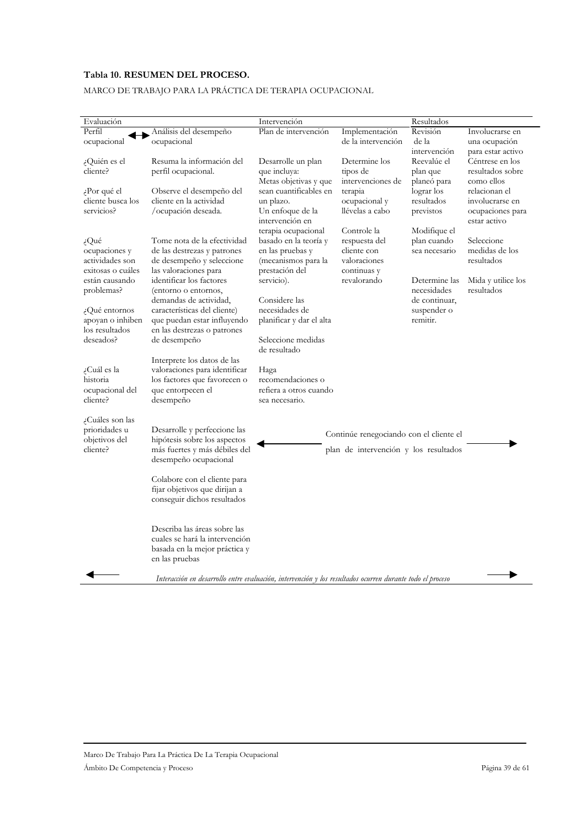# Tabla 10. RESUMEN DEL PROCESO.

# MARCO DE TRABAJO PARA LA PRÁCTICA DE TERAPIA OCUPACIONAL

| Evaluación                        |                                                                                                           | Intervención                               |                                       | Resultados              |                                  |
|-----------------------------------|-----------------------------------------------------------------------------------------------------------|--------------------------------------------|---------------------------------------|-------------------------|----------------------------------|
| Perfil                            | Análisis del desempeño                                                                                    | Plan de intervención                       | Implementación                        | Revisión                | Involucrarse en                  |
| ocupacional                       | ocupacional                                                                                               |                                            | de la intervención                    | de la                   | una ocupación                    |
|                                   |                                                                                                           |                                            |                                       | intervención            | para estar activo                |
| ¿Quién es el                      | Resuma la información del                                                                                 | Desarrolle un plan                         | Determine los                         | Reevalúe el             | Céntrese en los                  |
| cliente?                          | perfil ocupacional.                                                                                       | que incluya:                               | tipos de                              | plan que                | resultados sobre                 |
|                                   |                                                                                                           | Metas objetivas y que                      | intervenciones de                     | planeó para             | como ellos                       |
| Por qué el                        | Observe el desempeño del                                                                                  | sean cuantificables en                     | terapia                               | lograr los              | relacionan el                    |
| cliente busca los                 | cliente en la actividad                                                                                   | un plazo.                                  | ocupacional y                         | resultados              | involucrarse en                  |
| servicios?                        | /ocupación deseada.                                                                                       | Un enfoque de la<br>intervención en        | llévelas a cabo                       | previstos               | ocupaciones para<br>estar activo |
|                                   |                                                                                                           | terapia ocupacional                        | Controle la                           | Modifique el            |                                  |
| $\dot{\epsilon}$ Qué              | Tome nota de la efectividad                                                                               | basado en la teoría y                      | respuesta del                         | plan cuando             | Seleccione                       |
| ocupaciones y                     | de las destrezas y patrones                                                                               | en las pruebas y                           | cliente con                           | sea necesario           | medidas de los                   |
| actividades son                   | de desempeño y seleccione                                                                                 | (mecanismos para la                        | valoraciones                          |                         | resultados                       |
| exitosas o cuáles                 | las valoraciones para                                                                                     | prestación del                             | continuas y                           |                         |                                  |
| están causando                    | identificar los factores                                                                                  | servicio).                                 | revalorando                           | Determine las           | Mida y utilice los               |
| problemas?                        | (entorno o entornos,                                                                                      |                                            |                                       | necesidades             | resultados                       |
|                                   | demandas de actividad,                                                                                    | Considere las                              |                                       | de continuar,           |                                  |
| ¿Qué entornos<br>apoyan o inhiben | características del cliente)<br>que puedan estar influyendo                                               | necesidades de<br>planificar y dar el alta |                                       | suspender o<br>remitir. |                                  |
| los resultados                    | en las destrezas o patrones                                                                               |                                            |                                       |                         |                                  |
| deseados?                         | de desempeño                                                                                              | Seleccione medidas                         |                                       |                         |                                  |
|                                   |                                                                                                           | de resultado                               |                                       |                         |                                  |
|                                   | Interprete los datos de las                                                                               |                                            |                                       |                         |                                  |
| ¿Cuál es la                       | valoraciones para identificar                                                                             | Haga                                       |                                       |                         |                                  |
| historia                          | los factores que favorecen o                                                                              | recomendaciones o                          |                                       |                         |                                  |
| ocupacional del<br>cliente?       | que entorpecen el                                                                                         | refiera a otros cuando                     |                                       |                         |                                  |
|                                   | desempeño                                                                                                 | sea necesario.                             |                                       |                         |                                  |
| ¿Cuáles son las                   |                                                                                                           |                                            |                                       |                         |                                  |
| prioridades u                     | Desarrolle y perfeccione las                                                                              |                                            |                                       |                         |                                  |
| objetivos del                     | hipótesis sobre los aspectos                                                                              | Continúe renegociando con el cliente el    |                                       |                         |                                  |
| cliente?                          | más fuertes y más débiles del                                                                             |                                            | plan de intervención y los resultados |                         |                                  |
|                                   | desempeño ocupacional                                                                                     |                                            |                                       |                         |                                  |
|                                   |                                                                                                           |                                            |                                       |                         |                                  |
|                                   | Colabore con el cliente para<br>fijar objetivos que dirijan a                                             |                                            |                                       |                         |                                  |
|                                   | conseguir dichos resultados                                                                               |                                            |                                       |                         |                                  |
|                                   |                                                                                                           |                                            |                                       |                         |                                  |
|                                   |                                                                                                           |                                            |                                       |                         |                                  |
|                                   | Describa las áreas sobre las                                                                              |                                            |                                       |                         |                                  |
|                                   | cuales se hará la intervención                                                                            |                                            |                                       |                         |                                  |
|                                   | basada en la mejor práctica y                                                                             |                                            |                                       |                         |                                  |
|                                   | en las pruebas                                                                                            |                                            |                                       |                         |                                  |
|                                   | Interacción en desarrollo entre evaluación, intervención y los resultados ocurren durante todo el proceso |                                            |                                       |                         |                                  |
|                                   |                                                                                                           |                                            |                                       |                         |                                  |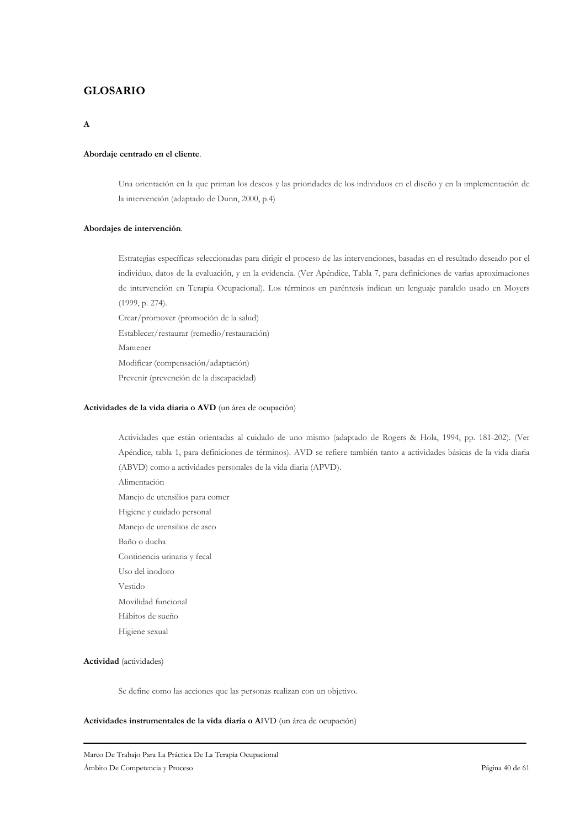# **GLOSARIO**

### $\overline{\mathbf{A}}$

#### Abordaje centrado en el cliente.

Una orientación en la que priman los deseos y las prioridades de los individuos en el diseño y en la implementación de la intervención (adaptado de Dunn, 2000, p.4)

#### Abordajes de intervención.

Estrategias específicas seleccionadas para dirigir el proceso de las intervenciones, basadas en el resultado deseado por el individuo, datos de la evaluación, y en la evidencia. (Ver Apéndice, Tabla 7, para definiciones de varias aproximaciones de intervención en Terapia Ocupacional). Los términos en paréntesis indican un lenguaje paralelo usado en Moyers  $(1999, p. 274).$ 

Crear/promover (promoción de la salud) Establecer/restaurar (remedio/restauración) Mantener Modificar (compensación/adaptación) Prevenir (prevención de la discapacidad)

#### Actividades de la vida diaria o AVD (un área de ocupación)

Actividades que están orientadas al cuidado de uno mismo (adaptado de Rogers & Hola, 1994, pp. 181-202). (Ver Apéndice, tabla 1, para definiciones de términos). AVD se refiere también tanto a actividades básicas de la vida diaria (ABVD) como a actividades personales de la vida diaria (APVD). Alimentación Manejo de utensilios para comer Higiene y cuidado personal Manejo de utensilios de aseo Baño o ducha Continencia urinaria y fecal Uso del inodoro Vestido Movilidad funcional Hábitos de sueño Higiene sexual

### Actividad (actividades)

Se define como las acciones que las personas realizan con un objetivo.

#### Actividades instrumentales de la vida diaria o AIVD (un área de ocupación)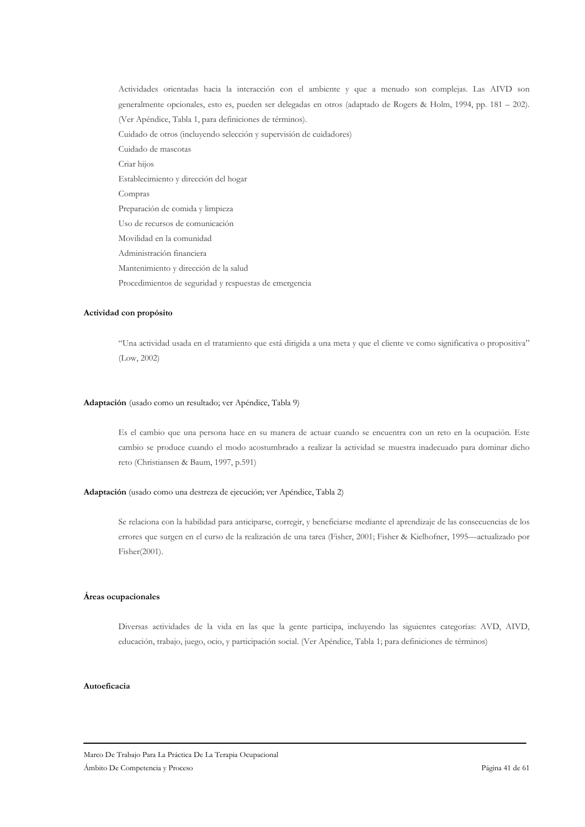Actividades orientadas hacia la interacción con el ambiente y que a menudo son complejas. Las AIVD son generalmente opcionales, esto es, pueden ser delegadas en otros (adaptado de Rogers & Holm, 1994, pp. 181 – 202). (Ver Apéndice, Tabla 1, para definiciones de términos). Cuidado de otros (incluyendo selección y supervisión de cuidadores) Cuidado de mascotas Criar hijos Establecimiento y dirección del hogar Compras Preparación de comida y limpieza Uso de recursos de comunicación Movilidad en la comunidad Administración financiera Mantenimiento y dirección de la salud Procedimientos de seguridad y respuestas de emergencia

#### Actividad con propósito

"Una actividad usada en el tratamiento que está dirigida a una meta y que el cliente ve como significativa o propositiva"  $(Low, 2002)$ 

#### Adaptación (usado como un resultado; ver Apéndice, Tabla 9)

Es el cambio que una persona hace en su manera de actuar cuando se encuentra con un reto en la ocupación. Este cambio se produce cuando el modo acostumbrado a realizar la actividad se muestra inadecuado para dominar dicho reto (Christiansen & Baum, 1997, p.591)

### Adaptación (usado como una destreza de ejecución; ver Apéndice, Tabla 2)

Se relaciona con la habilidad para anticiparse, corregir, y beneficiarse mediante el aprendizaje de las consecuencias de los errores que surgen en el curso de la realización de una tarea (Fisher, 2001; Fisher & Kielhofner, 1995—actualizado por Fisher(2001).

#### Áreas ocupacionales

Diversas actividades de la vida en las que la gente participa, incluyendo las siguientes categorías: AVD, AIVD, educación, trabajo, juego, ocio, y participación social. (Ver Apéndice, Tabla 1; para definiciones de términos)

### Autoeficacia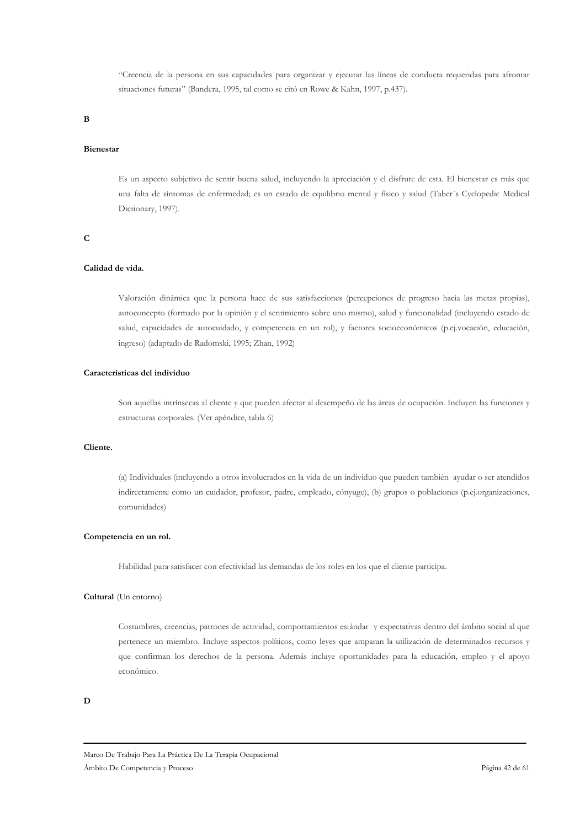"Creencia de la persona en sus capacidades para organizar y ejecutar las líneas de conducta requeridas para afrontar situaciones futuras" (Bandera, 1995, tal como se citó en Rowe & Kahn, 1997, p.437).

 $\bf{B}$ 

### **Bienestar**

Es un aspecto subjetivo de sentir buena salud, incluyendo la apreciación y el disfrute de esta. El bienestar es más que una falta de síntomas de enfermedad; es un estado de equilibrio mental y físico y salud (Taber's Cyclopedic Medical Dictionary, 1997).

#### $\mathbf C$

# Calidad de vida.

Valoración dinámica que la persona hace de sus satisfacciones (percepciones de progreso hacia las metas propias), autoconcepto (formado por la opinión y el sentimiento sobre uno mismo), salud y funcionalidad (incluyendo estado de salud, capacidades de autocuidado, y competencia en un rol), y factores socioeconómicos (p.ej.vocación, educación, ingreso) (adaptado de Radomski, 1995; Zhan, 1992)

### Características del individuo

Son aquellas intrínsecas al cliente y que pueden afectar al desempeño de las áreas de ocupación. Incluyen las funciones y estructuras corporales. (Ver apéndice, tabla 6)

### Cliente.

(a) Individuales (incluyendo a otros involucrados en la vida de un individuo que pueden también ayudar o ser atendidos indirectamente como un cuidador, profesor, padre, empleado, cónyuge), (b) grupos o poblaciones (p.ej.organizaciones, comunidades)

#### Competencia en un rol.

Habilidad para satisfacer con efectividad las demandas de los roles en los que el cliente participa.

#### Cultural (Un entorno)

Costumbres, creencias, patrones de actividad, comportamientos estándar y expectativas dentro del ámbito social al que pertenece un miembro. Incluye aspectos políticos, como leyes que amparan la utilización de determinados recursos y que confirman los derechos de la persona. Además incluye oportunidades para la educación, empleo y el apoyo económico

 $\mathbf{D}$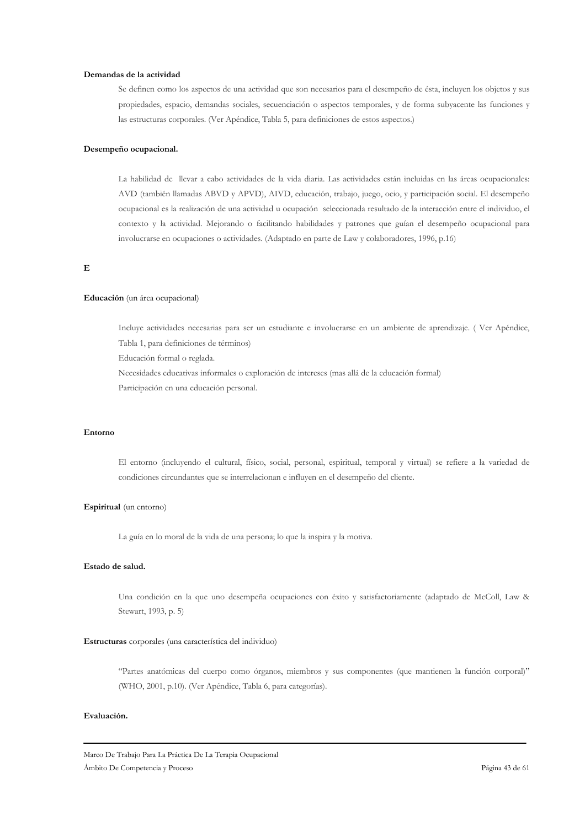### Demandas de la actividad

Se definen como los aspectos de una actividad que son necesarios para el desempeño de ésta, incluyen los objetos y sus propiedades, espacio, demandas sociales, secuenciación o aspectos temporales, y de forma subyacente las funciones y las estructuras corporales. (Ver Apéndice, Tabla 5, para definiciones de estos aspectos.)

### Desempeño ocupacional.

La habilidad de llevar a cabo actividades de la vida diaria. Las actividades están incluidas en las áreas ocupacionales: AVD (también llamadas ABVD y APVD), AIVD, educación, trabajo, juego, ocio, y participación social. El desempeño ocupacional es la realización de una actividad u ocupación seleccionada resultado de la interacción entre el individuo, el contexto y la actividad. Mejorando o facilitando habilidades y patrones que guían el desempeño ocupacional para involucrarse en ocupaciones o actividades. (Adaptado en parte de Law y colaboradores, 1996, p.16)

### $\overline{E}$

#### Educación (un área ocupacional)

Incluye actividades necesarias para ser un estudiante e involucrarse en un ambiente de aprendizaje. (Ver Apéndice, Tabla 1, para definiciones de términos)

Educación formal o reglada.

Necesidades educativas informales o exploración de intereses (mas allá de la educación formal)

Participación en una educación personal.

#### Entorno

El entorno (incluyendo el cultural, físico, social, personal, espiritual, temporal y virtual) se refiere a la variedad de condiciones circundantes que se interrelacionan e influyen en el desempeño del cliente.

#### Espiritual (un entorno)

La guía en lo moral de la vida de una persona; lo que la inspira y la motiva.

### Estado de salud.

Una condición en la que uno desempeña ocupaciones con éxito y satisfactoriamente (adaptado de McColl, Law & Stewart, 1993, p. 5)

#### Estructuras corporales (una característica del individuo)

"Partes anatómicas del cuerpo como órganos, miembros y sus componentes (que mantienen la función corporal)" (WHO, 2001, p.10). (Ver Apéndice, Tabla 6, para categorías).

### Evaluación.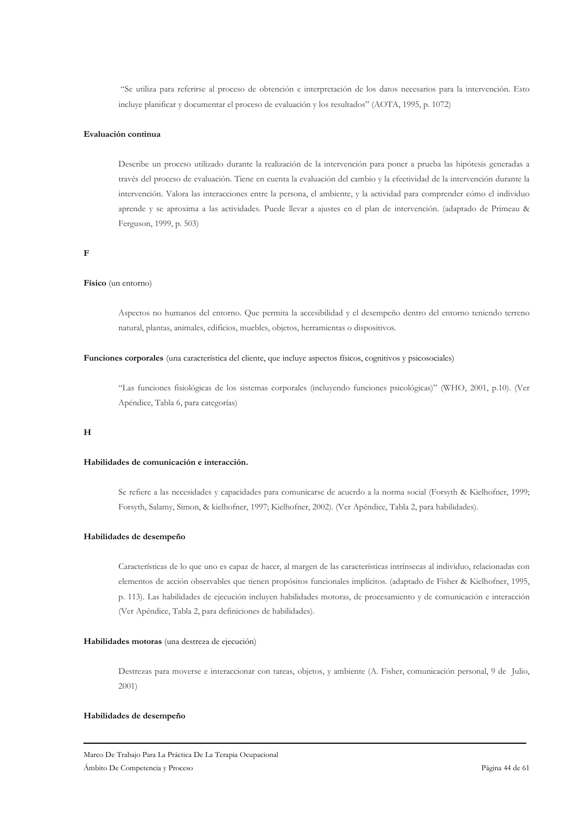"Se utiliza para referirse al proceso de obtención e interpretación de los datos necesarios para la intervención. Esto incluye planificar y documentar el proceso de evaluación y los resultados" (AOTA, 1995, p. 1072)

### Evaluación continua

Describe un proceso utilizado durante la realización de la intervención para poner a prueba las hipótesis generadas a través del proceso de evaluación. Tiene en cuenta la evaluación del cambio y la efectividad de la intervención durante la intervención. Valora las interacciones entre la persona, el ambiente, y la actividad para comprender cómo el individuo aprende y se aproxima a las actividades. Puede llevar a ajustes en el plan de intervención. (adaptado de Primeau & Ferguson, 1999, p. 503)

### $\overline{F}$

#### Físico (un entorno)

Aspectos no humanos del entorno. Que permita la accesibilidad y el desempeño dentro del entorno teniendo terreno natural, plantas, animales, edificios, muebles, objetos, herramientas o dispositivos.

#### Funciones corporales (una característica del cliente, que incluye aspectos físicos, cognitivos y psicosociales)

"Las funciones fisiológicas de los sistemas corporales (incluyendo funciones psicológicas)" (WHO, 2001, p.10). (Ver Apéndice, Tabla 6, para categorías)

#### $H$

#### Habilidades de comunicación e interacción.

Se refiere a las necesidades y capacidades para comunicarse de acuerdo a la norma social (Forsyth & Kielhofner, 1999; Forsyth, Salamy, Simon, & kielhofner, 1997; Kielhofner, 2002). (Ver Apéndice, Tabla 2, para habilidades).

#### Habilidades de desempeño

Características de lo que uno es capaz de hacer, al margen de las características intrínsecas al individuo, relacionadas con elementos de acción observables que tienen propósitos funcionales implícitos. (adaptado de Fisher & Kielhofner, 1995, p. 113). Las habilidades de ejecución incluyen habilidades motoras, de procesamiento y de comunicación e interacción (Ver Apéndice, Tabla 2, para definiciones de habilidades).

#### Habilidades motoras (una destreza de ejecución)

Destrezas para moverse e interaccionar con tareas, objetos, y ambiente (A. Fisher, comunicación personal, 9 de Julio,  $2001$ 

#### Habilidades de desempeño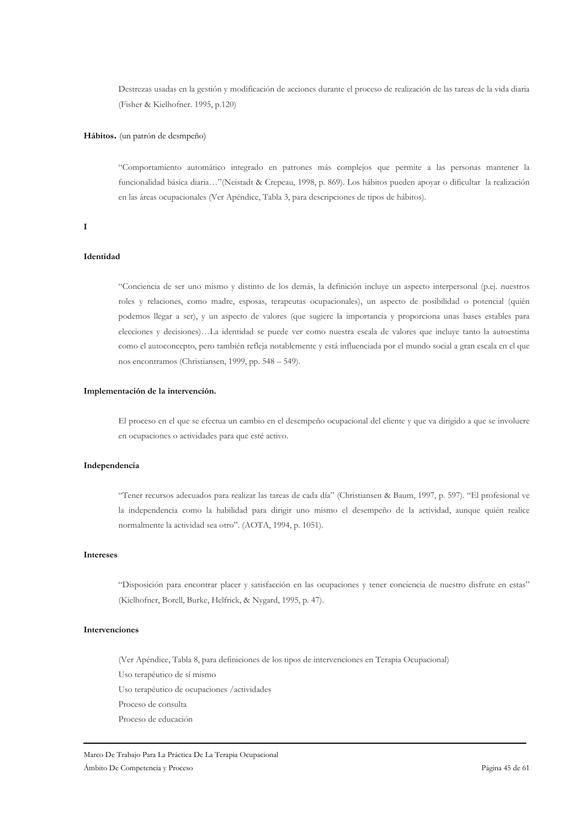Destrezas usadas en la gestión y modificación de acciones durante el proceso de realización de las tareas de la vida diaria (Fisher & Kielhofner, 1995, p.120)

### Hábitos. (un patrón de desmpeño)

"Comportamiento automático integrado en patrones más complejos que permite a las personas mantener la funcionalidad básica diaria..."(Neistadt & Crepeau, 1998, p. 869). Los hábitos pueden apoyar o dificultar la realización en las áreas ocupacionales (Ver Apéndice, Tabla 3, para descripciones de tipos de hábitos).

#### $\mathbf I$

### Identidad

"Conciencia de ser uno mismo y distinto de los demás, la definición incluye un aspecto interpersonal (p.e. nuestros roles y relaciones, como madre, esposas, terapeutas ocupacionales), un aspecto de posibilidad o potencial (quién podemos llegar a ser), y un aspecto de valores (que sugiere la importancia y proporciona unas bases estables para elecciones y decisiones)...La identidad se puede ver como nuestra escala de valores que incluye tanto la autoestima como el autoconcepto, pero también refleja notablemente y está influenciada por el mundo social a gran escala en el que nos encontramos (Christiansen, 1999, pp. 548 – 549).

#### Implementación de la intervención.

El proceso en el que se efectua un cambio en el desempeño ocupacional del cliente y que va dirigido a que se involucre en ocupaciones o actividades para que esté activo.

#### Independencia

"Tener recursos adecuados para realizar las tareas de cada día" (Christiansen & Baum, 1997, p. 597). "El profesional ve la independencia como la habilidad para dirigir uno mismo el desempeño de la actividad, aunque quién realice normalmente la actividad sea otro". (AOTA, 1994, p. 1051).

### **Intereses**

"Disposición para encontrar placer y satisfacción en las ocupaciones y tener conciencia de nuestro disfrute en estas" (Kielhofner, Borell, Burke, Helfrick, & Nygard, 1995, p. 47).

# Intervenciones

(Ver Apéndice, Tabla 8, para definiciones de los tipos de intervenciones en Terapia Ocupacional) Uso terapéutico de sí mismo Uso terapéutico de ocupaciones /actividades Proceso de consulta Proceso de educación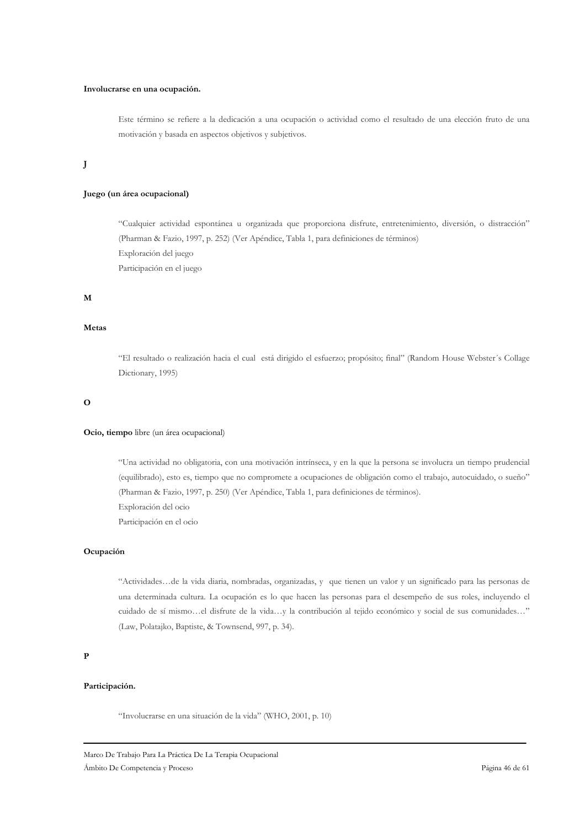#### Involucrarse en una ocupación.

Este término se refiere a la dedicación a una ocupación o actividad como el resultado de una elección fruto de una motivación y basada en aspectos objetivos y subjetivos.

# $\mathbf{J}$

### Juego (un área ocupacional)

"Cualquier actividad espontánea u organizada que proporciona disfrute, entretenimiento, diversión, o distracción" (Pharman & Fazio, 1997, p. 252) (Ver Apéndice, Tabla 1, para definiciones de términos) Exploración del juego Participación en el juego

#### $\bf M$

#### Metas

"El resultado o realización hacia el cual está dirigido el esfuerzo; propósito; final" (Random House Webster's Collage Dictionary, 1995)

#### $\overline{O}$

#### Ocio, tiempo libre (un área ocupacional)

"Una actividad no obligatoria, con una motivación intrínseca, y en la que la persona se involucra un tiempo prudencial (equilibrado), esto es, tiempo que no compromete a ocupaciones de obligación como el trabajo, autocuidado, o sueño" (Pharman & Fazio, 1997, p. 250) (Ver Apéndice, Tabla 1, para definiciones de términos). Exploración del ocio Participación en el ocio

### Ocupación

"Actividades...de la vida diaria, nombradas, organizadas, y que tienen un valor y un significado para las personas de una determinada cultura. La ocupación es lo que hacen las personas para el desempeño de sus roles, incluyendo el cuidado de sí mismo...el disfrute de la vida...y la contribución al tejido económico y social de sus comunidades..." (Law, Polatajko, Baptiste, & Townsend, 997, p. 34).

#### $\overline{P}$

# Participación.

"Involucrarse en una situación de la vida" (WHO, 2001, p. 10)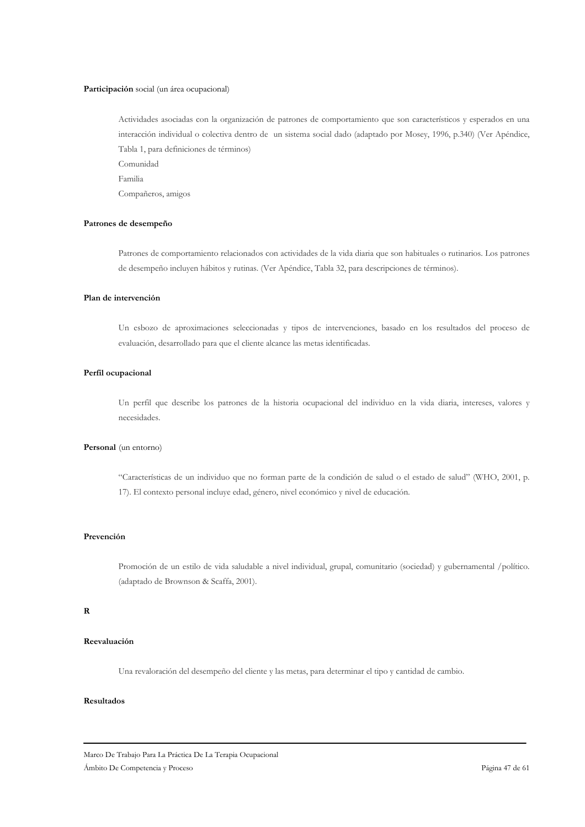#### Participación social (un área ocupacional)

Actividades asociadas con la organización de patrones de comportamiento que son característicos y esperados en una interacción individual o colectiva dentro de un sistema social dado (adaptado por Mosey, 1996, p.340) (Ver Apéndice, Tabla 1, para definiciones de términos) Comunidad Familia Compañeros, amigos

#### Patrones de desempeño

Patrones de comportamiento relacionados con actividades de la vida diaria que son habituales o rutinarios. Los patrones de desempeño incluyen hábitos y rutinas. (Ver Apéndice, Tabla 32, para descripciones de términos).

### Plan de intervención

Un esbozo de aproximaciones seleccionadas y tipos de intervenciones, basado en los resultados del proceso de evaluación, desarrollado para que el cliente alcance las metas identificadas.

# Perfil ocupacional

Un perfil que describe los patrones de la historia ocupacional del individuo en la vida diaria, intereses, valores y necesidades.

### Personal (un entorno)

"Características de un individuo que no forman parte de la condición de salud o el estado de salud" (WHO, 2001, p. 17). El contexto personal incluye edad, género, nivel económico y nivel de educación.

#### Prevención

Promoción de un estilo de vida saludable a nivel individual, grupal, comunitario (sociedad) y gubernamental /político. (adaptado de Brownson & Scaffa, 2001).

#### $\overline{\mathbf{R}}$

# Reevaluación

Una revaloración del desempeño del cliente y las metas, para determinar el tipo y cantidad de cambio.

#### Resultados

Marco De Trabajo Para La Práctica De La Terapia Ocupacional Ámbito De Competencia y Proceso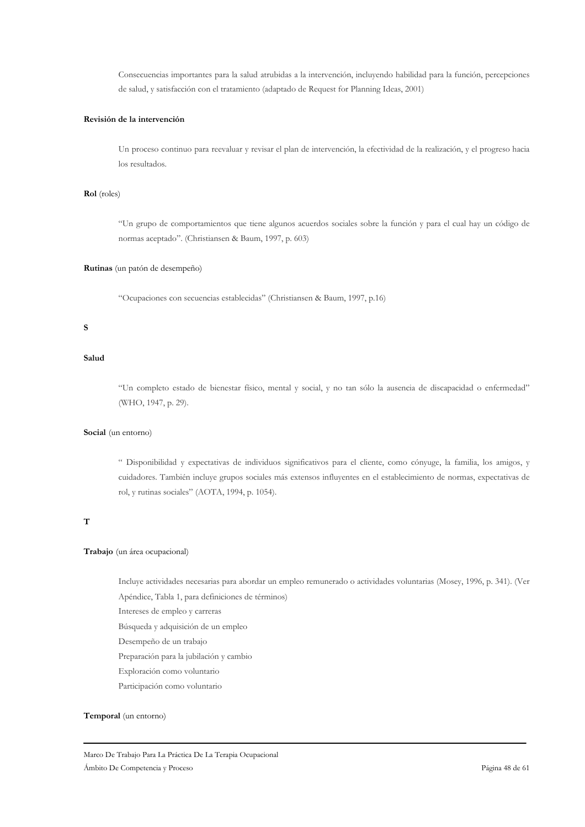Consecuencias importantes para la salud atrubidas a la intervención, incluyendo habilidad para la función, percepciones de salud, y satisfacción con el tratamiento (adaptado de Request for Planning Ideas, 2001)

### Revisión de la intervención

Un proceso continuo para reevaluar y revisar el plan de intervención, la efectividad de la realización, y el progreso hacia los resultados.

### Rol (roles)

"Un grupo de comportamientos que tiene algunos acuerdos sociales sobre la función y para el cual hay un código de normas aceptado". (Christiansen & Baum, 1997, p. 603)

### Rutinas (un patón de desempeño)

"Ocupaciones con secuencias establecidas" (Christiansen & Baum, 1997, p.16)

### $\mathbf{s}$

#### Salud

"Un completo estado de bienestar físico, mental y social, y no tan sólo la ausencia de discapacidad o enfermedad" (WHO, 1947, p. 29).

#### Social (un entorno)

" Disponibilidad y expectativas de individuos significativos para el cliente, como cónyuge, la familia, los amigos, y cuidadores. También incluye grupos sociales más extensos influyentes en el establecimiento de normas, expectativas de rol, y rutinas sociales" (AOTA, 1994, p. 1054).

# $\overline{\mathbf{T}}$

### Trabajo (un área ocupacional)

Incluye actividades necesarias para abordar un empleo remunerado o actividades voluntarias (Mosey, 1996, p. 341). (Ver Apéndice, Tabla 1, para definiciones de términos)

Intereses de empleo y carreras

Búsqueda y adquisición de un empleo

Desempeño de un trabajo

Preparación para la jubilación y cambio

Exploración como voluntario

Participación como voluntario

#### Temporal (un entorno)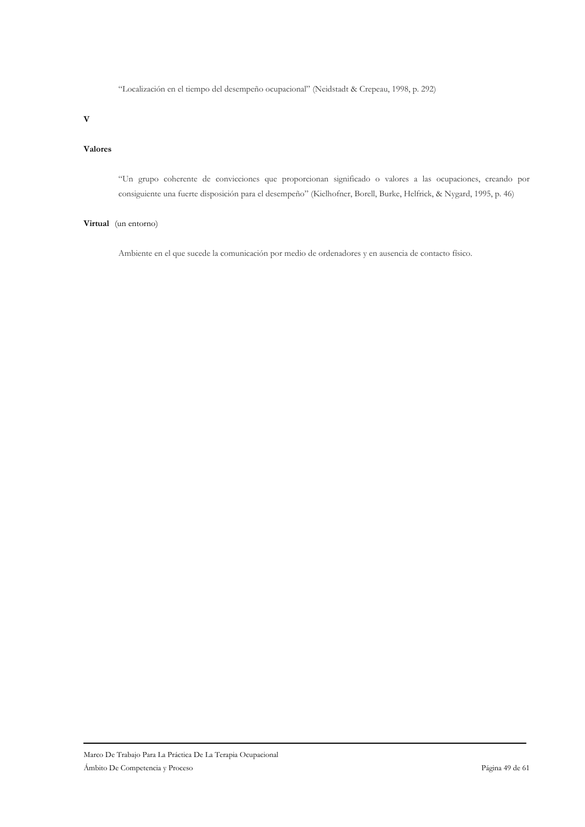"Localización en el tiempo del desempeño ocupacional" (Neidstadt & Crepeau, 1998, p. 292)

 $\overline{\mathbf{V}}$ 

### Valores

"Un grupo coherente de convicciones que proporcionan significado o valores a las ocupaciones, creando por consiguiente una fuerte disposición para el desempeño" (Kielhofner, Borell, Burke, Helfrick, & Nygard, 1995, p. 46)

### Virtual (un entorno)

Ambiente en el que sucede la comunicación por medio de ordenadores y en ausencia de contacto físico.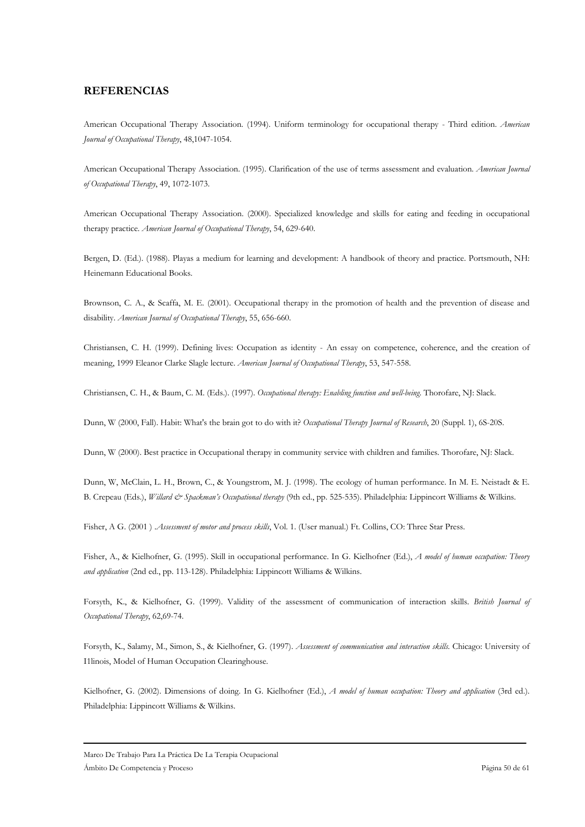# **REFERENCIAS**

American Occupational Therapy Association. (1994). Uniform terminology for occupational therapy - Third edition. American Journal of Occupational Therapy, 48,1047-1054.

American Occupational Therapy Association. (1995). Clarification of the use of terms assessment and evaluation. American Journal of Occupational Therapy, 49, 1072-1073.

American Occupational Therapy Association. (2000). Specialized knowledge and skills for eating and feeding in occupational therapy practice. American Journal of Occupational Therapy, 54, 629-640.

Bergen, D. (Ed.). (1988). Playas a medium for learning and development: A handbook of theory and practice. Portsmouth, NH: Heinemann Educational Books.

Brownson, C. A., & Scaffa, M. E. (2001). Occupational therapy in the promotion of health and the prevention of disease and disability. American Journal of Occupational Therapy, 55, 656-660.

Christiansen, C. H. (1999). Defining lives: Occupation as identity - An essay on competence, coherence, and the creation of meaning, 1999 Eleanor Clarke Slagle lecture. American Journal of Occupational Therapy, 53, 547-558.

Christiansen, C. H., & Baum, C. M. (Eds.). (1997). Occupational therapy: Enabling function and well-being. Thorofare, NJ: Slack.

Dunn, W (2000, Fall). Habit: What's the brain got to do with it? Occupational Therapy Journal of Research, 20 (Suppl. 1), 6S-20S.

Dunn, W (2000). Best practice in Occupational therapy in community service with children and families. Thorofare, NJ: Slack.

Dunn, W, McClain, L. H., Brown, C., & Youngstrom, M. J. (1998). The ecology of human performance. In M. E. Neistadt & E. B. Crepeau (Eds.), Willard & Spackman's Occupational therapy (9th ed., pp. 525-535). Philadelphia: Lippincort Williams & Wilkins.

Fisher, A G. (2001) Assessment of motor and process skills, Vol. 1. (User manual.) Ft. Collins, CO: Three Star Press.

Fisher, A., & Kielhofner, G. (1995). Skill in occupational performance. In G. Kielhofner (Ed.), A model of human occupation: Theory and application (2nd ed., pp. 113-128). Philadelphia: Lippincott Williams & Wilkins.

Forsyth, K., & Kielhofner, G. (1999). Validity of the assessment of communication of interaction skills. British Journal of Occupational Therapy, 62,69-74.

Forsyth, K., Salamy, M., Simon, S., & Kielhofner, G. (1997). Assessment of communication and interaction skills. Chicago: University of I1linois, Model of Human Occupation Clearinghouse.

Kielhofner, G. (2002). Dimensions of doing. In G. Kielhofner (Ed.), A model of human occupation: Theory and application (3rd ed.). Philadelphia: Lippincott Williams & Wilkins.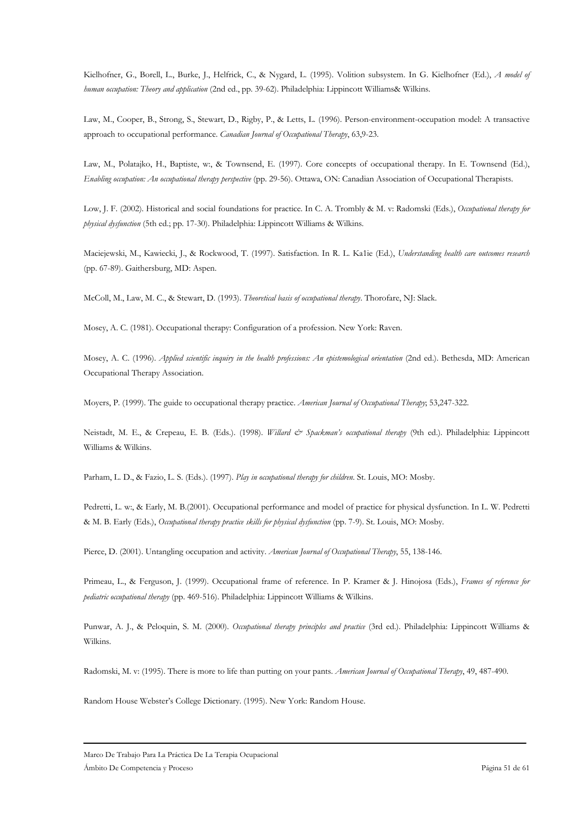Kielhofner, G., Borell, L., Burke, J., Helfrick, C., & Nygard, L. (1995). Volition subsystem. In G. Kielhofner (Ed.), A model of human occupation: Theory and application (2nd ed., pp. 39-62). Philadelphia: Lippincott Williams& Wilkins.

Law, M., Cooper, B., Strong, S., Stewart, D., Rigby, P., & Letts, L. (1996). Person-environment-occupation model: A transactive approach to occupational performance. Canadian Journal of Occupational Therapy, 63,9-23.

Law, M., Polatajko, H., Baptiste, w., & Townsend, E. (1997). Core concepts of occupational therapy. In E. Townsend (Ed.), Enabling occupation: An occupational therapy perspective (pp. 29-56). Ottawa, ON: Canadian Association of Occupational Therapists.

Low, J. F. (2002). Historical and social foundations for practice. In C. A. Trombly & M. v: Radomski (Eds.), Occupational therapy for physical dysfunction (5th ed.; pp. 17-30). Philadelphia: Lippincott Williams & Wilkins.

Maciejewski, M., Kawiecki, J., & Rockwood, T. (1997). Satisfaction. In R. L. Ka1ie (Ed.), Understanding health care outcomes research (pp. 67-89). Gaithersburg, MD: Aspen.

McColl, M., Law, M. C., & Stewart, D. (1993). Theoretical basis of occupational therapy. Thorofare, NJ: Slack.

Mosey, A. C. (1981). Occupational therapy: Configuration of a profession. New York: Raven.

Mosey, A. C. (1996). Applied scientific inquiry in the health professions: An epistemological orientation (2nd ed.). Bethesda, MD: American Occupational Therapy Association.

Moyers, P. (1999). The guide to occupational therapy practice. American Journal of Occupational Therapy, 53,247-322.

Neistadt, M. E., & Crepeau, E. B. (Eds.). (1998). Willard & Spackman's occupational therapy (9th ed.). Philadelphia: Lippincott Williams & Wilkins.

Parham, L. D., & Fazio, L. S. (Eds.). (1997). Play in occupational therapy for children. St. Louis, MO: Mosby.

Pedretti, L. w., & Early, M. B.(2001). Occupational performance and model of practice for physical dysfunction. In L. W. Pedretti & M. B. Early (Eds.), Occupational therapy practice skills for physical dysfunction (pp. 7-9). St. Louis, MO: Mosby.

Pierce, D. (2001). Untangling occupation and activity. American Journal of Occupational Therapy, 55, 138-146.

Primeau, L., & Ferguson, J. (1999). Occupational frame of reference. In P. Kramer & J. Hinojosa (Eds.), Frames of reference for pediatric occupational therapy (pp. 469-516). Philadelphia: Lippincott Williams & Wilkins.

Punwar, A. J., & Peloquin, S. M. (2000). Occupational therapy principles and practice (3rd ed.). Philadelphia: Lippincott Williams & Wilkins.

Radomski, M. v: (1995). There is more to life than putting on your pants. American Journal of Occupational Therapy, 49, 487-490.

Random House Webster's College Dictionary. (1995). New York: Random House.

Marco De Trabajo Para La Práctica De La Terapia Ocupacional Ámbito De Competencia y Proceso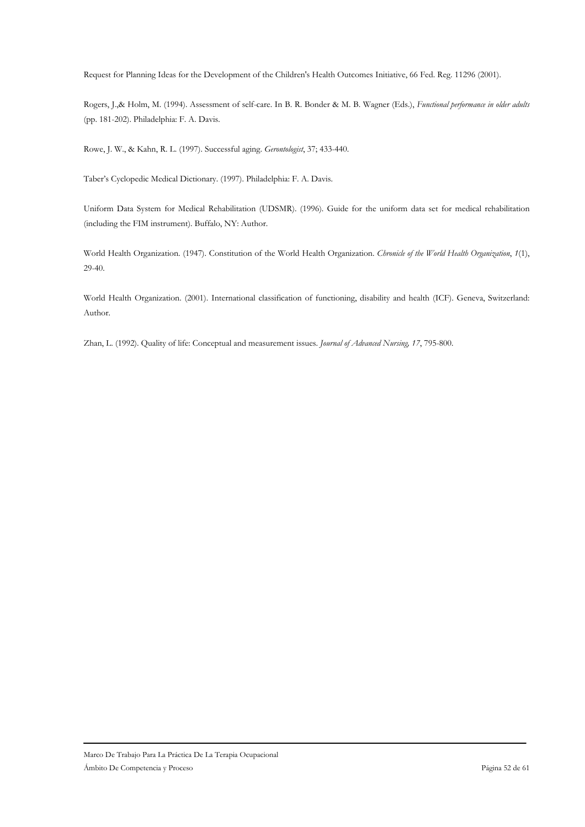Request for Planning Ideas for the Development of the Children's Health Outcomes Initiative, 66 Fed. Reg. 11296 (2001).

Rogers, J.,& Holm, M. (1994). Assessment of self-care. In B. R. Bonder & M. B. Wagner (Eds.), Functional performance in older adults (pp. 181-202). Philadelphia: F. A. Davis.

Rowe, J. W., & Kahn, R. L. (1997). Successful aging. Gerontologist, 37; 433-440.

Taber's Cyclopedic Medical Dictionary. (1997). Philadelphia: F. A. Davis.

Uniform Data System for Medical Rehabilitation (UDSMR). (1996). Guide for the uniform data set for medical rehabilitation (including the FIM instrument). Buffalo, NY: Author.

World Health Organization. (1947). Constitution of the World Health Organization. Chronicle of the World Health Organization, 1(1),  $29-40.$ 

World Health Organization. (2001). International classification of functioning, disability and health (ICF). Geneva, Switzerland: Author.

Zhan, L. (1992). Quality of life: Conceptual and measurement issues. Journal of Advanced Nursing, 17, 795-800.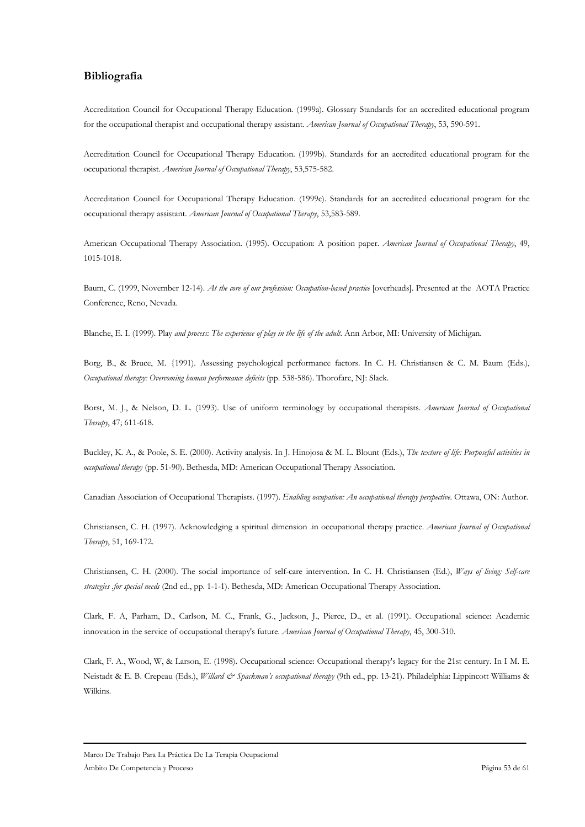# Bibliografía

Accreditation Council for Occupational Therapy Education. (1999a). Glossary Standards for an accredited educational program for the occupational therapist and occupational therapy assistant. American Journal of Occupational Therapy, 53, 590-591.

Accreditation Council for Occupational Therapy Education. (1999b). Standards for an accredited educational program for the occupational therapist. American Journal of Occupational Therapy, 53,575-582.

Accreditation Council for Occupational Therapy Education. (1999c). Standards for an accredited educational program for the occupational therapy assistant. American Journal of Occupational Therapy, 53,583-589.

American Occupational Therapy Association. (1995). Occupation: A position paper. American Journal of Occupational Therapy, 49, 1015-1018.

Baum, C. (1999, November 12-14). At the core of our profession: Occupation-based practice [overheads]. Presented at the AOTA Practice Conference, Reno, Nevada.

Blanche, E. I. (1999). Play and process: The experience of play in the life of the adult. Ann Arbor, MI: University of Michigan.

Borg, B., & Bruce, M. {1991). Assessing psychological performance factors. In C. H. Christiansen & C. M. Baum (Eds.), Occupational therapy: Overcoming human performance deficits (pp. 538-586). Thorofare, NJ: Slack.

Borst, M. J., & Nelson, D. L. (1993). Use of uniform terminology by occupational therapists. American Journal of Occupational Therapy, 47; 611-618.

Buckley, K. A., & Poole, S. E. (2000). Activity analysis. In J. Hinojosa & M. L. Blount (Eds.), The texture of life: Purposeful activities in occupational therapy (pp. 51-90). Bethesda, MD: American Occupational Therapy Association.

Canadian Association of Occupational Therapists. (1997). Enabling occupation: An occupational therapy perspective. Ottawa, ON: Author.

Christiansen, C. H. (1997). Acknowledging a spiritual dimension .in occupational therapy practice. American Journal of Occupational Therapy, 51, 169-172.

Christiansen, C. H. (2000). The social importance of self-care intervention. In C. H. Christiansen (Ed.), Ways of living: Self-care strategies for special needs (2nd ed., pp. 1-1-1). Bethesda, MD: American Occupational Therapy Association.

Clark, F. A, Parham, D., Carlson, M. C., Frank, G., Jackson, J., Pierce, D., et al. (1991). Occupational science: Academic innovation in the service of occupational therapy's future. American Journal of Occupational Therapy, 45, 300-310.

Clark, F. A., Wood, W, & Larson, E. (1998). Occupational science: Occupational therapy's legacy for the 21st century. In I M. E. Neistadt & E. B. Crepeau (Eds.), Willard & Spackman's occupational therapy (9th ed., pp. 13-21). Philadelphia: Lippincott Williams & Wilkins.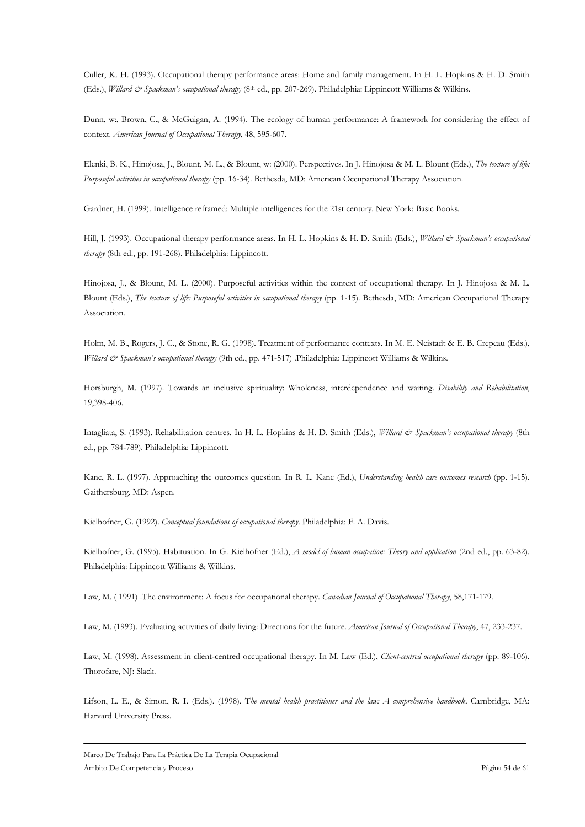Culler, K. H. (1993). Occupational therapy performance areas: Home and family management. In H. L. Hopkins & H. D. Smith (Eds.), Willard & Spackman's occupational therapy (8th ed., pp. 207-269). Philadelphia: Lippincott Williams & Wilkins.

Dunn, w., Brown, C., & McGuigan, A. (1994). The ecology of human performance: A framework for considering the effect of context. American Journal of Occupational Therapy, 48, 595-607.

Elenki, B. K., Hinojosa, J., Blount, M. L., & Blount, w: (2000). Perspectives. In J. Hinojosa & M. L. Blount (Eds.), The texture of life: Purposeful activities in occupational therapy (pp. 16-34). Bethesda, MD: American Occupational Therapy Association.

Gardner, H. (1999). Intelligence reframed: Multiple intelligences for the 21st century. New York: Basic Books.

Hill, J. (1993). Occupational therapy performance areas. In H. L. Hopkins & H. D. Smith (Eds.), Willard & Spackman's occupational therapy (8th ed., pp. 191-268). Philadelphia: Lippincott.

Hinojosa, J., & Blount, M. L. (2000). Purposeful activities within the context of occupational therapy. In J. Hinojosa & M. L. Blount (Eds.), The texture of life: Purposeful activities in occupational therapy (pp. 1-15). Bethesda, MD: American Occupational Therapy Association.

Holm, M. B., Rogers, J. C., & Stone, R. G. (1998). Treatment of performance contexts. In M. E. Neistadt & E. B. Crepeau (Eds.), Willard & Spackman's occupational therapy (9th ed., pp. 471-517) .Philadelphia: Lippincott Williams & Wilkins.

Horsburgh, M. (1997). Towards an inclusive spirituality: Wholeness, interdependence and waiting. Disability and Rehabilitation, 19,398-406.

Intagliata, S. (1993). Rehabilitation centres. In H. L. Hopkins & H. D. Smith (Eds.), Willard & Spackman's occupational therapy (8th ed., pp. 784-789). Philadelphia: Lippincott.

Kane, R. L. (1997). Approaching the outcomes question. In R. L. Kane (Ed.), Understanding health care outcomes research (pp. 1-15). Gaithersburg, MD: Aspen.

Kielhofner, G. (1992). Conceptual foundations of occupational therapy. Philadelphia: F. A. Davis.

Kielhofner, G. (1995). Habituation. In G. Kielhofner (Ed.), A model of human occupation: Theory and application (2nd ed., pp. 63-82). Philadelphia: Lippincott Williams & Wilkins.

Law, M. (1991) .The environment: A focus for occupational therapy. Canadian Journal of Occupational Therapy, 58,171-179.

Law, M. (1993). Evaluating activities of daily living: Directions for the future. American Journal of Occupational Therapy, 47, 233-237.

Law, M. (1998). Assessment in client-centred occupational therapy. In M. Law (Ed.), Client-centred occupational therapy (pp. 89-106). Thorofare, NJ: Slack.

Lifson, L. E., & Simon, R. I. (Eds.). (1998). The mental health practitioner and the law: A comprehensive handbook. Carnbridge, MA: Harvard University Press.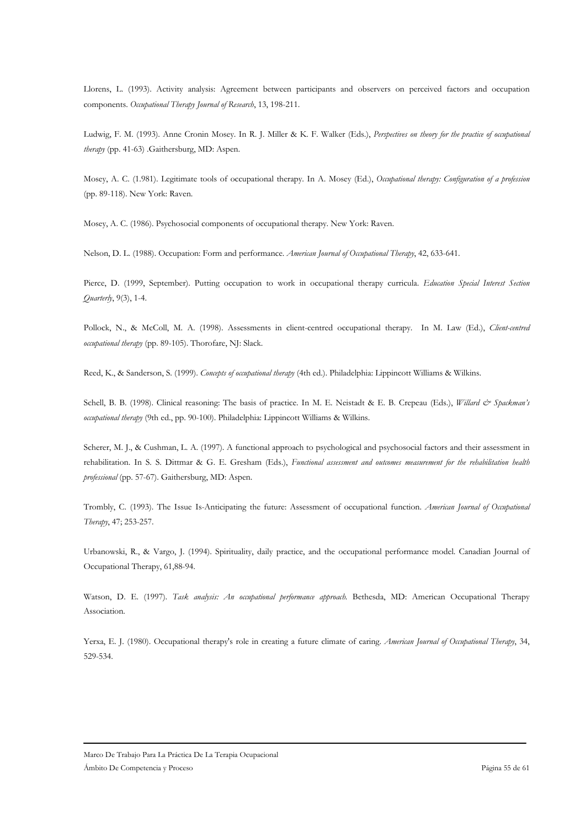Llorens, L. (1993). Activity analysis: Agreement between participants and observers on perceived factors and occupation components. Occupational Therapy Journal of Research, 13, 198-211.

Ludwig, F. M. (1993). Anne Cronin Mosey. In R. J. Miller & K. F. Walker (Eds.), Perspectives on theory for the practice of occupational therapy (pp. 41-63) .Gaithersburg, MD: Aspen.

Mosey, A. C. (1.981). Legitimate tools of occupational therapy. In A. Mosey (Ed.), Occupational therapy: Configuration of a profession (pp. 89-118). New York: Raven.

Mosey, A. C. (1986). Psychosocial components of occupational therapy. New York: Raven.

Nelson, D. L. (1988). Occupation: Form and performance. American Journal of Occupational Therapy, 42, 633-641.

Pierce, D. (1999, September). Putting occupation to work in occupational therapy curricula. Education Special Interest Section Quarterly, 9(3), 1-4.

Pollock, N., & McColl, M. A. (1998). Assessments in client-centred occupational therapy. In M. Law (Ed.), Client-centred occupational therapy (pp. 89-105). Thorofare, NJ: Slack.

Reed, K., & Sanderson, S. (1999). Concepts of occupational therapy (4th ed.). Philadelphia: Lippincott Williams & Wilkins.

Schell, B. B. (1998). Clinical reasoning: The basis of practice. In M. E. Neistadt & E. B. Crepeau (Eds.), Willard & Spackman's occupational therapy (9th ed., pp. 90-100). Philadelphia: Lippincott Williams & Wilkins.

Scherer, M. J., & Cushman, L. A. (1997). A functional approach to psychological and psychosocial factors and their assessment in rehabilitation. In S. S. Dittmar & G. E. Gresham (Eds.), Functional assessment and outcomes measurement for the rehabilitation health professional (pp. 57-67). Gaithersburg, MD: Aspen.

Trombly, C. (1993). The Issue Is-Anticipating the future: Assessment of occupational function. American Journal of Occupational Therapy, 47; 253-257.

Urbanowski, R., & Vargo, J. (1994). Spirituality, daily practice, and the occupational performance model. Canadian Journal of Occupational Therapy, 61,88-94.

Watson, D. E. (1997). Task analysis: An occupational performance approach. Bethesda, MD: American Occupational Therapy Association.

Yerxa, E. J. (1980). Occupational therapy's role in creating a future climate of caring. American Journal of Occupational Therapy, 34, 529-534.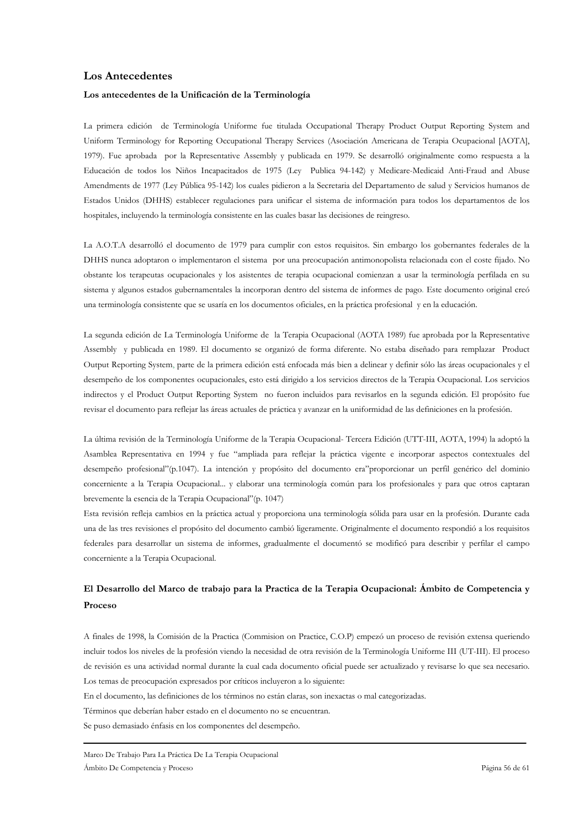### **Los Antecedentes**

### Los antecedentes de la Unificación de la Terminología

La primera edición de Terminología Uniforme fue titulada Occupational Therapy Product Output Reporting System and Uniform Terminology for Reporting Occupational Therapy Services (Asociación Americana de Terapia Ocupacional [AOTA], 1979). Fue aprobada por la Representative Assembly y publicada en 1979. Se desarrolló originalmente como respuesta a la Educación de todos los Niños Incapacitados de 1975 (Ley Publica 94-142) y Medicare-Medicaid Anti-Fraud and Abuse Amendments de 1977 (Ley Pública 95-142) los cuales pidieron a la Secretaria del Departamento de salud y Servicios humanos de Estados Unidos (DHHS) establecer regulaciones para unificar el sistema de información para todos los departamentos de los hospitales, incluyendo la terminología consistente en las cuales basar las decisiones de reingreso.

La A.O.T.A desarrolló el documento de 1979 para cumplir con estos requisitos. Sin embargo los gobernantes federales de la DHHS nunca adoptaron o implementaron el sistema por una preocupación antimonopolista relacionada con el coste fijado. No obstante los terapeutas ocupacionales y los asistentes de terapia ocupacional comienzan a usar la terminología perfilada en su sistema y algunos estados gubernamentales la incorporan dentro del sistema de informes de pago. Este documento original creó una terminología consistente que se usaría en los documentos oficiales, en la práctica profesional y en la educación.

La segunda edición de La Terminología Uniforme de la Terapia Ocupacional (AOTA 1989) fue aprobada por la Representative Assembly y publicada en 1989. El documento se organizó de forma diferente. No estaba diseñado para remplazar Product Output Reporting System, parte de la primera edición está enfocada más bien a delinear y definir sólo las áreas ocupacionales y el desempeño de los componentes ocupacionales, esto está dirigido a los servicios directos de la Terapia Ocupacional. Los servicios indirectos y el Product Output Reporting System no fueron incluidos para revisarlos en la segunda edición. El propósito fue revisar el documento para reflejar las áreas actuales de práctica y avanzar en la uniformidad de las definiciones en la profesión.

La última revisión de la Terminología Uniforme de la Terapia Ocupacional-Tercera Edición (UTT-III, AOTA, 1994) la adoptó la Asamblea Representativa en 1994 y fue "ampliada para reflejar la práctica vigente e incorporar aspectos contextuales del desempeño profesional"(p.1047). La intención y propósito del documento era"proporcionar un perfil genérico del dominio concerniente a la Terapia Ocupacional... y elaborar una terminología común para los profesionales y para que otros captaran brevemente la esencia de la Terapia Ocupacional" (p. 1047)

Esta revisión refleja cambios en la práctica actual y proporciona una terminología sólida para usar en la profesión. Durante cada una de las tres revisiones el propósito del documento cambió ligeramente. Originalmente el documento respondió a los requisitos federales para desarrollar un sistema de informes, gradualmente el documentó se modificó para describir y perfilar el campo concerniente a la Terapia Ocupacional.

# El Desarrollo del Marco de trabajo para la Practica de la Terapia Ocupacional: Ámbito de Competencia y Proceso

A finales de 1998, la Comisión de la Practica (Commision on Practice, C.O.P) empezó un proceso de revisión extensa queriendo incluir todos los niveles de la profesión viendo la necesidad de otra revisión de la Terminología Uniforme III (UT-III). El proceso de revisión es una actividad normal durante la cual cada documento oficial puede ser actualizado y revisarse lo que sea necesario. Los temas de preocupación expresados por críticos incluyeron a lo siguiente:

En el documento, las definiciones de los términos no están claras, son inexactas o mal categorizadas.

Términos que deberían haber estado en el documento no se encuentran.

Se puso demasiado énfasis en los componentes del desempeño.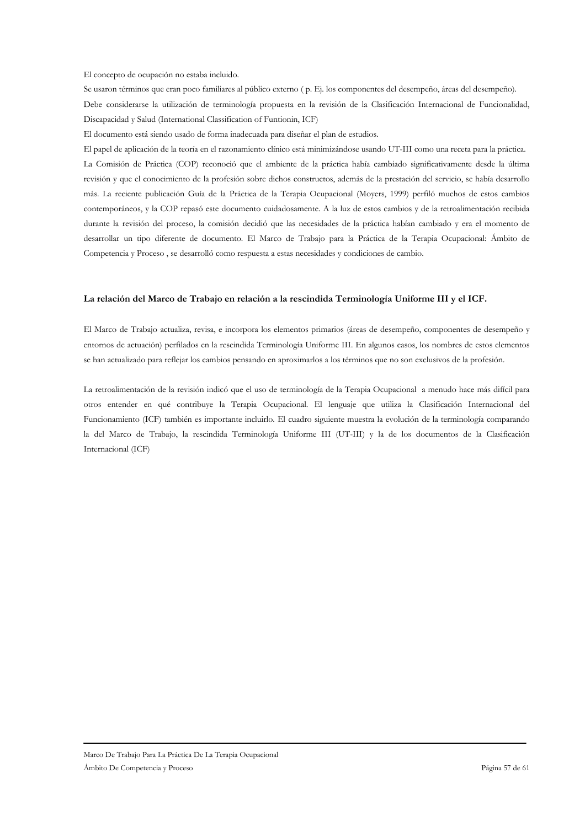El concepto de ocupación no estaba incluido.

Se usaron términos que eran poco familiares al público externo (p. Ej. los componentes del desempeño, áreas del desempeño). Debe considerarse la utilización de terminología propuesta en la revisión de la Clasificación Internacional de Funcionalidad, Discapacidad y Salud (International Classification of Funtionin, ICF)

El documento está siendo usado de forma inadecuada para diseñar el plan de estudios.

El papel de aplicación de la teoría en el razonamiento clínico está minimizándose usando UT-III como una receta para la práctica. La Comisión de Práctica (COP) reconoció que el ambiente de la práctica había cambiado significativamente desde la última revisión y que el conocimiento de la profesión sobre dichos constructos, además de la prestación del servicio, se había desarrollo más. La reciente publicación Guía de la Práctica de la Terapia Ocupacional (Moyers, 1999) perfiló muchos de estos cambios contemporáneos, y la COP repasó este documento cuidadosamente. A la luz de estos cambios y de la retroalimentación recibida durante la revisión del proceso, la comisión decidió que las necesidades de la práctica habían cambiado y era el momento de desarrollar un tipo diferente de documento. El Marco de Trabajo para la Práctica de la Terapia Ocupacional: Ámbito de Competencia y Proceso, se desarrolló como respuesta a estas necesidades y condiciones de cambio.

### La relación del Marco de Trabajo en relación a la rescindida Terminología Uniforme III y el ICF.

El Marco de Trabajo actualiza, revisa, e incorpora los elementos primarios (áreas de desempeño, componentes de desempeño y entornos de actuación) perfilados en la rescindida Terminología Uniforme III. En algunos casos, los nombres de estos elementos se han actualizado para reflejar los cambios pensando en aproximarlos a los términos que no son exclusivos de la profesión.

La retroalimentación de la revisión indicó que el uso de terminología de la Terapia Ocupacional a menudo hace más difícil para otros entender en qué contribuye la Terapia Ocupacional. El lenguaje que utiliza la Clasificación Internacional del Funcionamiento (ICF) también es importante incluirlo. El cuadro siguiente muestra la evolución de la terminología comparando la del Marco de Trabajo, la rescindida Terminología Uniforme III (UT-III) y la de los documentos de la Clasificación Internacional (ICF)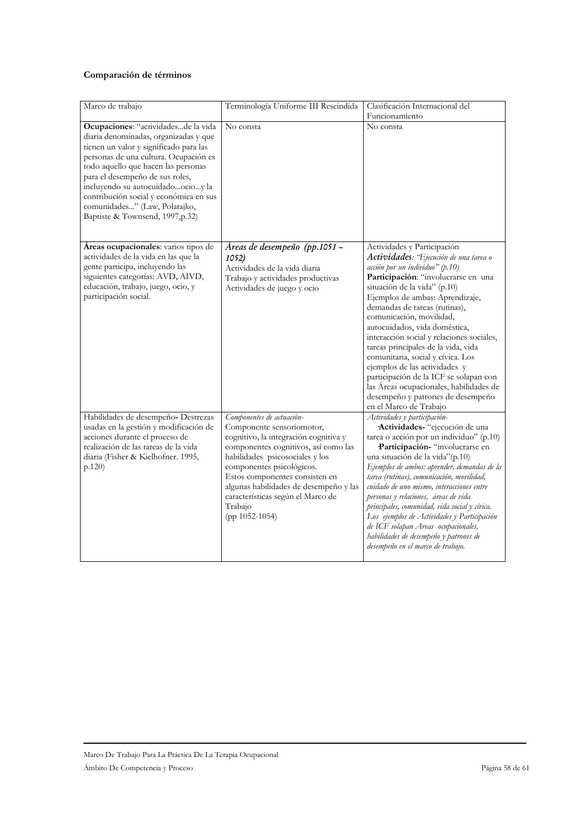# Comparación de términos

| Marco de trabajo                                                                                                                                                                                                                                                                                                                                                                             | Terminología Uniforme III Rescindida                   | Clasificación Internacional del                                                       |
|----------------------------------------------------------------------------------------------------------------------------------------------------------------------------------------------------------------------------------------------------------------------------------------------------------------------------------------------------------------------------------------------|--------------------------------------------------------|---------------------------------------------------------------------------------------|
|                                                                                                                                                                                                                                                                                                                                                                                              |                                                        | Funcionamiento                                                                        |
|                                                                                                                                                                                                                                                                                                                                                                                              |                                                        |                                                                                       |
| Ocupaciones: "actividadesde la vida<br>diaria denominadas, organizadas y que<br>tienen un valor y significado para las<br>personas de una cultura. Ocupación es<br>todo aquello que hacen las personas<br>para el desempeño de sus roles,<br>incluyendo su autocuidadoocioy la<br>contribución social y económica en sus<br>comunidades" (Law, Polatajko,<br>Baptiste & Townsend, 1997,p.32) | No consta                                              | No consta                                                                             |
| Áreas ocupacionales: varios tipos de                                                                                                                                                                                                                                                                                                                                                         | Áreas de desempeño (pp.1051 -                          | Actividades y Participación                                                           |
| actividades de la vida en las que la                                                                                                                                                                                                                                                                                                                                                         | 1052)                                                  | Actividades: 'Ejecución de una tarea o                                                |
| gente participa, incluyendo las<br>siguientes categorías: AVD, AIVD,                                                                                                                                                                                                                                                                                                                         | Actividades de la vida diaria                          | acción por un individuo" (p.10)                                                       |
| educación, trabajo, juego, ocio, y                                                                                                                                                                                                                                                                                                                                                           | Trabajo y actividades productivas                      | Participación: "involucrarse en una<br>situación de la vida" (p.10)                   |
| participación social.                                                                                                                                                                                                                                                                                                                                                                        | Actividades de juego y ocio                            | Ejemplos de ambas: Aprendizaje,                                                       |
|                                                                                                                                                                                                                                                                                                                                                                                              |                                                        | demandas de tareas (rutinas),                                                         |
|                                                                                                                                                                                                                                                                                                                                                                                              |                                                        | comunicación, movilidad,                                                              |
|                                                                                                                                                                                                                                                                                                                                                                                              |                                                        | autocuidados, vida doméstica,                                                         |
|                                                                                                                                                                                                                                                                                                                                                                                              |                                                        | interacción social y relaciones sociales,                                             |
|                                                                                                                                                                                                                                                                                                                                                                                              |                                                        | tareas principales de la vida, vida<br>comunitaria, social y cívica. Los              |
|                                                                                                                                                                                                                                                                                                                                                                                              |                                                        | ejemplos de las actividades y                                                         |
|                                                                                                                                                                                                                                                                                                                                                                                              |                                                        | participación de la ICF se solapan con                                                |
|                                                                                                                                                                                                                                                                                                                                                                                              |                                                        | las Áreas ocupacionales, habilidades de                                               |
|                                                                                                                                                                                                                                                                                                                                                                                              |                                                        | desempeño y patrones de desempeño                                                     |
|                                                                                                                                                                                                                                                                                                                                                                                              |                                                        | en el Marco de Trabajo                                                                |
| Habilidades de desempeño- Destrezas<br>usadas en la gestión y modificación de                                                                                                                                                                                                                                                                                                                | Componentes de actuación-<br>Componente sensoriomotor, | Actividades y participación-<br>Actividades-"ejecución de una                         |
| acciones durante el proceso de                                                                                                                                                                                                                                                                                                                                                               | cognitivo, la integración cognitiva y                  | tarea o acción por un individuo" (p.10)                                               |
| realización de las tareas de la vida                                                                                                                                                                                                                                                                                                                                                         | componentes cognitivos, así como las                   | Participación-"involucrarse en                                                        |
| diaria (Fisher & Kielhofner. 1995,                                                                                                                                                                                                                                                                                                                                                           | habilidades psicosociales y los                        | una situación de la vida" (p.10)                                                      |
| p.120)                                                                                                                                                                                                                                                                                                                                                                                       | componentes psicológicos.                              | Ejemplos de ambos: aprender, demandas de la                                           |
|                                                                                                                                                                                                                                                                                                                                                                                              | Estos componentes consisten en                         | tarea (rutinas), comunicación, movilidad,                                             |
|                                                                                                                                                                                                                                                                                                                                                                                              | algunas habilidades de desempeño y las                 | cuidado de uno mismo, interacciones entre                                             |
|                                                                                                                                                                                                                                                                                                                                                                                              | características según el Marco de<br>Trabajo           | personas y relaciones, áreas de vida<br>principales, comunidad, vida social y cívica. |
|                                                                                                                                                                                                                                                                                                                                                                                              | (pp 1052-1054)                                         | Los ejemplos de Actividades y Participación                                           |
|                                                                                                                                                                                                                                                                                                                                                                                              |                                                        | de ICF solapan Areas ocupacionales,                                                   |
|                                                                                                                                                                                                                                                                                                                                                                                              |                                                        | habilidades de desempeño y patrones de                                                |
|                                                                                                                                                                                                                                                                                                                                                                                              |                                                        | desempeño en el marco de trabajo.                                                     |
|                                                                                                                                                                                                                                                                                                                                                                                              |                                                        |                                                                                       |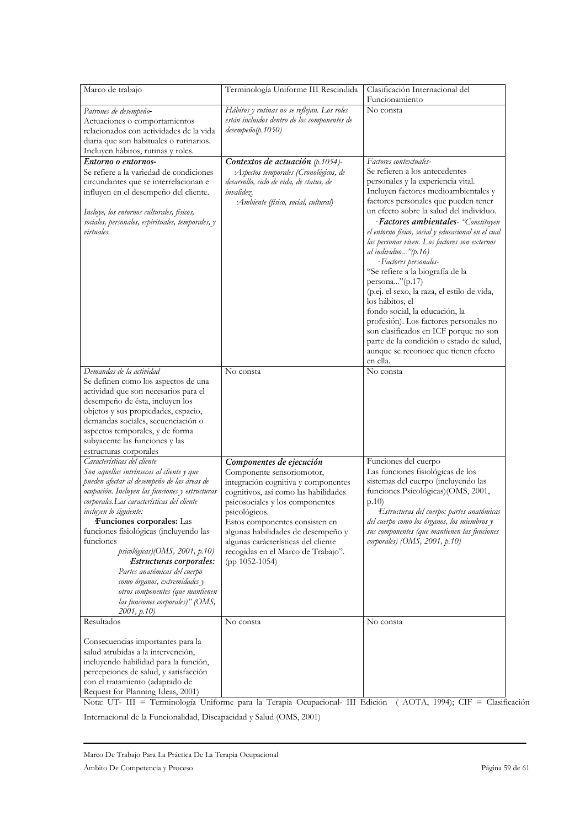| Marco de trabajo                                                                                                                                                                                                                                                                                                                                                                                                                                                                                                                                          | Terminología Uniforme III Rescindida                                                                                                                                                                                                                                                                                                                              | Clasificación Internacional del                                                                                                                                                                                                                                                                                                                                                                                                                                                                                                                                                                                                                                                                                                                                        |
|-----------------------------------------------------------------------------------------------------------------------------------------------------------------------------------------------------------------------------------------------------------------------------------------------------------------------------------------------------------------------------------------------------------------------------------------------------------------------------------------------------------------------------------------------------------|-------------------------------------------------------------------------------------------------------------------------------------------------------------------------------------------------------------------------------------------------------------------------------------------------------------------------------------------------------------------|------------------------------------------------------------------------------------------------------------------------------------------------------------------------------------------------------------------------------------------------------------------------------------------------------------------------------------------------------------------------------------------------------------------------------------------------------------------------------------------------------------------------------------------------------------------------------------------------------------------------------------------------------------------------------------------------------------------------------------------------------------------------|
|                                                                                                                                                                                                                                                                                                                                                                                                                                                                                                                                                           |                                                                                                                                                                                                                                                                                                                                                                   | Funcionamiento                                                                                                                                                                                                                                                                                                                                                                                                                                                                                                                                                                                                                                                                                                                                                         |
| Patrones de desempeño-<br>Actuaciones o comportamientos<br>relacionados con actividades de la vida<br>diaria que son habituales o rutinarios.<br>Incluyen hábitos, rutinas y roles.                                                                                                                                                                                                                                                                                                                                                                       | Hábitos y rutinas no se reflejan. Los roles<br>están incluidos dentro de los componentes de<br>desempeño(p.1050)                                                                                                                                                                                                                                                  | No consta                                                                                                                                                                                                                                                                                                                                                                                                                                                                                                                                                                                                                                                                                                                                                              |
| Entorno o entornos-<br>Se refiere a la variedad de condiciones<br>circundantes que se interrelacionan e<br>influyen en el desempeño del cliente.<br>Incluye, los entornos culturales, físicos,<br>sociales, personales, espirituales, temporales, y<br>virtuales.                                                                                                                                                                                                                                                                                         | Contextos de actuación (p.1054)-<br>Aspectos temporales (Cronológicos, de<br>desarrollo, ciclo de vida, de status, de<br>invalidez.<br>:Ambiente (físico, social, cultural)                                                                                                                                                                                       | Factores contextuales-<br>Se refieren a los antecedentes<br>personales y la experiencia vital.<br>Incluyen factores medioambientales y<br>factores personales que pueden tener<br>un efecto sobre la salud del individuo.<br>· Factores ambientales- "Constituyen<br>el entorno físico, social y educacional en el cual<br>las personas viven. Los factores son externos<br>al individuo"(p.16)<br>· Factores personales-<br>"Se refiere a la biografía de la<br>persona"(p.17)<br>(p.ej. el sexo, la raza, el estilo de vida,<br>los hábitos, el<br>fondo social, la educación, la<br>profesión). Los factores personales no<br>son clasificados en ICF porque no son<br>parte de la condición o estado de salud,<br>aunque se reconoce que tienen efecto<br>en ella. |
| Demandas de la actividad<br>Se definen como los aspectos de una<br>actividad que son necesarios para el<br>desempeño de ésta, incluyen los<br>objetos y sus propiedades, espacio,<br>demandas sociales, secuenciación o<br>aspectos temporales, y de forma<br>subyacente las funciones y las<br>estructuras corporales                                                                                                                                                                                                                                    | No consta                                                                                                                                                                                                                                                                                                                                                         | No consta                                                                                                                                                                                                                                                                                                                                                                                                                                                                                                                                                                                                                                                                                                                                                              |
| Características del cliente<br>Son aquellas intrínsecas al cliente y que<br>pueden afectar al desempeño de las áreas de<br>ocupación. Incluyen las funciones y estructuras<br>corporales.Las características del cliente<br>incluyen lo siguiente:<br>Funciones corporales: Las<br>funciones fisiológicas (incluyendo las<br>funciones<br>psicológicas)(OMS, 2001, p.10)<br>Estructuras corporales:<br>Partes anatómicas del cuerpo<br>como órganos, extremidades y<br>otros componentes (que mantienen<br>las funciones corporales)" (OMS,<br>2001, p.10 | Componentes de ejecución<br>Componente sensoriomotor,<br>integración cognitiva y componentes<br>cognitivos, así como las habilidades<br>psicosociales y los componentes<br>psicológicos.<br>Estos componentes consisten en<br>algunas habilidades de desempeño y<br>algunas carácterísticas del cliente<br>recogidas en el Marco de Trabajo".<br>$(pp 1052-1054)$ | Funciones del cuerpo<br>Las funciones fisiológicas de los<br>sistemas del cuerpo (incluyendo las<br>funciones Psicológicas)(OMS, 2001,<br>p.10<br>Estructuras del cuerpo: partes anatómicas<br>del cuerpo como los órganos, los miembros y<br>sus componentes (que mantienen las funciones<br>corporales) (OMS, 2001, p.10)                                                                                                                                                                                                                                                                                                                                                                                                                                            |
| Resultados<br>Consecuencias importantes para la<br>salud atrubidas a la intervención,<br>incluyendo habilidad para la función,<br>percepciones de salud, y satisfacción<br>con el tratamiento (adaptado de<br>Request for Planning Ideas, 2001)                                                                                                                                                                                                                                                                                                           | No consta                                                                                                                                                                                                                                                                                                                                                         | No consta                                                                                                                                                                                                                                                                                                                                                                                                                                                                                                                                                                                                                                                                                                                                                              |

Nota: UT- III = Terminología Uniforme para la Terapia Ocupacional- III Edición (AOTA, 1994); CIF = Clasificación Internacional de la Funcionalidad, Discapacidad y Salud (OMS, 2001)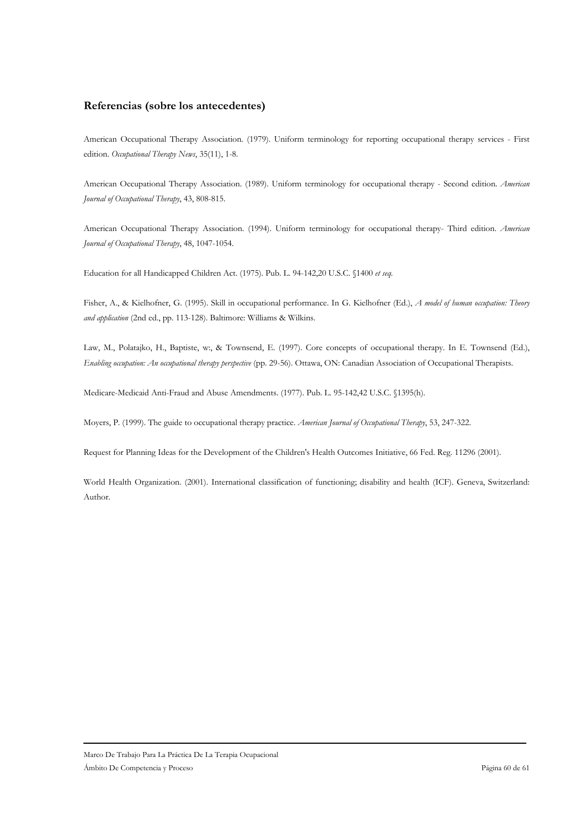# Referencias (sobre los antecedentes)

American Occupational Therapy Association. (1979). Uniform terminology for reporting occupational therapy services - First edition. Occupational Therapy News, 35(11), 1-8.

American Occupational Therapy Association. (1989). Uniform terminology for occupational therapy - Second edition. American Journal of Occupational Therapy, 43, 808-815.

American Occupational Therapy Association. (1994). Uniform terminology for occupational therapy- Third edition. American Journal of Occupational Therapy, 48, 1047-1054.

Education for all Handicapped Children Act. (1975). Pub. L. 94-142,20 U.S.C. §1400 et seq.

Fisher, A., & Kielhofner, G. (1995). Skill in occupational performance. In G. Kielhofner (Ed.), A model of human occupation: Theory and application (2nd ed., pp. 113-128). Baltimore: Williams & Wilkins.

Law, M., Polatajko, H., Baptiste, w., & Townsend, E. (1997). Core concepts of occupational therapy. In E. Townsend (Ed.), Enabling occupation: An occupational therapy perspective (pp. 29-56). Ottawa, ON: Canadian Association of Occupational Therapists.

Medicare-Medicaid Anti-Fraud and Abuse Amendments. (1977). Pub. L. 95-142,42 U.S.C. §1395(h).

Moyers, P. (1999). The guide to occupational therapy practice. American Journal of Occupational Therapy, 53, 247-322.

Request for Planning Ideas for the Development of the Children's Health Outcomes Initiative, 66 Fed. Reg. 11296 (2001).

World Health Organization. (2001). International classification of functioning; disability and health (ICF). Geneva, Switzerland: Author.